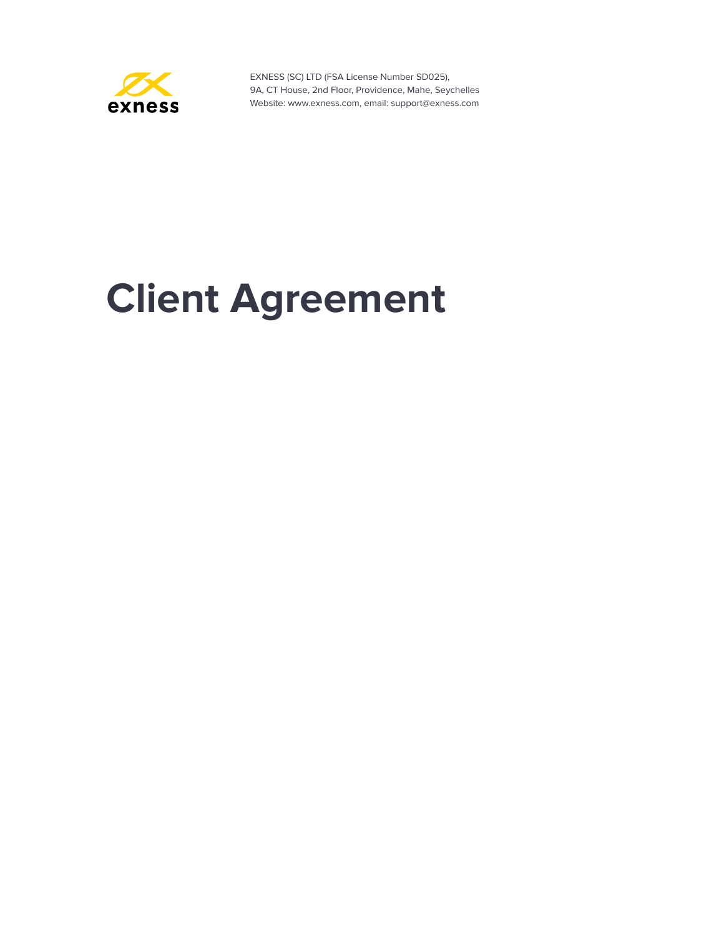

# **Client Agreement**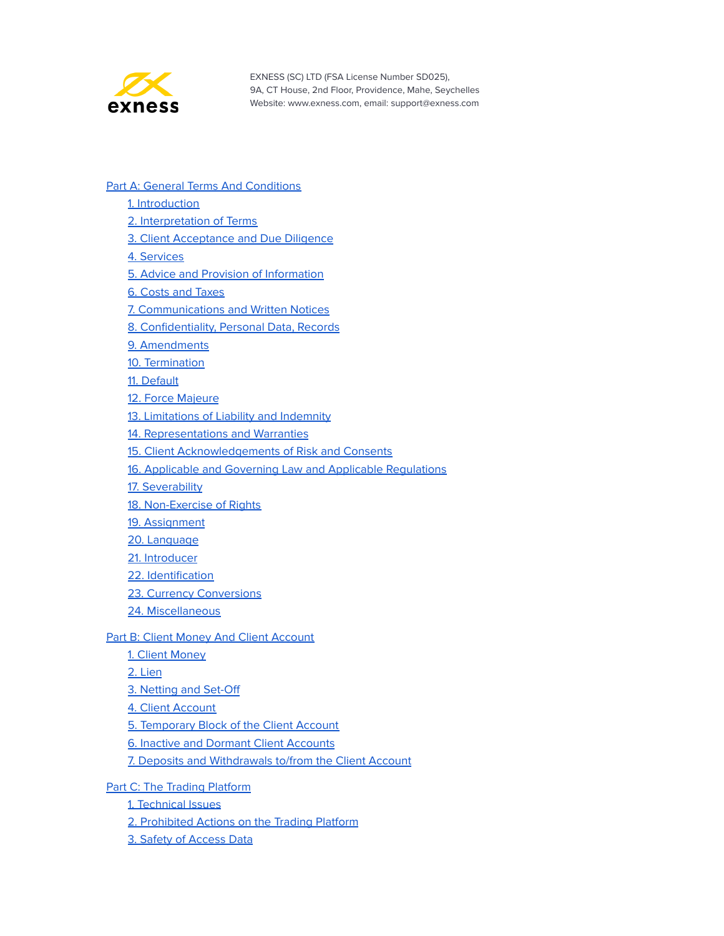

#### Part A: General Terms And [Conditions](#page-3-0)

- 1. [Introduction](#page-3-1)
- 2. [Interpretation](#page-3-2) of Terms
- 3. Client [Acceptance](#page-11-0) and Due Diligence
- 4. [Services](#page-11-1)
- 5. Advice and Provision of [Information](#page-12-0)
- 6. Costs and [Taxes](#page-13-0)
- 7. [Communications](#page-14-0) and Written Notices
- 8. [Confidentiality,](#page-15-0) Personal Data, Records
- 9. [Amendments](#page-17-0)
- 10. [Termination](#page-17-1)
- 11. [Default](#page-19-0)
- 12. Force [Majeure](#page-20-0)
- 13. [Limitations](#page-22-0) of Liability and Indemnity
- 14. [Representations](#page-23-0) and Warranties
- 15. Client [Acknowledgements](#page-24-0) of Risk and Consents
- 16. Applicable and Governing Law and Applicable [Regulations](#page-25-0)
- 17. [Severability](#page-26-0)
- 18. [Non-Exercise](#page-26-1) of Rights
- 19. [Assignment](#page-26-2)
- 20. [Language](#page-26-3)
- 21. [Introducer](#page-27-0)
- 22. [Identification](#page-27-1)
- 23. Currency [Conversions](#page-27-2)
- 24. [Miscellaneous](#page-28-0)

#### **Part B: Client Money And Client [Account](#page-29-0)**

- 1. Client [Money](#page-29-1)
- 2. [Lien](#page-29-2)
- 3. [Netting](#page-30-0) and Set-Off
- 4. Client [Account](#page-30-1)
- 5. [Temporary](#page-30-2) Block of the Client Account
- 6. Inactive and Dormant Client [Accounts](#page-32-0)
- 7. Deposits and [Withdrawals](#page-32-1) to/from the Client Account
- Part C: The Trading [Platform](#page-36-0)
	- 1. [Technical](#page-36-1) Issues
	- 2. [Prohibited](#page-36-2) Actions on the Trading Platform
	- 3. Safety of [Access](#page-37-0) Data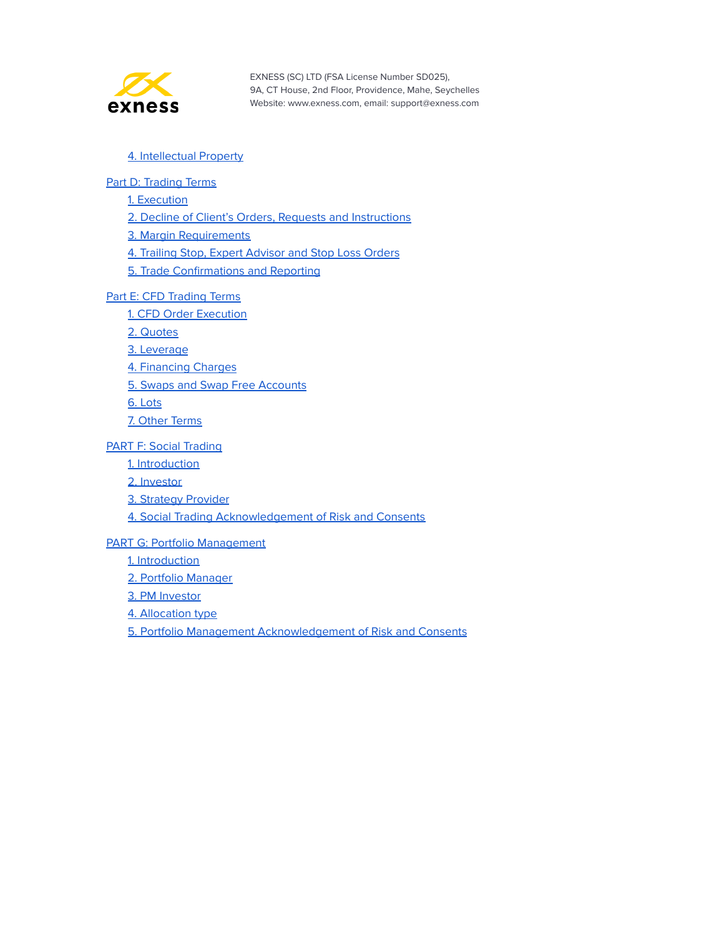

#### 4. [Intellectual](#page-38-0) Property

#### Part D: [Trading](#page-39-0) Terms

1. [Execution](#page-39-1)

2. Decline of Client's Orders, Requests and [Instructions](#page-39-2)

3. Margin [Requirements](#page-40-0)

4. Trailing Stop, Expert [Advisor](#page-41-0) and Stop Loss Orders

5. Trade [Confirmations](#page-42-0) and Reporting

#### Part E: CFD [Trading](#page-43-0) Terms

1. CFD Order [Execution](#page-43-1)

2. [Quotes](#page-43-2)

3. [Leverage](#page-44-0)

4. [Financing](#page-44-1) Charges

5. Swaps and Swap Free [Accounts](#page-44-2)

6. [Lots](#page-45-0)

7. Other [Terms](#page-46-0)

PART F: Social [Trading](#page-47-0)

1. [Introduction](#page-47-1)

2. [Investor](#page-47-2)

3. Strategy [Provider](#page-48-0)

4. Social Trading [Acknowledgement](#page-50-0) of Risk and Consents

PART G: Portfolio [Management](#page-51-0)

1. [Introduction](#page-51-1)

2. Portfolio [Manager](#page-51-2)

3. PM [Investor](#page-55-0)

4. [Allocation](#page-57-0) type

5. Portfolio Management [Acknowledgement](#page-58-0) of Risk and Consents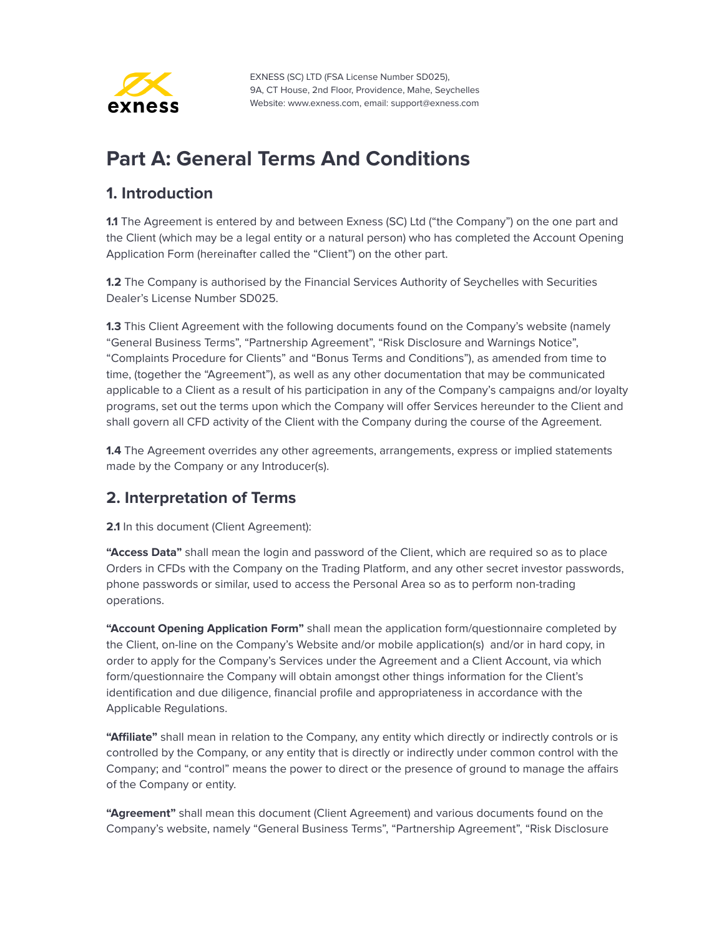

# <span id="page-3-0"></span>**Part A: General Terms And Conditions**

#### <span id="page-3-1"></span>**1. Introduction**

**1.1** The Agreement is entered by and between Exness (SC) Ltd ("the Company") on the one part and the Client (which may be a legal entity or a natural person) who has completed the Account Opening Application Form (hereinafter called the "Client") on the other part.

**1.2** The Company is authorised by the Financial Services Authority of Seychelles with Securities Dealer's License Number SD025.

**1.3** This Client Agreement with the following documents found on the Company's website (namely "General Business Terms", "Partnership Agreement", "Risk Disclosure and Warnings Notice", "Complaints Procedure for Clients" and "Bonus Terms and Conditions"), as amended from time to time, (together the "Agreement"), as well as any other documentation that may be communicated applicable to a Client as a result of his participation in any of the Company's campaigns and/or loyalty programs, set out the terms upon which the Company will offer Services hereunder to the Client and shall govern all CFD activity of the Client with the Company during the course of the Agreement.

**1.4** The Agreement overrides any other agreements, arrangements, express or implied statements made by the Company or any Introducer(s).

## <span id="page-3-2"></span>**2. Interpretation of Terms**

**2.1** In this document (Client Agreement):

**"Access Data"** shall mean the login and password of the Client, which are required so as to place Orders in CFDs with the Company on the Trading Platform, and any other secret investor passwords, phone passwords or similar, used to access the Personal Area so as to perform non-trading operations.

**"Account Opening Application Form"** shall mean the application form/questionnaire completed by the Client, on-line on the Company's Website and/or mobile application(s) and/or in hard copy, in order to apply for the Company's Services under the Agreement and a Client Account, via which form/questionnaire the Company will obtain amongst other things information for the Client's identification and due diligence, financial profile and appropriateness in accordance with the Applicable Regulations.

**"Affiliate"** shall mean in relation to the Company, any entity which directly or indirectly controls or is controlled by the Company, or any entity that is directly or indirectly under common control with the Company; and "control" means the power to direct or the presence of ground to manage the affairs of the Company or entity.

**"Agreement"** shall mean this document (Client Agreement) and various documents found on the Company's website, namely "General Business Terms", "Partnership Agreement", "Risk Disclosure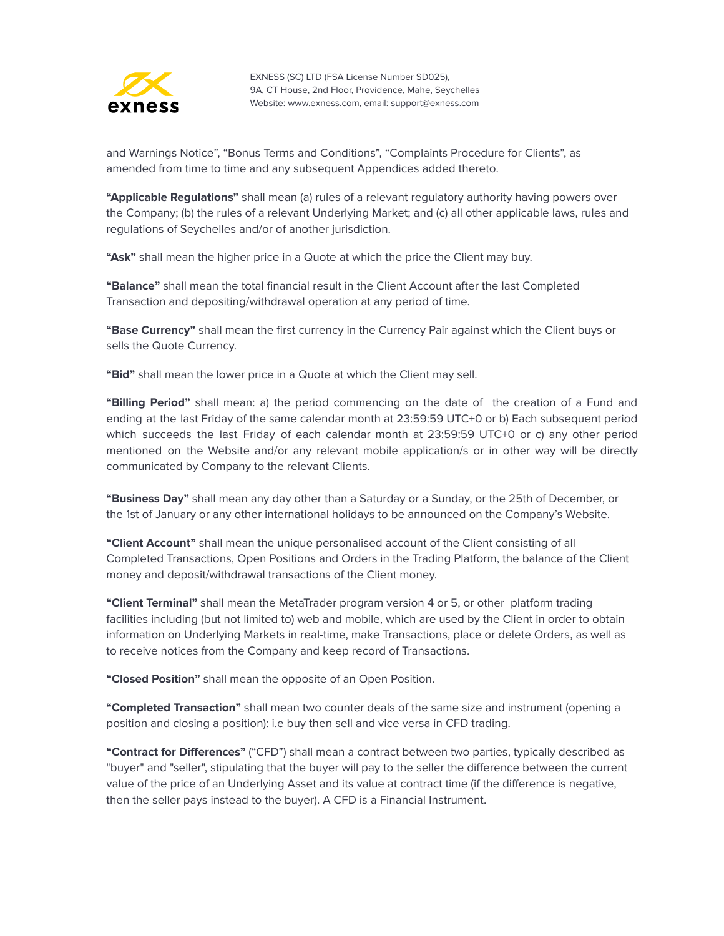

and Warnings Notice", "Bonus Terms and Conditions", "Complaints Procedure for Clients", as amended from time to time and any subsequent Appendices added thereto.

**"Applicable Regulations"** shall mean (a) rules of a relevant regulatory authority having powers over the Company; (b) the rules of a relevant Underlying Market; and (c) all other applicable laws, rules and regulations of Seychelles and/or of another jurisdiction.

**"Ask"** shall mean the higher price in a Quote at which the price the Client may buy.

**"Balance"** shall mean the total financial result in the Client Account after the last Completed Transaction and depositing/withdrawal operation at any period of time.

**"Base Currency"** shall mean the first currency in the Currency Pair against which the Client buys or sells the Quote Currency.

**"Bid"** shall mean the lower price in a Quote at which the Client may sell.

**"Billing Period"** shall mean: a) the period commencing on the date of the creation of a Fund and ending at the last Friday of the same calendar month at 23:59:59 UTC+0 or b) Each subsequent period which succeeds the last Friday of each calendar month at 23:59:59 UTC+0 or c) any other period mentioned on the Website and/or any relevant mobile application/s or in other way will be directly communicated by Company to the relevant Clients.

**"Business Day"** shall mean any day other than a Saturday or a Sunday, or the 25th of December, or the 1st of January or any other international holidays to be announced on the Company's Website.

**"Client Account"** shall mean the unique personalised account of the Client consisting of all Completed Transactions, Open Positions and Orders in the Trading Platform, the balance of the Client money and deposit/withdrawal transactions of the Client money.

**"Client Terminal"** shall mean the MetaTrader program version 4 or 5, or other platform trading facilities including (but not limited to) web and mobile, which are used by the Client in order to obtain information on Underlying Markets in real-time, make Transactions, place or delete Orders, as well as to receive notices from the Company and keep record of Transactions.

**"Closed Position"** shall mean the opposite of an Open Position.

**"Completed Transaction"** shall mean two counter deals of the same size and instrument (opening a position and closing a position): i.e buy then sell and vice versa in CFD trading.

**"Contract for Differences"** ("CFD") shall mean a contract between two parties, typically described as "buyer" and "seller", stipulating that the buyer will pay to the seller the difference between the current value of the price of an Underlying Asset and its value at contract time (if the difference is negative, then the seller pays instead to the buyer). A CFD is a Financial Instrument.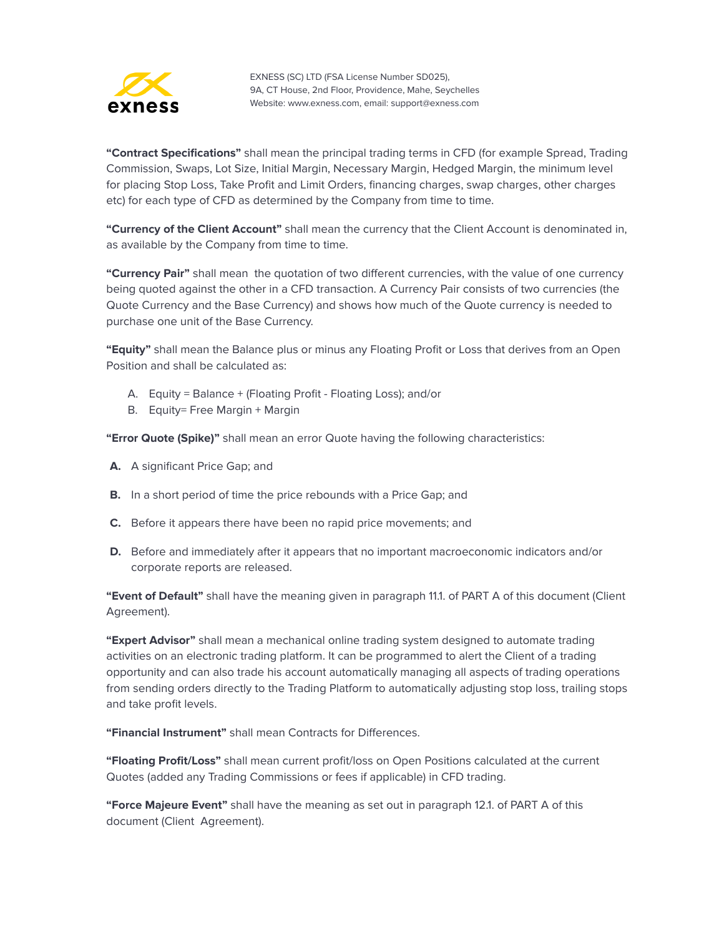

**"Contract Specifications"** shall mean the principal trading terms in CFD (for example Spread, Trading Commission, Swaps, Lot Size, Initial Margin, Necessary Margin, Hedged Margin, the minimum level for placing Stop Loss, Take Profit and Limit Orders, financing charges, swap charges, other charges etc) for each type of CFD as determined by the Company from time to time.

**"Currency of the Client Account"** shall mean the currency that the Client Account is denominated in, as available by the Company from time to time.

**"Currency Pair"** shall mean the quotation of two different currencies, with the value of one currency being quoted against the other in a CFD transaction. A Currency Pair consists of two currencies (the Quote Currency and the Base Currency) and shows how much of the Quote currency is needed to purchase one unit of the Base Currency.

**"Equity"** shall mean the Balance plus or minus any Floating Profit or Loss that derives from an Open Position and shall be calculated as:

- A. Equity = Balance + (Floating Profit Floating Loss); and/or
- B. Equity= Free Margin + Margin

**"Error Quote (Spike)"** shall mean an error Quote having the following characteristics:

- **A.** A significant Price Gap; and
- **B.** In a short period of time the price rebounds with a Price Gap; and
- **C.** Before it appears there have been no rapid price movements; and
- **D.** Before and immediately after it appears that no important macroeconomic indicators and/or corporate reports are released.

**"Event of Default"** shall have the meaning given in paragraph 11.1. of PART A of this document (Client Agreement).

**"Expert Advisor"** shall mean a mechanical online trading system designed to automate trading activities on an electronic trading platform. It can be programmed to alert the Client of a trading opportunity and can also trade his account automatically managing all aspects of trading operations from sending orders directly to the Trading Platform to automatically adjusting stop loss, trailing stops and take profit levels.

**"Financial Instrument"** shall mean Contracts for Differences.

**"Floating Profit/Loss"** shall mean current profit/loss on Open Positions calculated at the current Quotes (added any Trading Commissions or fees if applicable) in CFD trading.

**"Force Majeure Event"** shall have the meaning as set out in paragraph 12.1. of PART A of this document (Client Agreement).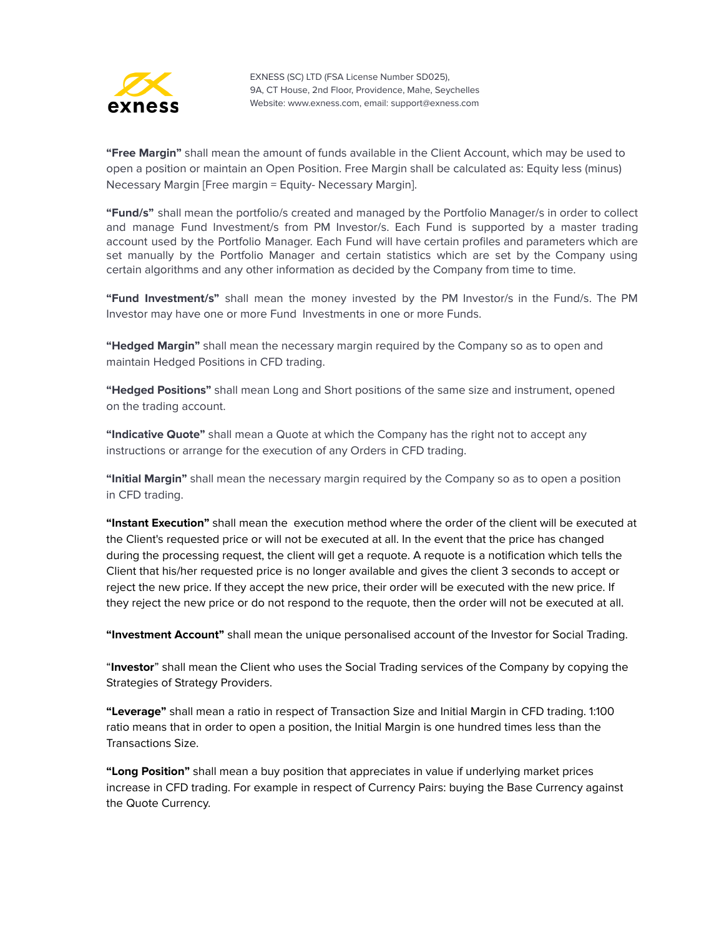

**"Free Margin"** shall mean the amount of funds available in the Client Account, which may be used to open a position or maintain an Open Position. Free Margin shall be calculated as: Equity less (minus) Necessary Margin [Free margin = Equity- Necessary Margin].

**"Fund/s"** shall mean the portfolio/s created and managed by the Portfolio Manager/s in order to collect and manage Fund Investment/s from PM Investor/s. Each Fund is supported by a master trading account used by the Portfolio Manager. Each Fund will have certain profiles and parameters which are set manually by the Portfolio Manager and certain statistics which are set by the Company using certain algorithms and any other information as decided by the Company from time to time.

**"Fund Investment/s"** shall mean the money invested by the PM Investor/s in the Fund/s. The PM Investor may have one or more Fund Investments in one or more Funds.

**"Hedged Margin"** shall mean the necessary margin required by the Company so as to open and maintain Hedged Positions in CFD trading.

**"Hedged Positions"** shall mean Long and Short positions of the same size and instrument, opened on the trading account.

**"Indicative Quote"** shall mean a Quote at which the Company has the right not to accept any instructions or arrange for the execution of any Orders in CFD trading.

**"Initial Margin"** shall mean the necessary margin required by the Company so as to open a position in CFD trading.

**"Instant Execution"** shall mean the execution method where the order of the client will be executed at the Client's requested price or will not be executed at all. In the event that the price has changed during the processing request, the client will get a requote. A requote is a notification which tells the Client that his/her requested price is no longer available and gives the client 3 seconds to accept or reject the new price. If they accept the new price, their order will be executed with the new price. If they reject the new price or do not respond to the requote, then the order will not be executed at all.

**"Investment Account"** shall mean the unique personalised account of the Investor for Social Trading.

"**Investor**" shall mean the Client who uses the Social Trading services of the Company by copying the Strategies of Strategy Providers.

**"Leverage"** shall mean a ratio in respect of Transaction Size and Initial Margin in CFD trading. 1:100 ratio means that in order to open a position, the Initial Margin is one hundred times less than the Transactions Size.

**"Long Position"** shall mean a buy position that appreciates in value if underlying market prices increase in CFD trading. For example in respect of Currency Pairs: buying the Base Currency against the Quote Currency.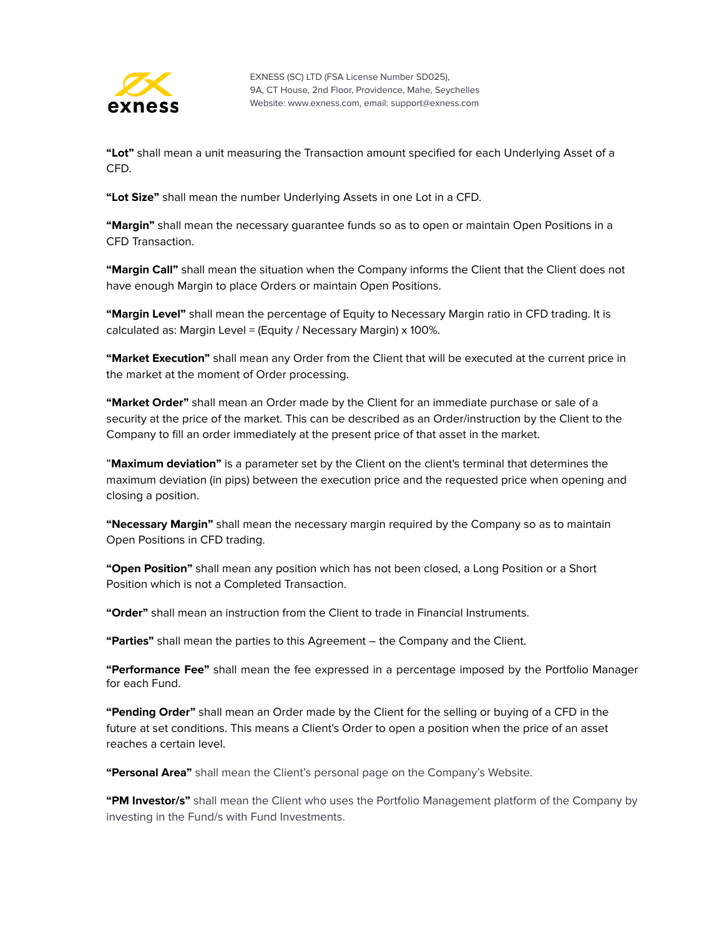

**"Lot"** shall mean a unit measuring the Transaction amount specified for each Underlying Asset of a CFD.

**"Lot Size"** shall mean the number Underlying Assets in one Lot in a CFD.

**"Margin"** shall mean the necessary guarantee funds so as to open or maintain Open Positions in a CFD Transaction.

**"Margin Call"** shall mean the situation when the Company informs the Client that the Client does not have enough Margin to place Orders or maintain Open Positions.

**"Маrgin Level"** shall mean the percentage of Equity to Necessary Margin ratio in CFD trading. It is calculated as: Margin Level = (Equity / Necessary Margin) x 100%.

**"Market Execution"** shall mean any Order from the Client that will be executed at the current price in the market at the moment of Order processing.

**"Market Order"** shall mean an Order made by the Client for an immediate purchase or sale of a security at the price of the market. This can be described as an Order/instruction by the Client to the Company to fill an order immediately at the present price of that asset in the market.

"**Maximum deviation"** is a parameter set by the Client on the client's terminal that determines the maximum deviation (in pips) between the execution price and the requested price when opening and closing a position.

**"Necessary Margin"** shall mean the necessary margin required by the Company so as to maintain Open Positions in CFD trading.

**"Open Position"** shall mean any position which has not been closed, a Long Position or a Short Position which is not a Completed Transaction.

**"Order"** shall mean an instruction from the Client to trade in Financial Instruments.

**"Parties"** shall mean the parties to this Agreement – the Company and the Client.

**"Performance Fee"** shall mean the fee expressed in a percentage imposed by the Portfolio Manager for each Fund.

**"Pending Order"** shall mean an Order made by the Client for the selling or buying of a CFD in the future at set conditions. This means a Client's Order to open a position when the price of an asset reaches a certain level.

**"Personal Area"** shall mean the Client's personal page on the Company's Website.

**"PM Investor/s"** shall mean the Client who uses the Portfolio Management platform of the Company by investing in the Fund/s with Fund Investments.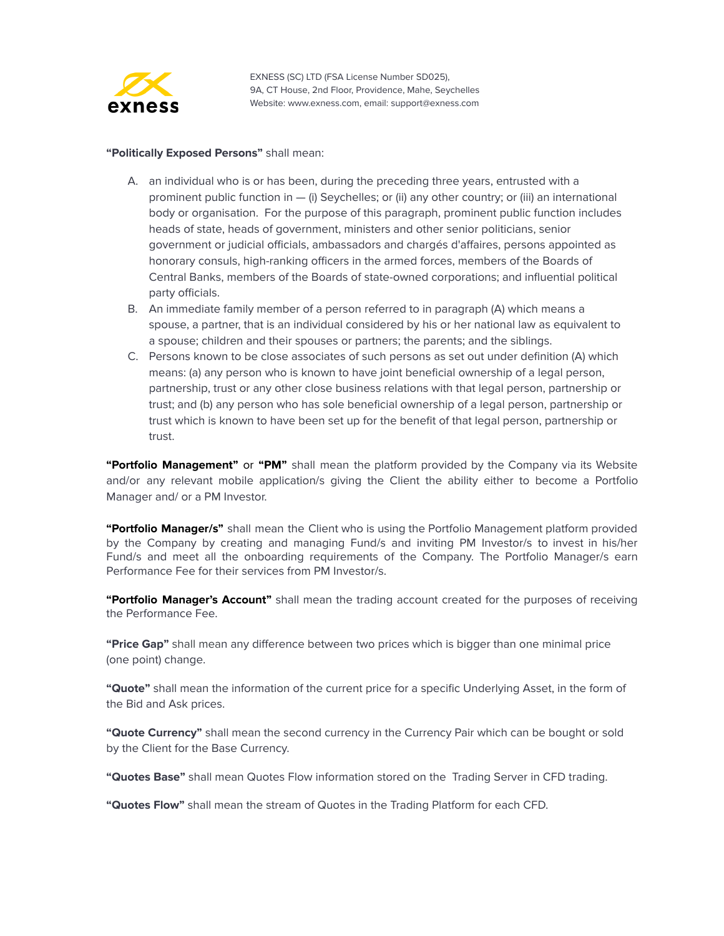

#### **"Politically Exposed Persons"** shall mean:

- A. an individual who is or has been, during the preceding three years, entrusted with a prominent public function in — (i) Seychelles; or (ii) any other country; or (iii) an international body or organisation. For the purpose of this paragraph, prominent public function includes heads of state, heads of government, ministers and other senior politicians, senior government or judicial officials, ambassadors and chargés d'affaires, persons appointed as honorary consuls, high-ranking officers in the armed forces, members of the Boards of Central Banks, members of the Boards of state-owned corporations; and influential political party officials.
- B. An immediate family member of a person referred to in paragraph (A) which means a spouse, a partner, that is an individual considered by his or her national law as equivalent to a spouse; children and their spouses or partners; the parents; and the siblings.
- C. Persons known to be close associates of such persons as set out under definition (A) which means: (a) any person who is known to have joint beneficial ownership of a legal person, partnership, trust or any other close business relations with that legal person, partnership or trust; and (b) any person who has sole beneficial ownership of a legal person, partnership or trust which is known to have been set up for the benefit of that legal person, partnership or trust.

**"Portfolio Management"** or **"PM"** shall mean the platform provided by the Company via its Website and/or any relevant mobile application/s giving the Client the ability either to become a Portfolio Manager and/ or a PM Investor.

**"Portfolio Manager/s"** shall mean the Client who is using the Portfolio Management platform provided by the Company by creating and managing Fund/s and inviting PM Investor/s to invest in his/her Fund/s and meet all the onboarding requirements of the Company. The Portfolio Manager/s earn Performance Fee for their services from PM Investor/s.

**"Portfolio Manager's Account"** shall mean the trading account created for the purposes of receiving the Performance Fee.

**"Price Gap"** shall mean any difference between two prices which is bigger than one minimal price (one point) change.

**"Quote"** shall mean the information of the current price for a specific Underlying Asset, in the form of the Bid and Ask prices.

**"Quote Currency"** shall mean the second currency in the Currency Pair which can be bought or sold by the Client for the Base Currency.

**"Quotes Base"** shall mean Quotes Flow information stored on the Trading Server in CFD trading.

**"Quotes Flow"** shall mean the stream of Quotes in the Trading Platform for each CFD.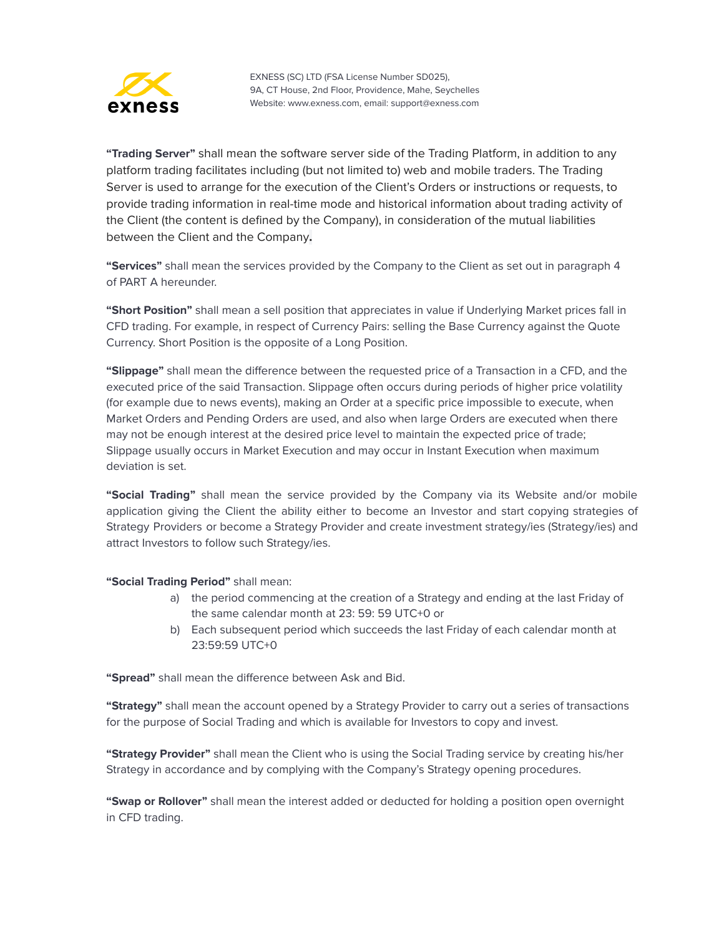

**"Trading Server"** shall mean the software server side of the Trading Platform, in addition to any platform trading facilitates including (but not limited to) web and mobile traders. The Trading Server is used to arrange for the execution of the Client's Orders or instructions or requests, to provide trading information in real-time mode and historical information about trading activity of the Client (the content is defined by the Company), in consideration of the mutual liabilities between the Client and the Company**.**

**"Services"** shall mean the services provided by the Company to the Client as set out in paragraph 4 of PART A hereunder.

**"Short Position"** shall mean a sell position that appreciates in value if Underlying Market prices fall in CFD trading. For example, in respect of Currency Pairs: selling the Base Currency against the Quote Currency. Short Position is the opposite of a Long Position.

**"Slippage"** shall mean the difference between the requested price of a Transaction in a CFD, and the executed price of the said Transaction. Slippage often occurs during periods of higher price volatility (for example due to news events), making an Order at a specific price impossible to execute, when Market Orders and Pending Orders are used, and also when large Orders are executed when there may not be enough interest at the desired price level to maintain the expected price of trade; Slippage usually occurs in Market Execution and may occur in Instant Execution when maximum deviation is set.

**"Social Trading"** shall mean the service provided by the Company via its Website and/or mobile application giving the Client the ability either to become an Investor and start copying strategies of Strategy Providers or become a Strategy Provider and create investment strategy/ies (Strategy/ies) and attract Investors to follow such Strategy/ies.

**"Social Trading Period"** shall mean:

- a) the period commencing at the creation of a Strategy and ending at the last Friday of the same calendar month at 23: 59: 59 UTC+0 or
- b) Each subsequent period which succeeds the last Friday of each calendar month at 23:59:59 UTC+0

**"Spread"** shall mean the difference between Ask and Bid.

**"Strategy"** shall mean the account opened by a Strategy Provider to carry out a series of transactions for the purpose of Social Trading and which is available for Investors to copy and invest.

**"Strategy Provider"** shall mean the Client who is using the Social Trading service by creating his/her Strategy in accordance and by complying with the Company's Strategy opening procedures.

**"Swap or Rollover"** shall mean the interest added or deducted for holding a position open overnight in CFD trading.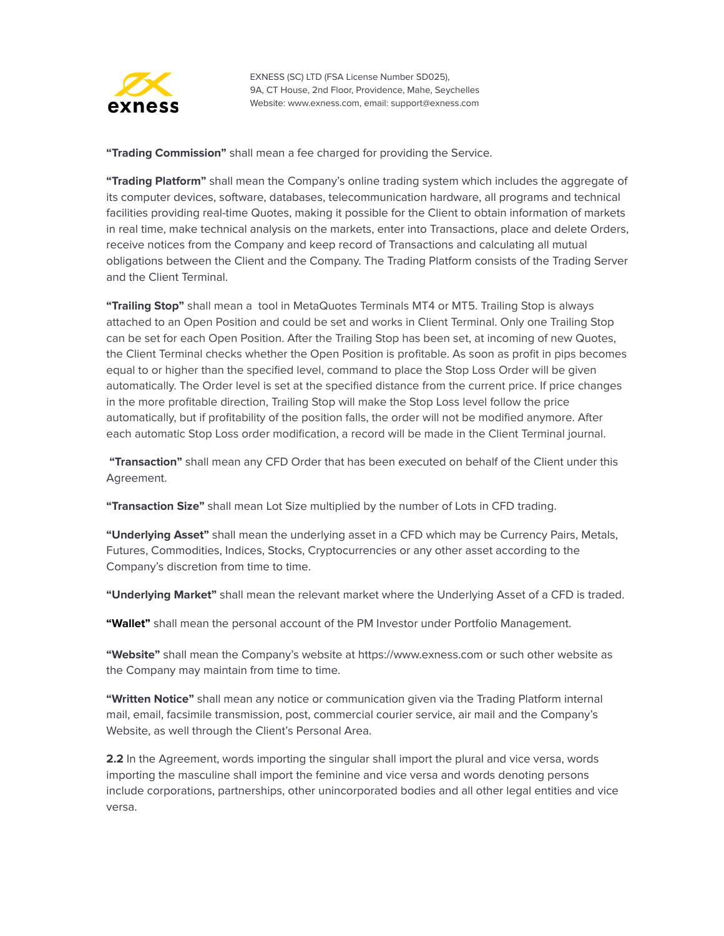

**"Trading Commission"** shall mean a fee charged for providing the Service.

**"Trading Platform"** shall mean the Company's online trading system which includes the aggregate of its computer devices, software, databases, telecommunication hardware, all programs and technical facilities providing real-time Quotes, making it possible for the Client to obtain information of markets in real time, make technical analysis on the markets, enter into Transactions, place and delete Orders, receive notices from the Company and keep record of Transactions and calculating all mutual obligations between the Client and the Company. The Trading Platform consists of the Trading Server and the Client Terminal.

**"Trailing Stop"** shall mean a tool in MetaQuotes Terminals MT4 or MT5. Trailing Stop is always attached to an Open Position and could be set and works in Client Terminal. Only one Trailing Stop can be set for each Open Position. After the Trailing Stop has been set, at incoming of new Quotes, the Client Terminal checks whether the Open Position is profitable. As soon as profit in pips becomes equal to or higher than the specified level, command to place the Stop Loss Order will be given automatically. The Order level is set at the specified distance from the current price. If price changes in the more profitable direction, Trailing Stop will make the Stop Loss level follow the price automatically, but if profitability of the position falls, the order will not be modified anymore. After each automatic Stop Loss order modification, a record will be made in the Client Terminal journal.

**"Transaction"** shall mean any CFD Order that has been executed on behalf of the Client under this Agreement.

**"Transaction Size"** shall mean Lot Size multiplied by the number of Lots in CFD trading.

**"Underlying Asset"** shall mean the underlying asset in a CFD which may be Currency Pairs, Metals, Futures, Commodities, Indices, Stocks, Cryptocurrencies or any other asset according to the Company's discretion from time to time.

**"Underlying Market"** shall mean the relevant market where the Underlying Asset of a CFD is traded.

**"Wallet"** shall mean the personal account of the PM Investor under Portfolio Management.

**"Website"** shall mean the Company's website at https://www.exness.com or such other website as the Company may maintain from time to time.

**"Written Notice"** shall mean any notice or communication given via the Trading Platform internal mail, email, facsimile transmission, post, commercial courier service, air mail and the Company's Website, as well through the Client's Personal Area.

**2.2** In the Agreement, words importing the singular shall import the plural and vice versa, words importing the masculine shall import the feminine and vice versa and words denoting persons include corporations, partnerships, other unincorporated bodies and all other legal entities and vice versa.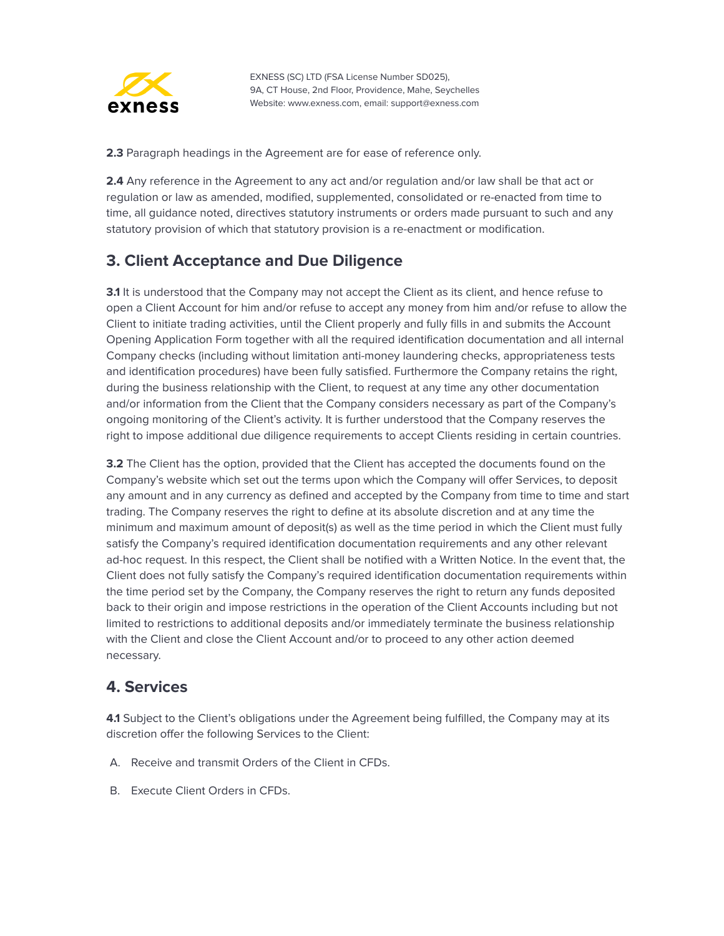

**2.3** Paragraph headings in the Agreement are for ease of reference only.

**2.4** Any reference in the Agreement to any act and/or regulation and/or law shall be that act or regulation or law as amended, modified, supplemented, consolidated or re-enacted from time to time, all guidance noted, directives statutory instruments or orders made pursuant to such and any statutory provision of which that statutory provision is a re-enactment or modification.

## <span id="page-11-0"></span>**3. Client Acceptance and Due Diligence**

**3.1** It is understood that the Company may not accept the Client as its client, and hence refuse to open a Client Account for him and/or refuse to accept any money from him and/or refuse to allow the Client to initiate trading activities, until the Client properly and fully fills in and submits the Account Opening Application Form together with all the required identification documentation and all internal Company checks (including without limitation anti-money laundering checks, appropriateness tests and identification procedures) have been fully satisfied. Furthermore the Company retains the right, during the business relationship with the Client, to request at any time any other documentation and/or information from the Client that the Company considers necessary as part of the Company's ongoing monitoring of the Client's activity. It is further understood that the Company reserves the right to impose additional due diligence requirements to accept Clients residing in certain countries.

**3.2** The Client has the option, provided that the Client has accepted the documents found on the Company's website which set out the terms upon which the Company will offer Services, to deposit any amount and in any currency as defined and accepted by the Company from time to time and start trading. The Company reserves the right to define at its absolute discretion and at any time the minimum and maximum amount of deposit(s) as well as the time period in which the Client must fully satisfy the Company's required identification documentation requirements and any other relevant ad-hoc request. In this respect, the Client shall be notified with a Written Notice. In the event that, the Client does not fully satisfy the Company's required identification documentation requirements within the time period set by the Company, the Company reserves the right to return any funds deposited back to their origin and impose restrictions in the operation of the Client Accounts including but not limited to restrictions to additional deposits and/or immediately terminate the business relationship with the Client and close the Client Account and/or to proceed to any other action deemed necessary.

#### <span id="page-11-1"></span>**4. Services**

**4.1** Subject to the Client's obligations under the Agreement being fulfilled, the Company may at its discretion offer the following Services to the Client:

- A. Receive and transmit Orders of the Client in CFDs.
- B. Execute Client Orders in CFDs.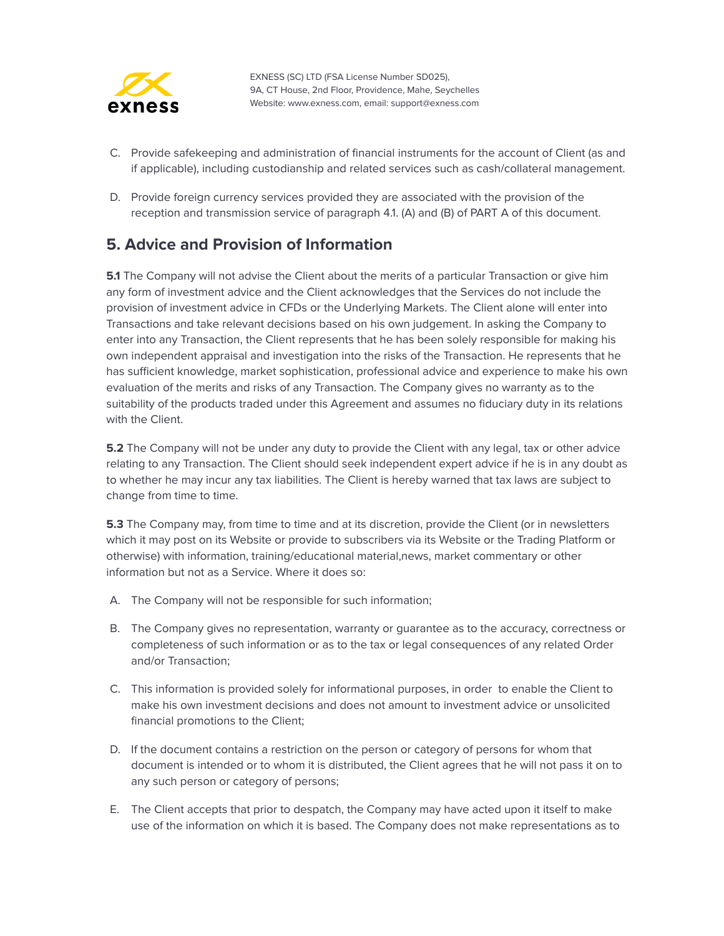

- C. Provide safekeeping and administration of financial instruments for the account of Client (as and if applicable), including custodianship and related services such as cash/collateral management.
- D. Provide foreign currency services provided they are associated with the provision of the reception and transmission service of paragraph 4.1. (A) and (B) of PART A of this document.

#### <span id="page-12-0"></span>**5. Advice and Provision of Information**

**5.1** The Company will not advise the Client about the merits of a particular Transaction or give him any form of investment advice and the Client acknowledges that the Services do not include the provision of investment advice in CFDs or the Underlying Markets. The Client alone will enter into Transactions and take relevant decisions based on his own judgement. In asking the Company to enter into any Transaction, the Client represents that he has been solely responsible for making his own independent appraisal and investigation into the risks of the Transaction. He represents that he has sufficient knowledge, market sophistication, professional advice and experience to make his own evaluation of the merits and risks of any Transaction. The Company gives no warranty as to the suitability of the products traded under this Agreement and assumes no fiduciary duty in its relations with the Client.

**5.2** The Company will not be under any duty to provide the Client with any legal, tax or other advice relating to any Transaction. The Client should seek independent expert advice if he is in any doubt as to whether he may incur any tax liabilities. The Client is hereby warned that tax laws are subject to change from time to time.

**5.3** The Company may, from time to time and at its discretion, provide the Client (or in newsletters which it may post on its Website or provide to subscribers via its Website or the Trading Platform or otherwise) with information, training/educational material,news, market commentary or other information but not as a Service. Where it does so:

- A. The Company will not be responsible for such information;
- B. The Company gives no representation, warranty or guarantee as to the accuracy, correctness or completeness of such information or as to the tax or legal consequences of any related Order and/or Transaction;
- C. This information is provided solely for informational purposes, in order to enable the Client to make his own investment decisions and does not amount to investment advice or unsolicited financial promotions to the Client;
- D. If the document contains a restriction on the person or category of persons for whom that document is intended or to whom it is distributed, the Client agrees that he will not pass it on to any such person or category of persons;
- E. The Client accepts that prior to despatch, the Company may have acted upon it itself to make use of the information on which it is based. The Company does not make representations as to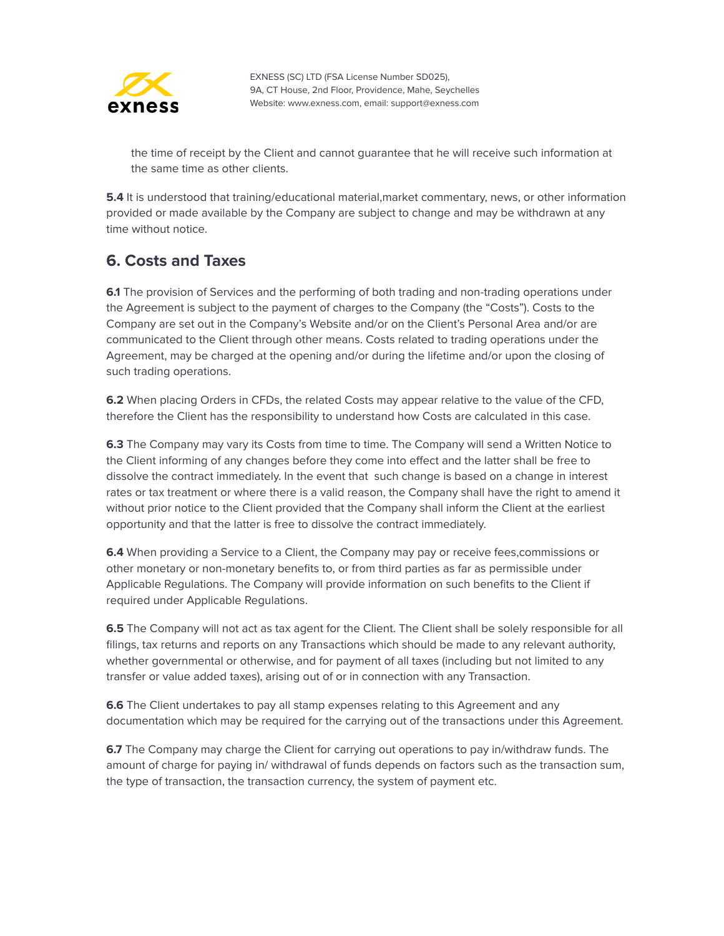

the time of receipt by the Client and cannot guarantee that he will receive such information at the same time as other clients.

**5.4** It is understood that training/educational material,market commentary, news, or other information provided or made available by the Company are subject to change and may be withdrawn at any time without notice.

#### <span id="page-13-0"></span>**6. Costs and Taxes**

**6.1** The provision of Services and the performing of both trading and non-trading operations under the Agreement is subject to the payment of charges to the Company (the "Costs"). Costs to the Company are set out in the Company's Website and/or on the Client's Personal Area and/or are communicated to the Client through other means. Costs related to trading operations under the Agreement, may be charged at the opening and/or during the lifetime and/or upon the closing of such trading operations.

**6.2** When placing Orders in CFDs, the related Costs may appear relative to the value of the CFD, therefore the Client has the responsibility to understand how Costs are calculated in this case.

**6.3** The Company may vary its Costs from time to time. The Company will send a Written Notice to the Client informing of any changes before they come into effect and the latter shall be free to dissolve the contract immediately. In the event that such change is based on a change in interest rates or tax treatment or where there is a valid reason, the Company shall have the right to amend it without prior notice to the Client provided that the Company shall inform the Client at the earliest opportunity and that the latter is free to dissolve the contract immediately.

**6.4** When providing a Service to a Client, the Company may pay or receive fees,commissions or other monetary or non-monetary benefits to, or from third parties as far as permissible under Applicable Regulations. The Company will provide information on such benefits to the Client if required under Applicable Regulations.

**6.5** The Company will not act as tax agent for the Client. The Client shall be solely responsible for all filings, tax returns and reports on any Transactions which should be made to any relevant authority, whether governmental or otherwise, and for payment of all taxes (including but not limited to any transfer or value added taxes), arising out of or in connection with any Transaction.

**6.6** The Client undertakes to pay all stamp expenses relating to this Agreement and any documentation which may be required for the carrying out of the transactions under this Agreement.

**6.7** The Company may charge the Client for carrying out operations to pay in/withdraw funds. The amount of charge for paying in/ withdrawal of funds depends on factors such as the transaction sum, the type of transaction, the transaction currency, the system of payment etc.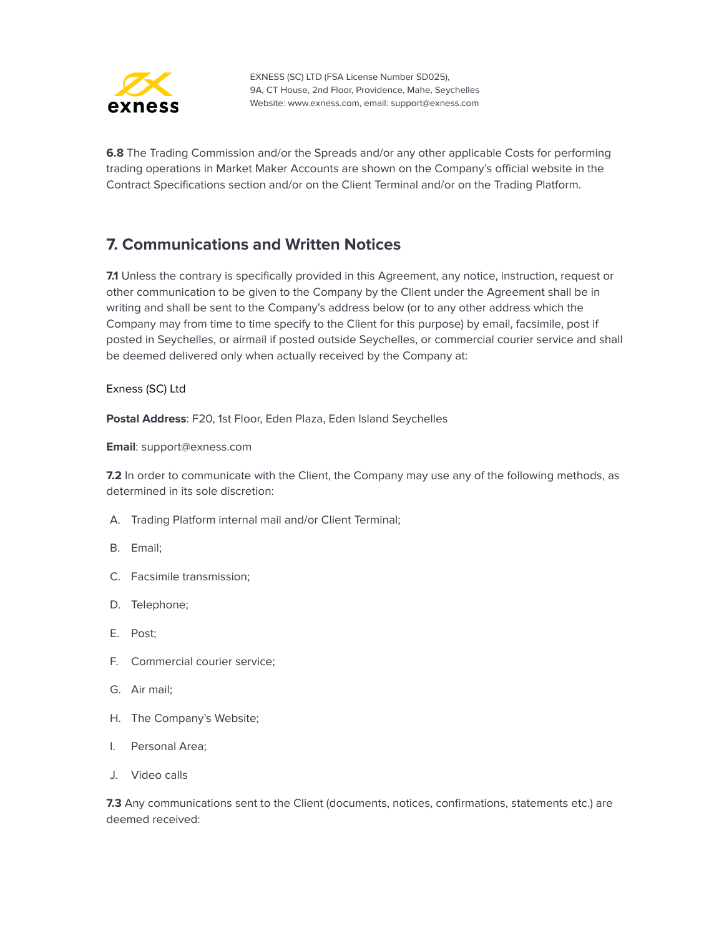

**6.8** The Trading Commission and/or the Spreads and/or any other applicable Costs for performing trading operations in Market Maker Accounts are shown on the Company's official website in the Contract Specifications section and/or on the Client Terminal and/or on the Trading Platform.

## <span id="page-14-0"></span>**7. Communications and Written Notices**

**7.1** Unless the contrary is specifically provided in this Agreement, any notice, instruction, request or other communication to be given to the Company by the Client under the Agreement shall be in writing and shall be sent to the Company's address below (or to any other address which the Company may from time to time specify to the Client for this purpose) by email, facsimile, post if posted in Seychelles, or airmail if posted outside Seychelles, or commercial courier service and shall be deemed delivered only when actually received by the Company at:

#### Exness (SC) Ltd

**Postal Address**: F20, 1st Floor, Eden Plaza, Eden Island Seychelles

**Email**: support@exness.com

**7.2** In order to communicate with the Client, the Company may use any of the following methods, as determined in its sole discretion:

- A. Trading Platform internal mail and/or Client Terminal;
- B. Email;
- C. Facsimile transmission;
- D. Telephone;
- E. Post;
- F. Commercial courier service;
- G. Air mail;
- H. The Company's Website;
- I. Personal Area;
- J. Video calls

**7.3** Any communications sent to the Client (documents, notices, confirmations, statements etc.) are deemed received: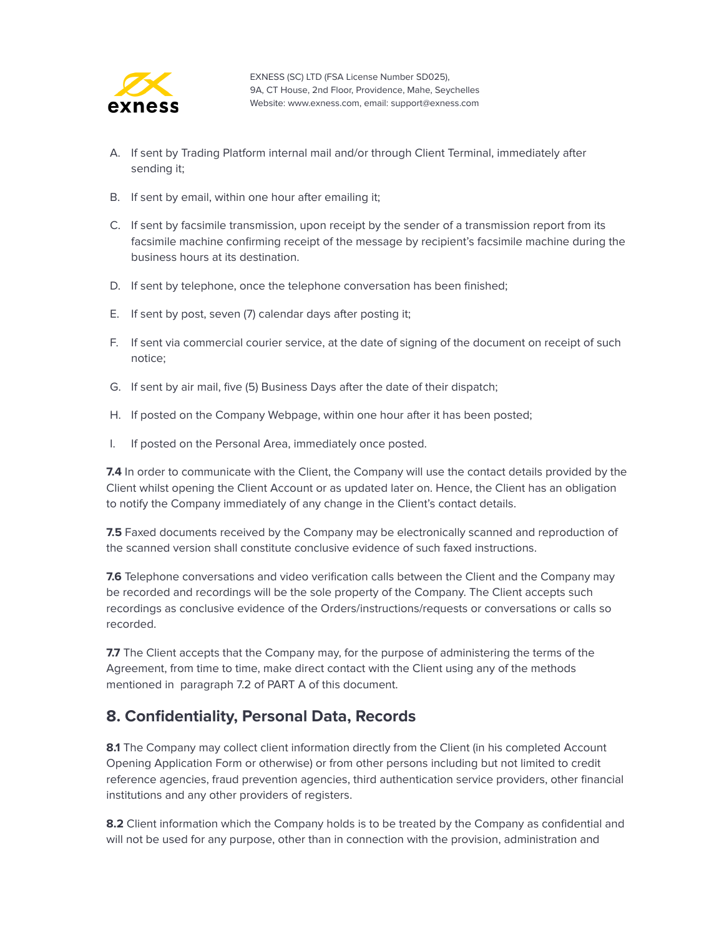

- A. If sent by Trading Platform internal mail and/or through Client Terminal, immediately after sending it;
- B. If sent by email, within one hour after emailing it;
- C. If sent by facsimile transmission, upon receipt by the sender of a transmission report from its facsimile machine confirming receipt of the message by recipient's facsimile machine during the business hours at its destination.
- D. If sent by telephone, once the telephone conversation has been finished;
- E. If sent by post, seven (7) calendar days after posting it;
- F. If sent via commercial courier service, at the date of signing of the document on receipt of such notice;
- G. If sent by air mail, five (5) Business Days after the date of their dispatch;
- H. If posted on the Company Webpage, within one hour after it has been posted;
- I. If posted on the Personal Area, immediately once posted.

**7.4** In order to communicate with the Client, the Company will use the contact details provided by the Client whilst opening the Client Account or as updated later on. Hence, the Client has an obligation to notify the Company immediately of any change in the Client's contact details.

**7.5** Faxed documents received by the Company may be electronically scanned and reproduction of the scanned version shall constitute conclusive evidence of such faxed instructions.

**7.6** Telephone conversations and video verification calls between the Client and the Company may be recorded and recordings will be the sole property of the Company. The Client accepts such recordings as conclusive evidence of the Orders/instructions/requests or conversations or calls so recorded.

**7.7** The Client accepts that the Company may, for the purpose of administering the terms of the Agreement, from time to time, make direct contact with the Client using any of the methods mentioned in paragraph 7.2 of PART A of this document.

#### <span id="page-15-0"></span>**8. Confidentiality, Personal Data, Records**

8.1 The Company may collect client information directly from the Client (in his completed Account Opening Application Form or otherwise) or from other persons including but not limited to credit reference agencies, fraud prevention agencies, third authentication service providers, other financial institutions and any other providers of registers.

**8.2** Client information which the Company holds is to be treated by the Company as confidential and will not be used for any purpose, other than in connection with the provision, administration and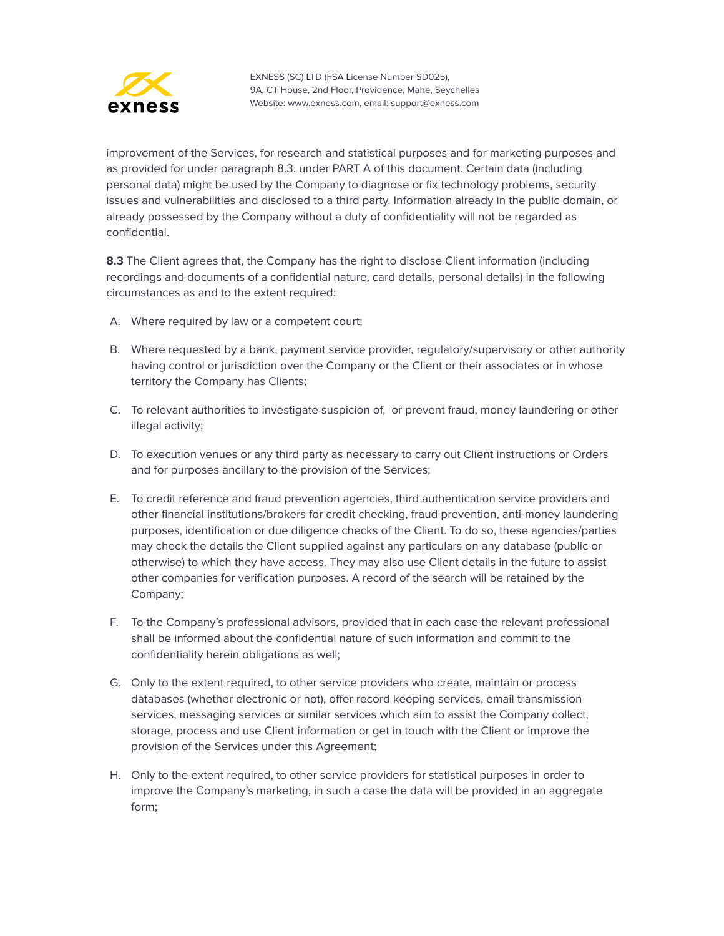

improvement of the Services, for research and statistical purposes and for marketing purposes and as provided for under paragraph 8.3. under PART A of this document. Certain data (including personal data) might be used by the Company to diagnose or fix technology problems, security issues and vulnerabilities and disclosed to a third party. Information already in the public domain, or already possessed by the Company without a duty of confidentiality will not be regarded as confidential.

**8.3** The Client agrees that, the Company has the right to disclose Client information (including recordings and documents of a confidential nature, card details, personal details) in the following circumstances as and to the extent required:

- A. Where required by law or a competent court;
- B. Where requested by a bank, payment service provider, regulatory/supervisory or other authority having control or jurisdiction over the Company or the Client or their associates or in whose territory the Company has Clients;
- C. To relevant authorities to investigate suspicion of, or prevent fraud, money laundering or other illegal activity;
- D. To execution venues or any third party as necessary to carry out Client instructions or Orders and for purposes ancillary to the provision of the Services;
- E. To credit reference and fraud prevention agencies, third authentication service providers and other financial institutions/brokers for credit checking, fraud prevention, anti-money laundering purposes, identification or due diligence checks of the Client. To do so, these agencies/parties may check the details the Client supplied against any particulars on any database (public or otherwise) to which they have access. They may also use Client details in the future to assist other companies for verification purposes. A record of the search will be retained by the Company;
- F. To the Company's professional advisors, provided that in each case the relevant professional shall be informed about the confidential nature of such information and commit to the confidentiality herein obligations as well;
- G. Only to the extent required, to other service providers who create, maintain or process databases (whether electronic or not), offer record keeping services, email transmission services, messaging services or similar services which aim to assist the Company collect, storage, process and use Client information or get in touch with the Client or improve the provision of the Services under this Agreement;
- H. Only to the extent required, to other service providers for statistical purposes in order to improve the Company's marketing, in such a case the data will be provided in an aggregate form;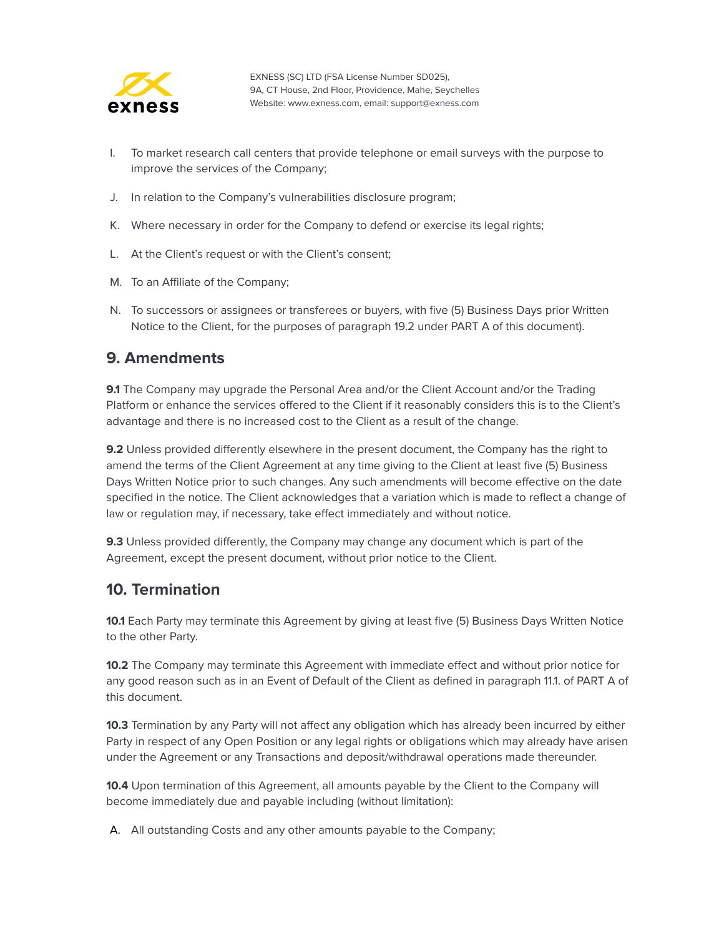

- I. To market research call centers that provide telephone or email surveys with the purpose to improve the services of the Company;
- J. In relation to the Company's vulnerabilities disclosure program;
- K. Where necessary in order for the Company to defend or exercise its legal rights;
- L. At the Client's request or with the Client's consent;
- M. To an Affiliate of the Company;
- N. To successors or assignees or transferees or buyers, with five (5) Business Days prior Written Notice to the Client, for the purposes of paragraph 19.2 under PART A of this document).

#### <span id="page-17-0"></span>**9. Amendments**

**9.1** The Company may upgrade the Personal Area and/or the Client Account and/or the Trading Platform or enhance the services offered to the Client if it reasonably considers this is to the Client's advantage and there is no increased cost to the Client as a result of the change.

**9.2** Unless provided differently elsewhere in the present document, the Company has the right to amend the terms of the Client Agreement at any time giving to the Client at least five (5) Business Days Written Notice prior to such changes. Any such amendments will become effective on the date specified in the notice. The Client acknowledges that a variation which is made to reflect a change of law or regulation may, if necessary, take effect immediately and without notice.

**9.3** Unless provided differently, the Company may change any document which is part of the Agreement, except the present document, without prior notice to the Client.

#### <span id="page-17-1"></span>**10. Termination**

**10.1** Each Party may terminate this Agreement by giving at least five (5) Business Days Written Notice to the other Party.

**10.2** The Company may terminate this Agreement with immediate effect and without prior notice for any good reason such as in an Event of Default of the Client as defined in paragraph 11.1. of PART A of this document.

**10.3** Termination by any Party will not affect any obligation which has already been incurred by either Party in respect of any Open Position or any legal rights or obligations which may already have arisen under the Agreement or any Transactions and deposit/withdrawal operations made thereunder.

**10.4** Upon termination of this Agreement, all amounts payable by the Client to the Company will become immediately due and payable including (without limitation):

A. All outstanding Costs and any other amounts payable to the Company;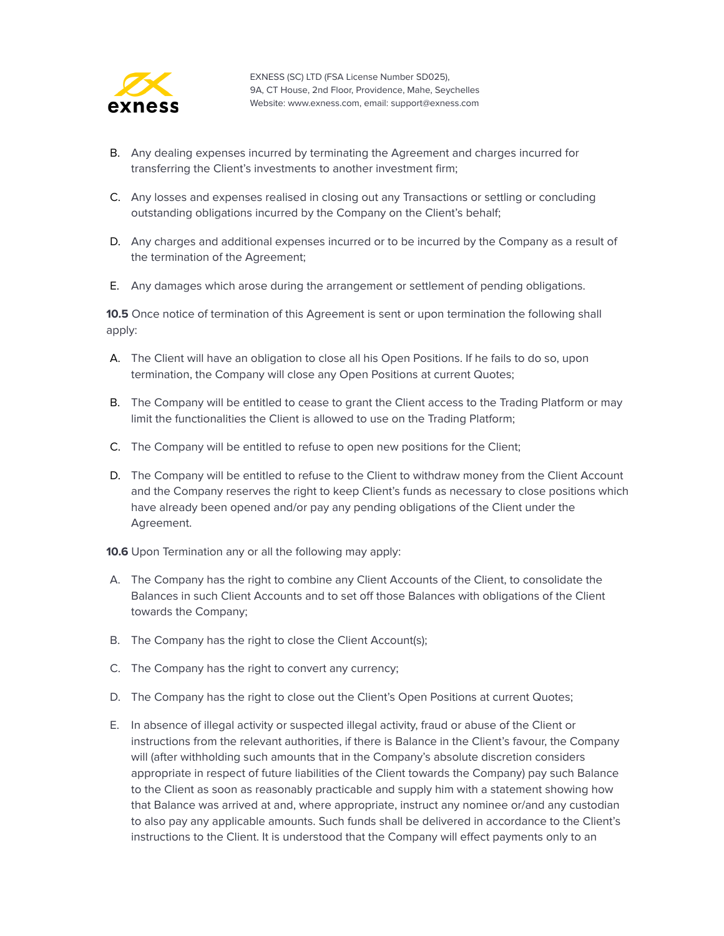

- B. Any dealing expenses incurred by terminating the Agreement and charges incurred for transferring the Client's investments to another investment firm;
- C. Any losses and expenses realised in closing out any Transactions or settling or concluding outstanding obligations incurred by the Company on the Client's behalf;
- D. Any charges and additional expenses incurred or to be incurred by the Company as a result of the termination of the Agreement;
- E. Any damages which arose during the arrangement or settlement of pending obligations.

**10.5** Once notice of termination of this Agreement is sent or upon termination the following shall apply:

- A. The Client will have an obligation to close all his Open Positions. If he fails to do so, upon termination, the Company will close any Open Positions at current Quotes;
- B. The Company will be entitled to cease to grant the Client access to the Trading Platform or may limit the functionalities the Client is allowed to use on the Trading Platform;
- C. The Company will be entitled to refuse to open new positions for the Client;
- D. The Company will be entitled to refuse to the Client to withdraw money from the Client Account and the Company reserves the right to keep Client's funds as necessary to close positions which have already been opened and/or pay any pending obligations of the Client under the Agreement.
- **10.6** Upon Termination any or all the following may apply:
- A. The Company has the right to combine any Client Accounts of the Client, to consolidate the Balances in such Client Accounts and to set off those Balances with obligations of the Client towards the Company;
- B. The Company has the right to close the Client Account(s);
- C. The Company has the right to convert any currency;
- D. The Company has the right to close out the Client's Open Positions at current Quotes;
- E. In absence of illegal activity or suspected illegal activity, fraud or abuse of the Client or instructions from the relevant authorities, if there is Balance in the Client's favour, the Company will (after withholding such amounts that in the Company's absolute discretion considers appropriate in respect of future liabilities of the Client towards the Company) pay such Balance to the Client as soon as reasonably practicable and supply him with a statement showing how that Balance was arrived at and, where appropriate, instruct any nominee or/and any custodian to also pay any applicable amounts. Such funds shall be delivered in accordance to the Client's instructions to the Client. It is understood that the Company will effect payments only to an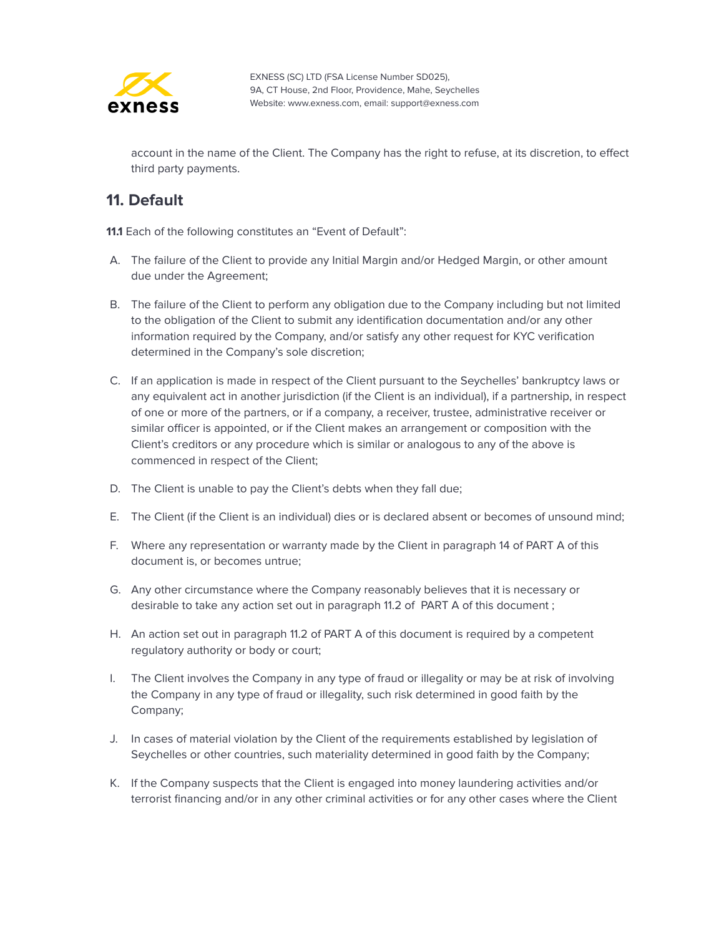

account in the name of the Client. The Company has the right to refuse, at its discretion, to effect third party payments.

#### <span id="page-19-0"></span>**11. Default**

**11.1** Each of the following constitutes an "Event of Default":

- A. The failure of the Client to provide any Initial Margin and/or Hedged Margin, or other amount due under the Agreement;
- B. The failure of the Client to perform any obligation due to the Company including but not limited to the obligation of the Client to submit any identification documentation and/or any other information required by the Company, and/or satisfy any other request for KYC verification determined in the Company's sole discretion;
- C. If an application is made in respect of the Client pursuant to the Seychelles' bankruptcy laws or any equivalent act in another jurisdiction (if the Client is an individual), if a partnership, in respect of one or more of the partners, or if a company, a receiver, trustee, administrative receiver or similar officer is appointed, or if the Client makes an arrangement or composition with the Client's creditors or any procedure which is similar or analogous to any of the above is commenced in respect of the Client;
- D. The Client is unable to pay the Client's debts when they fall due;
- E. The Client (if the Client is an individual) dies or is declared absent or becomes of unsound mind;
- F. Where any representation or warranty made by the Client in paragraph 14 of PART A of this document is, or becomes untrue;
- G. Any other circumstance where the Company reasonably believes that it is necessary or desirable to take any action set out in paragraph 11.2 of PART A of this document ;
- H. An action set out in paragraph 11.2 of PART A of this document is required by a competent regulatory authority or body or court;
- I. The Client involves the Company in any type of fraud or illegality or may be at risk of involving the Company in any type of fraud or illegality, such risk determined in good faith by the Company;
- J. In cases of material violation by the Client of the requirements established by legislation of Seychelles or other countries, such materiality determined in good faith by the Company;
- K. If the Company suspects that the Client is engaged into money laundering activities and/or terrorist financing and/or in any other criminal activities or for any other cases where the Client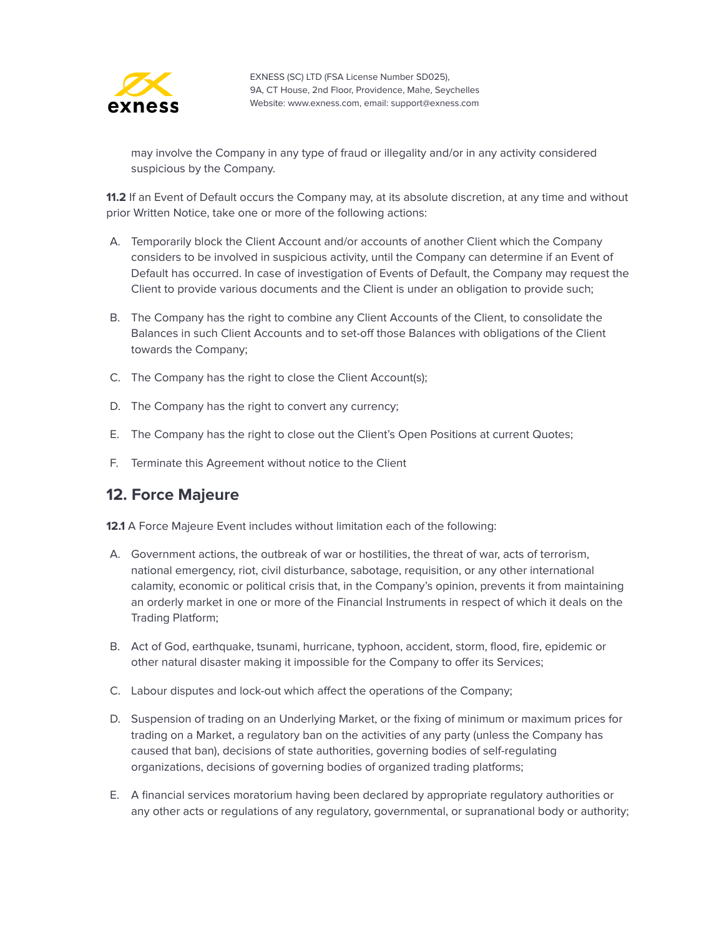

may involve the Company in any type of fraud or illegality and/or in any activity considered suspicious by the Company.

**11.2** If an Event of Default occurs the Company may, at its absolute discretion, at any time and without prior Written Notice, take one or more of the following actions:

- A. Temporarily block the Client Account and/or accounts of another Client which the Company considers to be involved in suspicious activity, until the Company can determine if an Event of Default has occurred. In case of investigation of Events of Default, the Company may request the Client to provide various documents and the Client is under an obligation to provide such;
- B. The Company has the right to combine any Client Accounts of the Client, to consolidate the Balances in such Client Accounts and to set-off those Balances with obligations of the Client towards the Company;
- C. The Company has the right to close the Client Account(s);
- D. The Company has the right to convert any currency;
- E. The Company has the right to close out the Client's Open Positions at current Quotes;
- F. Terminate this Agreement without notice to the Client

#### <span id="page-20-0"></span>**12. Force Majeure**

**12.1** A Force Majeure Event includes without limitation each of the following:

- A. Government actions, the outbreak of war or hostilities, the threat of war, acts of terrorism, national emergency, riot, civil disturbance, sabotage, requisition, or any other international calamity, economic or political crisis that, in the Company's opinion, prevents it from maintaining an orderly market in one or more of the Financial Instruments in respect of which it deals on the Trading Platform;
- B. Act of God, earthquake, tsunami, hurricane, typhoon, accident, storm, flood, fire, epidemic or other natural disaster making it impossible for the Company to offer its Services;
- C. Labour disputes and lock-out which affect the operations of the Company;
- D. Suspension of trading on an Underlying Market, or the fixing of minimum or maximum prices for trading on a Market, a regulatory ban on the activities of any party (unless the Company has caused that ban), decisions of state authorities, governing bodies of self-regulating organizations, decisions of governing bodies of organized trading platforms;
- E. A financial services moratorium having been declared by appropriate regulatory authorities or any other acts or regulations of any regulatory, governmental, or supranational body or authority;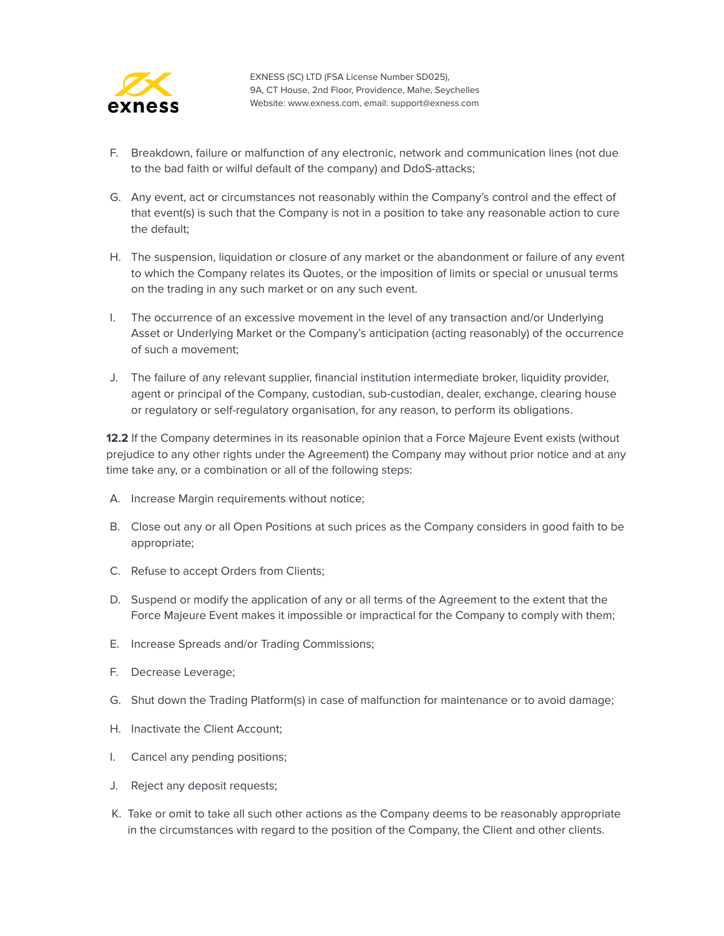

- F. Breakdown, failure or malfunction of any electronic, network and communication lines (not due to the bad faith or wilful default of the company) and DdoS-attacks;
- G. Any event, act or circumstances not reasonably within the Company's control and the effect of that event(s) is such that the Company is not in a position to take any reasonable action to cure the default;
- H. The suspension, liquidation or closure of any market or the abandonment or failure of any event to which the Company relates its Quotes, or the imposition of limits or special or unusual terms on the trading in any such market or on any such event.
- I. The occurrence of an excessive movement in the level of any transaction and/or Underlying Asset or Underlying Market or the Company's anticipation (acting reasonably) of the occurrence of such a movement;
- J. The failure of any relevant supplier, financial institution intermediate broker, liquidity provider, agent or principal of the Company, custodian, sub-custodian, dealer, exchange, clearing house or regulatory or self-regulatory organisation, for any reason, to perform its obligations.

**12.2** If the Company determines in its reasonable opinion that a Force Majeure Event exists (without prejudice to any other rights under the Agreement) the Company may without prior notice and at any time take any, or a combination or all of the following steps:

- A. Increase Margin requirements without notice;
- B. Close out any or all Open Positions at such prices as the Company considers in good faith to be appropriate;
- C. Refuse to accept Orders from Clients;
- D. Suspend or modify the application of any or all terms of the Agreement to the extent that the Force Majeure Event makes it impossible or impractical for the Company to comply with them;
- E. Increase Spreads and/or Trading Commissions;
- F. Decrease Leverage;
- G. Shut down the Trading Platform(s) in case of malfunction for maintenance or to avoid damage;
- H. Inactivate the Client Account;
- I. Cancel any pending positions;
- J. Reject any deposit requests;
- K. Take or omit to take all such other actions as the Company deems to be reasonably appropriate in the circumstances with regard to the position of the Company, the Client and other clients.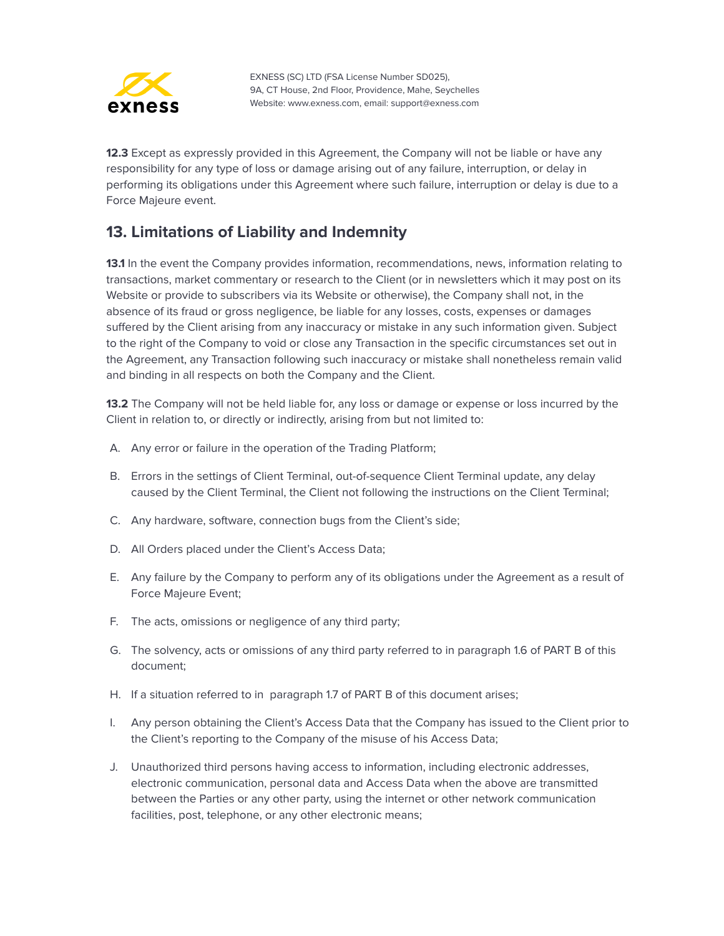

**12.3** Except as expressly provided in this Agreement, the Company will not be liable or have any responsibility for any type of loss or damage arising out of any failure, interruption, or delay in performing its obligations under this Agreement where such failure, interruption or delay is due to a Force Majeure event.

#### <span id="page-22-0"></span>**13. Limitations of Liability and Indemnity**

**13.1** In the event the Company provides information, recommendations, news, information relating to transactions, market commentary or research to the Client (or in newsletters which it may post on its Website or provide to subscribers via its Website or otherwise), the Company shall not, in the absence of its fraud or gross negligence, be liable for any losses, costs, expenses or damages suffered by the Client arising from any inaccuracy or mistake in any such information given. Subject to the right of the Company to void or close any Transaction in the specific circumstances set out in the Agreement, any Transaction following such inaccuracy or mistake shall nonetheless remain valid and binding in all respects on both the Company and the Client.

**13.2** The Company will not be held liable for, any loss or damage or expense or loss incurred by the Client in relation to, or directly or indirectly, arising from but not limited to:

- A. Any error or failure in the operation of the Trading Platform;
- B. Errors in the settings of Client Terminal, out-of-sequence Client Terminal update, any delay caused by the Client Terminal, the Client not following the instructions on the Client Terminal;
- C. Any hardware, software, connection bugs from the Client's side;
- D. All Orders placed under the Client's Access Data;
- E. Any failure by the Company to perform any of its obligations under the Agreement as a result of Force Majeure Event;
- F. The acts, omissions or negligence of any third party;
- G. The solvency, acts or omissions of any third party referred to in paragraph 1.6 of PART B of this document;
- H. If a situation referred to in paragraph 1.7 of PART B of this document arises;
- I. Any person obtaining the Client's Access Data that the Company has issued to the Client prior to the Client's reporting to the Company of the misuse of his Access Data;
- J. Unauthorized third persons having access to information, including electronic addresses, electronic communication, personal data and Access Data when the above are transmitted between the Parties or any other party, using the internet or other network communication facilities, post, telephone, or any other electronic means;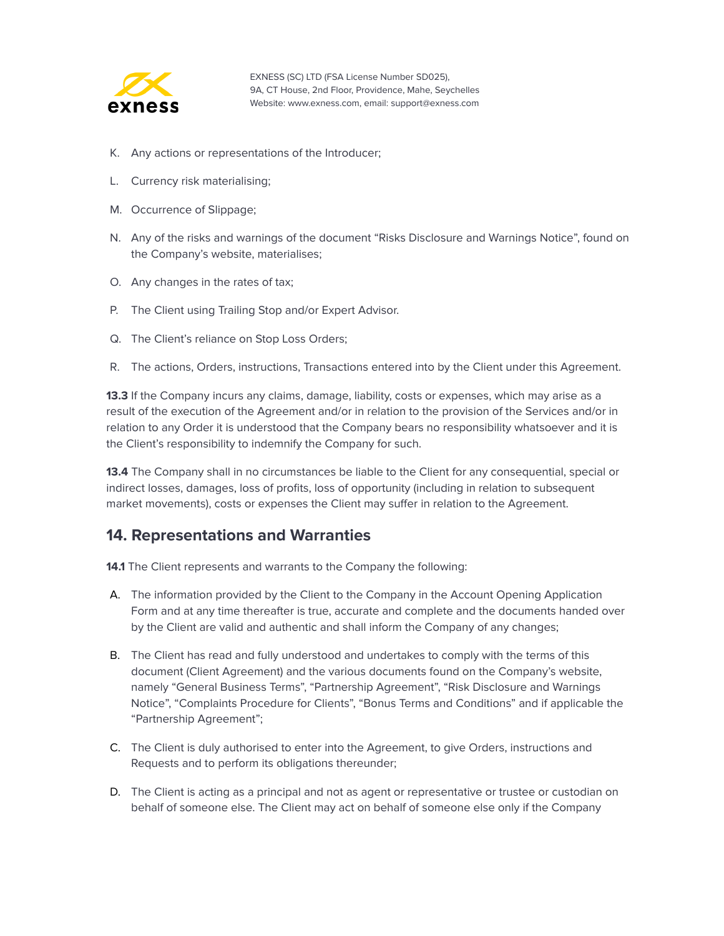

- K. Any actions or representations of the Introducer;
- L. Currency risk materialising;
- M. Occurrence of Slippage;
- N. Any of the risks and warnings of the document "Risks Disclosure and Warnings Notice", found on the Company's website, materialises;
- O. Any changes in the rates of tax;
- P. The Client using Trailing Stop and/or Expert Advisor.
- Q. The Client's reliance on Stop Loss Orders;
- R. The actions, Orders, instructions, Transactions entered into by the Client under this Agreement.

**13.3** If the Company incurs any claims, damage, liability, costs or expenses, which may arise as a result of the execution of the Agreement and/or in relation to the provision of the Services and/or in relation to any Order it is understood that the Company bears no responsibility whatsoever and it is the Client's responsibility to indemnify the Company for such.

**13.4** The Company shall in no circumstances be liable to the Client for any consequential, special or indirect losses, damages, loss of profits, loss of opportunity (including in relation to subsequent market movements), costs or expenses the Client may suffer in relation to the Agreement.

#### <span id="page-23-0"></span>**14. Representations and Warranties**

**14.1** The Client represents and warrants to the Company the following:

- A. The information provided by the Client to the Company in the Account Opening Application Form and at any time thereafter is true, accurate and complete and the documents handed over by the Client are valid and authentic and shall inform the Company of any changes;
- B. The Client has read and fully understood and undertakes to comply with the terms of this document (Client Agreement) and the various documents found on the Company's website, namely "General Business Terms", "Partnership Agreement", "Risk Disclosure and Warnings Notice", "Complaints Procedure for Clients", "Bonus Terms and Conditions" and if applicable the "Partnership Agreement";
- C. The Client is duly authorised to enter into the Agreement, to give Orders, instructions and Requests and to perform its obligations thereunder;
- D. The Client is acting as a principal and not as agent or representative or trustee or custodian on behalf of someone else. The Client may act on behalf of someone else only if the Company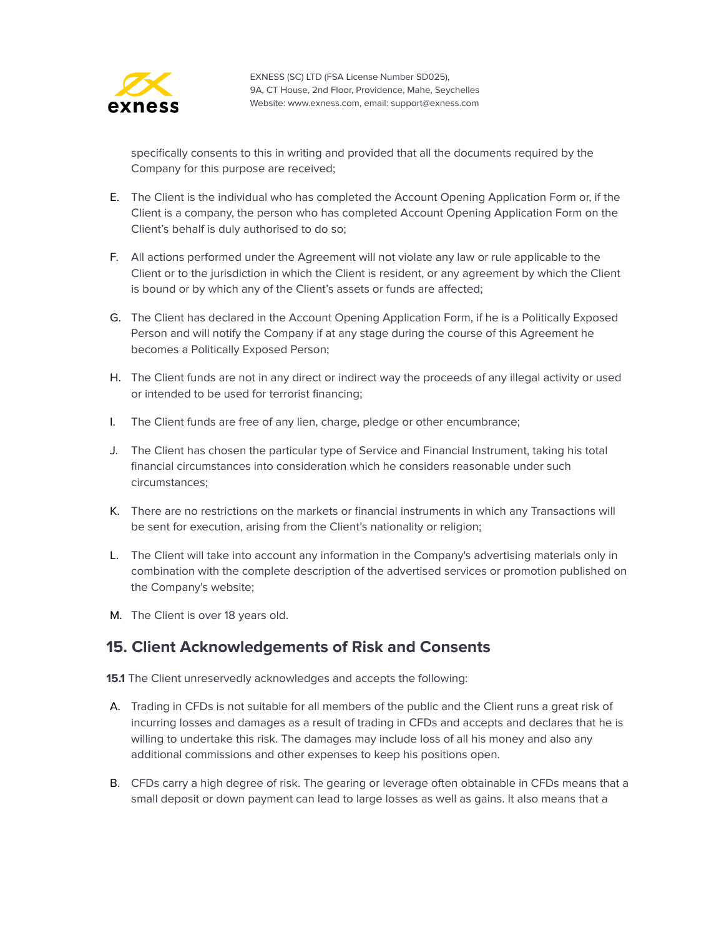

specifically consents to this in writing and provided that all the documents required by the Company for this purpose are received;

- E. The Client is the individual who has completed the Account Opening Application Form or, if the Client is a company, the person who has completed Account Opening Application Form on the Client's behalf is duly authorised to do so;
- F. All actions performed under the Agreement will not violate any law or rule applicable to the Client or to the jurisdiction in which the Client is resident, or any agreement by which the Client is bound or by which any of the Client's assets or funds are affected;
- G. The Client has declared in the Account Opening Application Form, if he is a Politically Exposed Person and will notify the Company if at any stage during the course of this Agreement he becomes a Politically Exposed Person;
- H. The Client funds are not in any direct or indirect way the proceeds of any illegal activity or used or intended to be used for terrorist financing;
- I. The Client funds are free of any lien, charge, pledge or other encumbrance;
- J. The Client has chosen the particular type of Service and Financial Instrument, taking his total financial circumstances into consideration which he considers reasonable under such circumstances;
- K. There are no restrictions on the markets or financial instruments in which any Transactions will be sent for execution, arising from the Client's nationality or religion;
- L. The Client will take into account any information in the Company's advertising materials only in combination with the complete description of the advertised services or promotion published on the Company's website;
- M. The Client is over 18 years old.

#### <span id="page-24-0"></span>**15. Client Acknowledgements of Risk and Consents**

- **15.1** The Client unreservedly acknowledges and accepts the following:
- A. Trading in CFDs is not suitable for all members of the public and the Client runs a great risk of incurring losses and damages as a result of trading in CFDs and accepts and declares that he is willing to undertake this risk. The damages may include loss of all his money and also any additional commissions and other expenses to keep his positions open.
- B. CFDs carry a high degree of risk. The gearing or leverage often obtainable in CFDs means that a small deposit or down payment can lead to large losses as well as gains. It also means that a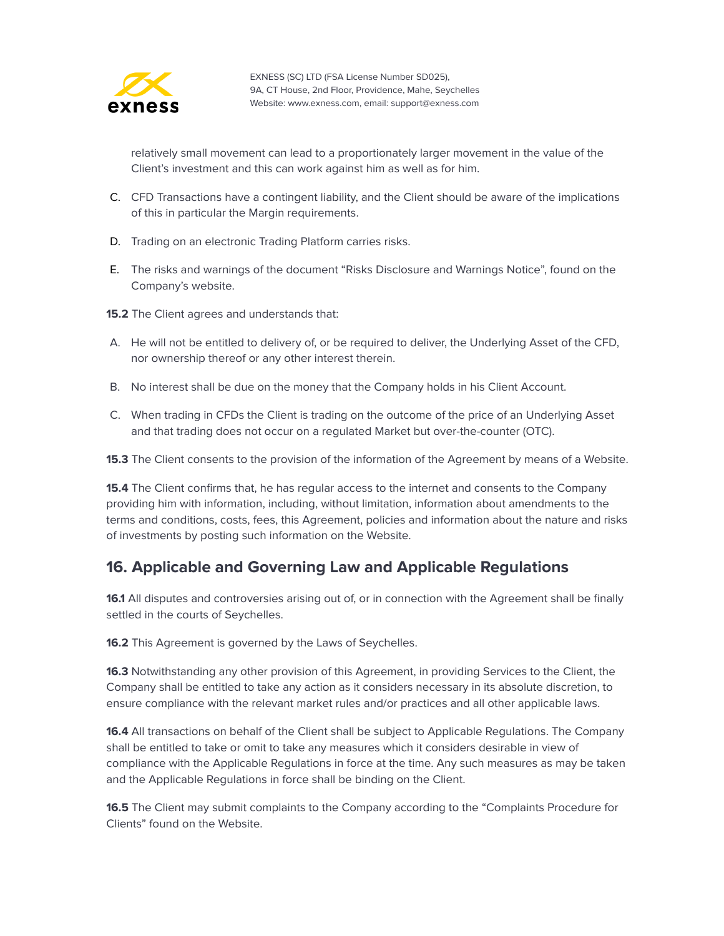

relatively small movement can lead to a proportionately larger movement in the value of the Client's investment and this can work against him as well as for him.

- C. CFD Transactions have a contingent liability, and the Client should be aware of the implications of this in particular the Margin requirements.
- D. Trading on an electronic Trading Platform carries risks.
- E. The risks and warnings of the document "Risks Disclosure and Warnings Notice", found on the Company's website.
- **15.2** The Client agrees and understands that:
- A. He will not be entitled to delivery of, or be required to deliver, the Underlying Asset of the CFD, nor ownership thereof or any other interest therein.
- B. No interest shall be due on the money that the Company holds in his Client Account.
- C. When trading in CFDs the Client is trading on the outcome of the price of an Underlying Asset and that trading does not occur on a regulated Market but over-the-counter (OTC).

**15.3** The Client consents to the provision of the information of the Agreement by means of a Website.

**15.4** The Client confirms that, he has regular access to the internet and consents to the Company providing him with information, including, without limitation, information about amendments to the terms and conditions, costs, fees, this Agreement, policies and information about the nature and risks of investments by posting such information on the Website.

#### <span id="page-25-0"></span>**16. Applicable and Governing Law and Applicable Regulations**

**16.1** All disputes and controversies arising out of, or in connection with the Agreement shall be finally settled in the courts of Seychelles.

**16.2** This Agreement is governed by the Laws of Seychelles.

**16.3** Notwithstanding any other provision of this Agreement, in providing Services to the Client, the Company shall be entitled to take any action as it considers necessary in its absolute discretion, to ensure compliance with the relevant market rules and/or practices and all other applicable laws.

**16.4** All transactions on behalf of the Client shall be subject to Applicable Regulations. The Company shall be entitled to take or omit to take any measures which it considers desirable in view of compliance with the Applicable Regulations in force at the time. Any such measures as may be taken and the Applicable Regulations in force shall be binding on the Client.

**16.5** The Client may submit complaints to the Company according to the "Complaints Procedure for Clients" found on the Website.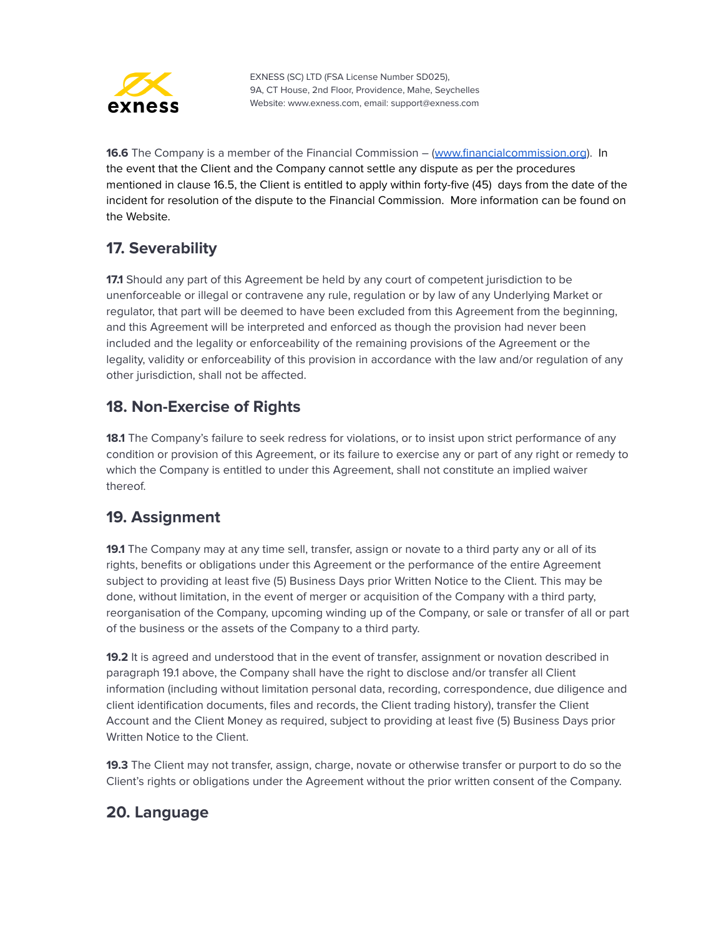

**16.6** The Company is a member of the Financial Commission – ([www.financialcommission.org](http://www.financialcommission.org)). In the event that the Client and the Company cannot settle any dispute as per the procedures mentioned in clause 16.5, the Client is entitled to apply within forty-five (45) days from the date of the incident for resolution of the dispute to the Financial Commission. More information can be found on the Website.

## <span id="page-26-0"></span>**17. Severability**

**17.1** Should any part of this Agreement be held by any court of competent jurisdiction to be unenforceable or illegal or contravene any rule, regulation or by law of any Underlying Market or regulator, that part will be deemed to have been excluded from this Agreement from the beginning, and this Agreement will be interpreted and enforced as though the provision had never been included and the legality or enforceability of the remaining provisions of the Agreement or the legality, validity or enforceability of this provision in accordance with the law and/or regulation of any other jurisdiction, shall not be affected.

## <span id="page-26-1"></span>**18. Non-Exercise of Rights**

**18.1** The Company's failure to seek redress for violations, or to insist upon strict performance of any condition or provision of this Agreement, or its failure to exercise any or part of any right or remedy to which the Company is entitled to under this Agreement, shall not constitute an implied waiver thereof.

## <span id="page-26-2"></span>**19. Assignment**

**19.1** The Company may at any time sell, transfer, assign or novate to a third party any or all of its rights, benefits or obligations under this Agreement or the performance of the entire Agreement subject to providing at least five (5) Business Days prior Written Notice to the Client. This may be done, without limitation, in the event of merger or acquisition of the Company with a third party, reorganisation of the Company, upcoming winding up of the Company, or sale or transfer of all or part of the business or the assets of the Company to a third party.

**19.2** It is agreed and understood that in the event of transfer, assignment or novation described in paragraph 19.1 above, the Company shall have the right to disclose and/or transfer all Client information (including without limitation personal data, recording, correspondence, due diligence and client identification documents, files and records, the Client trading history), transfer the Client Account and the Client Money as required, subject to providing at least five (5) Business Days prior Written Notice to the Client.

**19.3** The Client may not transfer, assign, charge, novate or otherwise transfer or purport to do so the Client's rights or obligations under the Agreement without the prior written consent of the Company.

## <span id="page-26-3"></span>**20. Language**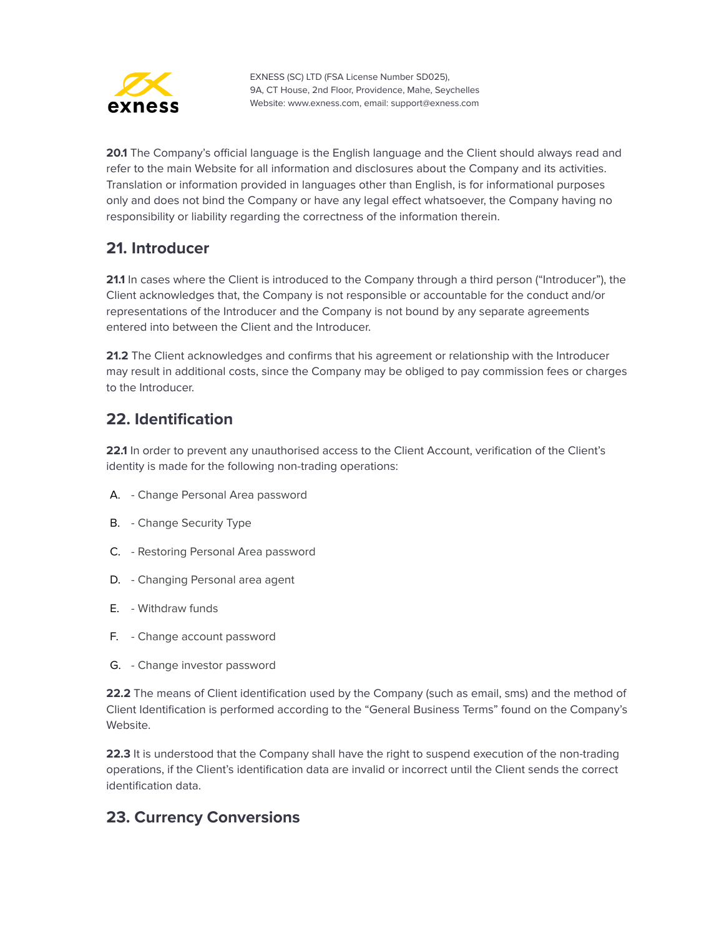

**20.1** The Company's official language is the English language and the Client should always read and refer to the main Website for all information and disclosures about the Company and its activities. Translation or information provided in languages other than English, is for informational purposes only and does not bind the Company or have any legal effect whatsoever, the Company having no responsibility or liability regarding the correctness of the information therein.

#### <span id="page-27-0"></span>**21. Introducer**

**21.1** In cases where the Client is introduced to the Company through a third person ("Introducer"), the Client acknowledges that, the Company is not responsible or accountable for the conduct and/or representations of the Introducer and the Company is not bound by any separate agreements entered into between the Client and the Introducer.

**21.2** The Client acknowledges and confirms that his agreement or relationship with the Introducer may result in additional costs, since the Company may be obliged to pay commission fees or charges to the Introducer.

#### <span id="page-27-1"></span>**22. Identification**

**22.1** In order to prevent any unauthorised access to the Client Account, verification of the Client's identity is made for the following non-trading operations:

- A. Change Personal Area password
- B. Change Security Type
- C. Restoring Personal Area password
- D. Changing Personal area agent
- E. Withdraw funds
- F. Change account password
- G. Change investor password

**22.2** The means of Client identification used by the Company (such as email, sms) and the method of Client Identification is performed according to the "General Business Terms" found on the Company's Website.

**22.3** It is understood that the Company shall have the right to suspend execution of the non-trading operations, if the Client's identification data are invalid or incorrect until the Client sends the correct identification data.

## <span id="page-27-2"></span>**23. Currency Conversions**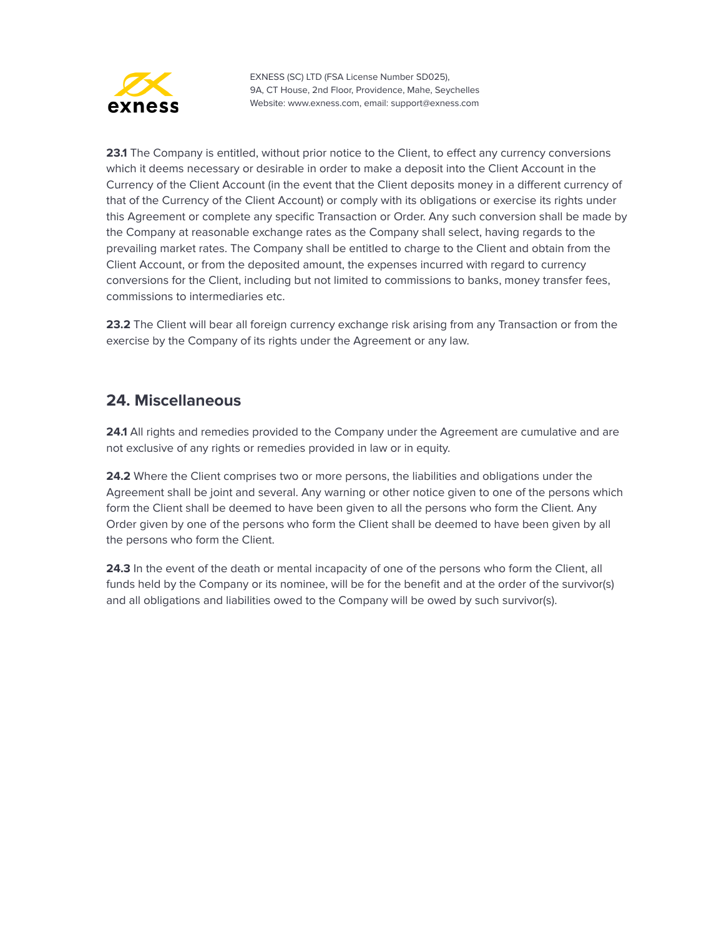

**23.1** The Company is entitled, without prior notice to the Client, to effect any currency conversions which it deems necessary or desirable in order to make a deposit into the Client Account in the Currency of the Client Account (in the event that the Client deposits money in a different currency of that of the Currency of the Client Account) or comply with its obligations or exercise its rights under this Agreement or complete any specific Transaction or Order. Any such conversion shall be made by the Company at reasonable exchange rates as the Company shall select, having regards to the prevailing market rates. The Company shall be entitled to charge to the Client and obtain from the Client Account, or from the deposited amount, the expenses incurred with regard to currency conversions for the Client, including but not limited to commissions to banks, money transfer fees, commissions to intermediaries etc.

**23.2** The Client will bear all foreign currency exchange risk arising from any Transaction or from the exercise by the Company of its rights under the Agreement or any law.

#### <span id="page-28-0"></span>**24. Miscellaneous**

**24.1** All rights and remedies provided to the Company under the Agreement are cumulative and are not exclusive of any rights or remedies provided in law or in equity.

**24.2** Where the Client comprises two or more persons, the liabilities and obligations under the Agreement shall be joint and several. Any warning or other notice given to one of the persons which form the Client shall be deemed to have been given to all the persons who form the Client. Any Order given by one of the persons who form the Client shall be deemed to have been given by all the persons who form the Client.

**24.3** In the event of the death or mental incapacity of one of the persons who form the Client, all funds held by the Company or its nominee, will be for the benefit and at the order of the survivor(s) and all obligations and liabilities owed to the Company will be owed by such survivor(s).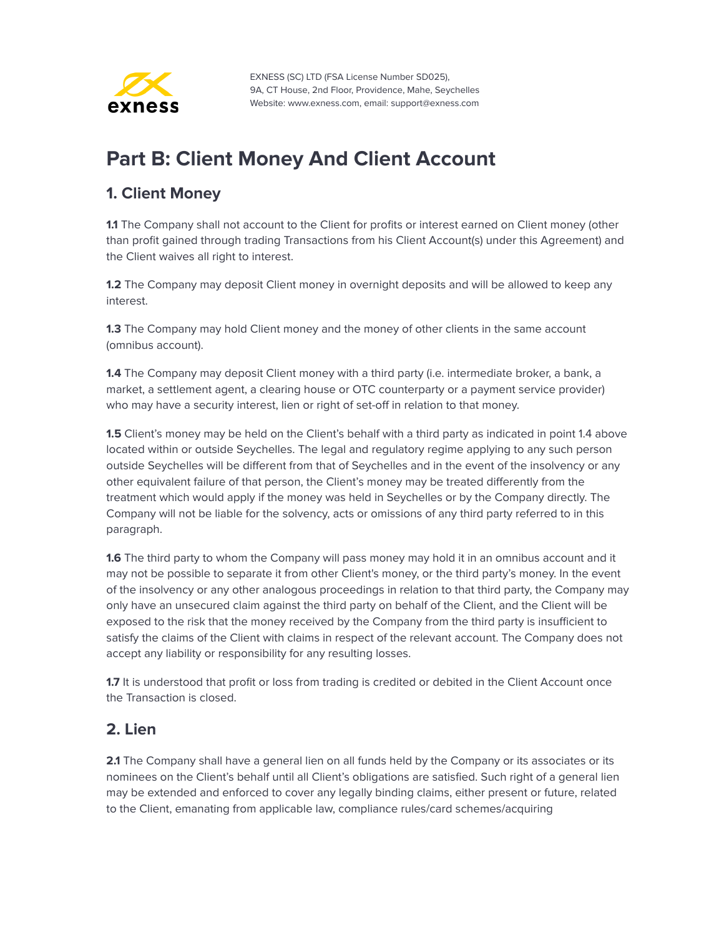

# <span id="page-29-0"></span>**Part B: Client Money And Client Account**

#### <span id="page-29-1"></span>**1. Client Money**

**1.1** The Company shall not account to the Client for profits or interest earned on Client money (other than profit gained through trading Transactions from his Client Account(s) under this Agreement) and the Client waives all right to interest.

**1.2** The Company may deposit Client money in overnight deposits and will be allowed to keep any interest.

**1.3** The Company may hold Client money and the money of other clients in the same account (omnibus account).

**1.4** The Company may deposit Client money with a third party (i.e. intermediate broker, a bank, a market, a settlement agent, a clearing house or OTC counterparty or a payment service provider) who may have a security interest, lien or right of set-off in relation to that money.

**1.5** Client's money may be held on the Client's behalf with a third party as indicated in point 1.4 above located within or outside Seychelles. The legal and regulatory regime applying to any such person outside Seychelles will be different from that of Seychelles and in the event of the insolvency or any other equivalent failure of that person, the Client's money may be treated differently from the treatment which would apply if the money was held in Seychelles or by the Company directly. The Company will not be liable for the solvency, acts or omissions of any third party referred to in this paragraph.

**1.6** The third party to whom the Company will pass money may hold it in an omnibus account and it may not be possible to separate it from other Client's money, or the third party's money. In the event of the insolvency or any other analogous proceedings in relation to that third party, the Company may only have an unsecured claim against the third party on behalf of the Client, and the Client will be exposed to the risk that the money received by the Company from the third party is insufficient to satisfy the claims of the Client with claims in respect of the relevant account. The Company does not accept any liability or responsibility for any resulting losses.

1.7 It is understood that profit or loss from trading is credited or debited in the Client Account once the Transaction is closed.

#### <span id="page-29-2"></span>**2. Lien**

**2.1** The Company shall have a general lien on all funds held by the Company or its associates or its nominees on the Client's behalf until all Client's obligations are satisfied. Such right of a general lien may be extended and enforced to cover any legally binding claims, either present or future, related to the Client, emanating from applicable law, compliance rules/card schemes/acquiring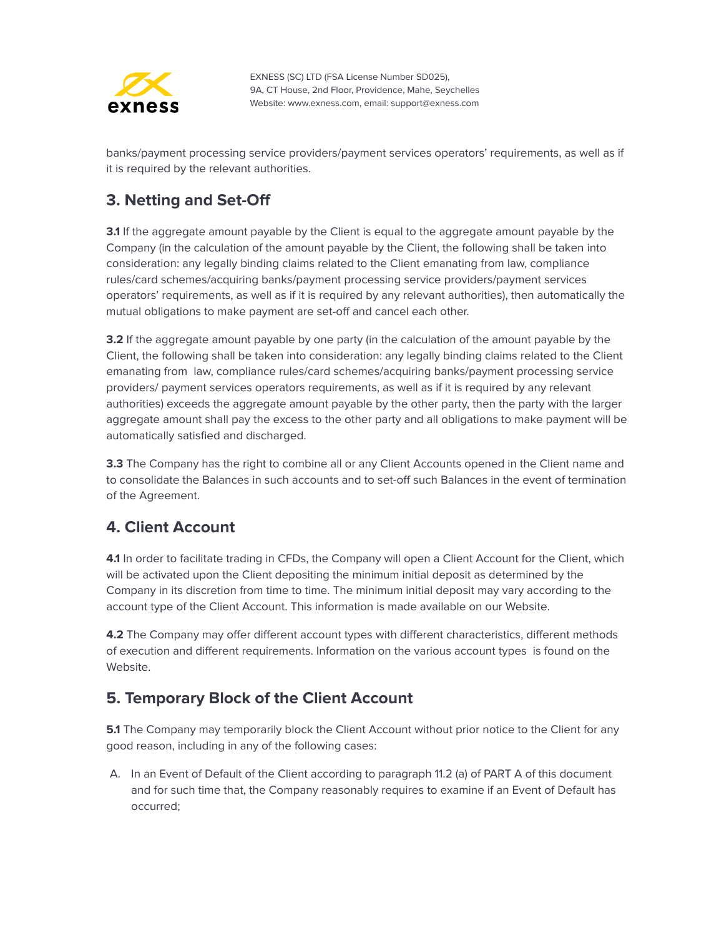

banks/payment processing service providers/payment services operators' requirements, as well as if it is required by the relevant authorities.

## <span id="page-30-0"></span>**3. Netting and Set-Off**

**3.1** If the aggregate amount payable by the Client is equal to the aggregate amount payable by the Company (in the calculation of the amount payable by the Client, the following shall be taken into consideration: any legally binding claims related to the Client emanating from law, compliance rules/card schemes/acquiring banks/payment processing service providers/payment services operators' requirements, as well as if it is required by any relevant authorities), then automatically the mutual obligations to make payment are set-off and cancel each other.

**3.2** If the aggregate amount payable by one party (in the calculation of the amount payable by the Client, the following shall be taken into consideration: any legally binding claims related to the Client emanating from law, compliance rules/card schemes/acquiring banks/payment processing service providers/ payment services operators requirements, as well as if it is required by any relevant authorities) exceeds the aggregate amount payable by the other party, then the party with the larger aggregate amount shall pay the excess to the other party and all obligations to make payment will be automatically satisfied and discharged.

**3.3** The Company has the right to combine all or any Client Accounts opened in the Client name and to consolidate the Balances in such accounts and to set-off such Balances in the event of termination of the Agreement.

## <span id="page-30-1"></span>**4. Client Account**

**4.1** In order to facilitate trading in CFDs, the Company will open a Client Account for the Client, which will be activated upon the Client depositing the minimum initial deposit as determined by the Company in its discretion from time to time. The minimum initial deposit may vary according to the account type of the Client Account. This information is made available on our Website.

**4.2** The Company may offer different account types with different characteristics, different methods of execution and different requirements. Information on the various account types is found on the Website.

#### <span id="page-30-2"></span>**5. Temporary Block of the Client Account**

**5.1** The Company may temporarily block the Client Account without prior notice to the Client for any good reason, including in any of the following cases:

A. In an Event of Default of the Client according to paragraph 11.2 (a) of PART A of this document and for such time that, the Company reasonably requires to examine if an Event of Default has occurred;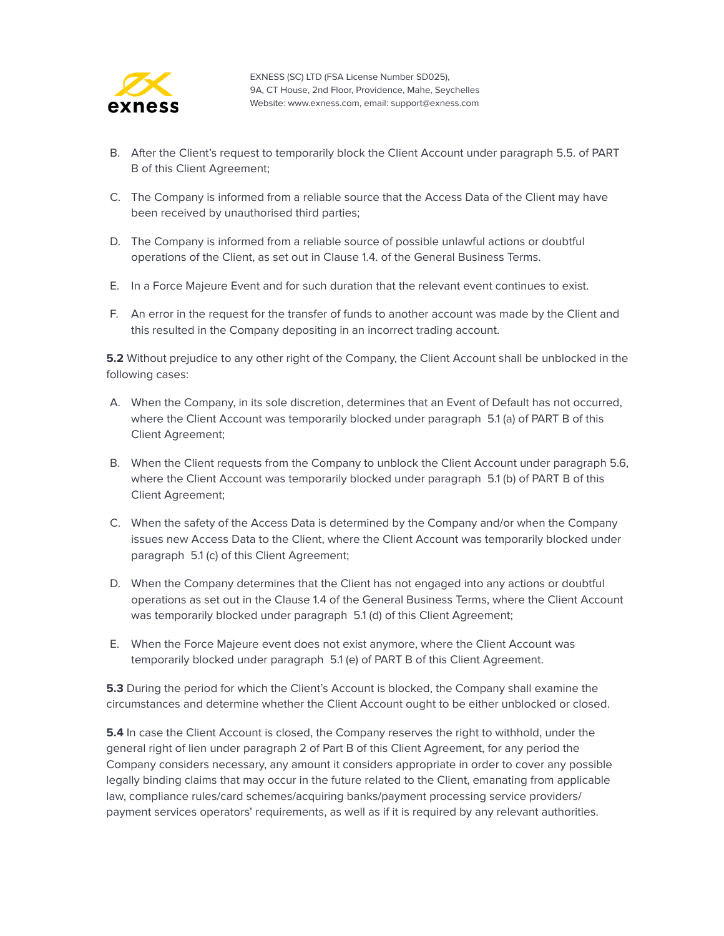

- B. After the Client's request to temporarily block the Client Account under paragraph 5.5. of PART B of this Client Agreement;
- C. The Company is informed from a reliable source that the Access Data of the Client may have been received by unauthorised third parties;
- D. The Company is informed from a reliable source of possible unlawful actions or doubtful operations of the Client, as set out in Clause 1.4. of the General Business Terms.
- E. In a Force Majeure Event and for such duration that the relevant event continues to exist.
- F. An error in the request for the transfer of funds to another account was made by the Client and this resulted in the Company depositing in an incorrect trading account.

**5.2** Without prejudice to any other right of the Company, the Client Account shall be unblocked in the following cases:

- A. When the Company, in its sole discretion, determines that an Event of Default has not occurred, where the Client Account was temporarily blocked under paragraph 5.1 (a) of PART B of this Client Agreement;
- B. When the Client requests from the Company to unblock the Client Account under paragraph 5.6, where the Client Account was temporarily blocked under paragraph 5.1 (b) of PART B of this Client Agreement;
- C. When the safety of the Access Data is determined by the Company and/or when the Company issues new Access Data to the Client, where the Client Account was temporarily blocked under paragraph 5.1 (c) of this Client Agreement;
- D. When the Company determines that the Client has not engaged into any actions or doubtful operations as set out in the Clause 1.4 of the General Business Terms, where the Client Account was temporarily blocked under paragraph 5.1 (d) of this Client Agreement;
- E. When the Force Majeure event does not exist anymore, where the Client Account was temporarily blocked under paragraph 5.1 (e) of PART B of this Client Agreement.

**5.3** During the period for which the Client's Account is blocked, the Company shall examine the circumstances and determine whether the Client Account ought to be either unblocked or closed.

**5.4** In case the Client Account is closed, the Company reserves the right to withhold, under the general right of lien under paragraph 2 of Part B of this Client Agreement, for any period the Company considers necessary, any amount it considers appropriate in order to cover any possible legally binding claims that may occur in the future related to the Client, emanating from applicable law, compliance rules/card schemes/acquiring banks/payment processing service providers/ payment services operators' requirements, as well as if it is required by any relevant authorities.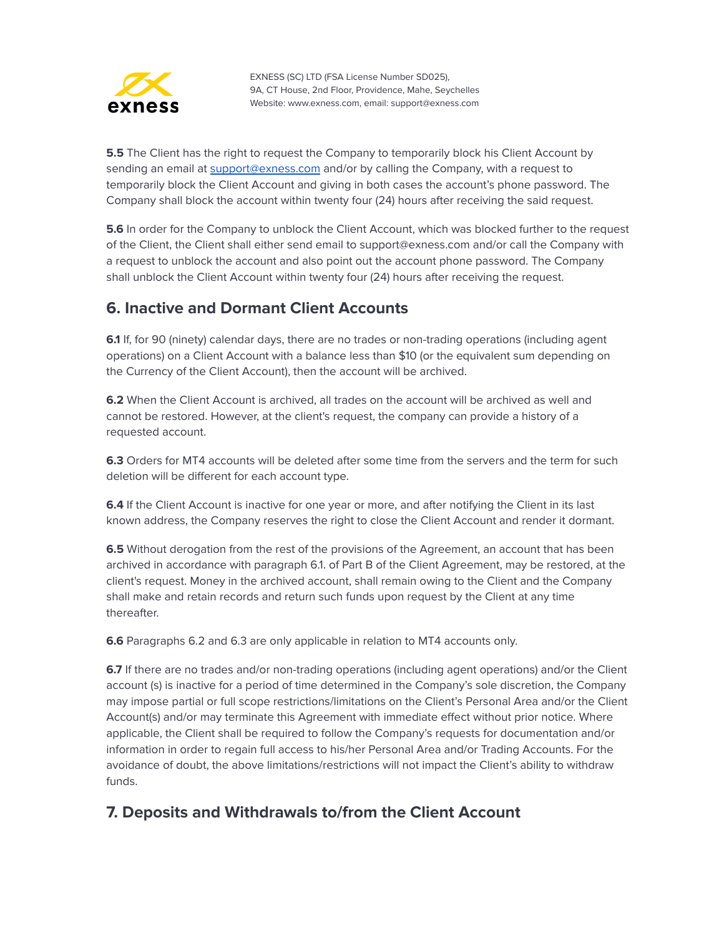

**5.5** The Client has the right to request the Company to temporarily block his Client Account by sending an email at [support@exness.com](mailto:support@exness.com) and/or by calling the Company, with a request to temporarily block the Client Account and giving in both cases the account's phone password. The Company shall block the account within twenty four (24) hours after receiving the said request.

**5.6** In order for the Company to unblock the Client Account, which was blocked further to the request of the Client, the Client shall either send email to support@exness.com and/or call the Company with a request to unblock the account and also point out the account phone password. The Company shall unblock the Client Account within twenty four (24) hours after receiving the request.

#### <span id="page-32-0"></span>**6. Inactive and Dormant Client Accounts**

**6.1** If, for 90 (ninety) calendar days, there are no trades or non-trading operations (including agent operations) on a Client Account with a balance less than \$10 (or the equivalent sum depending on the Currency of the Client Account), then the account will be archived.

**6.2** When the Client Account is archived, all trades on the account will be archived as well and cannot be restored. However, at the client's request, the company can provide a history of a requested account.

**6.3** Orders for MT4 accounts will be deleted after some time from the servers and the term for such deletion will be different for each account type.

**6.4** If the Client Account is inactive for one year or more, and after notifying the Client in its last known address, the Company reserves the right to close the Client Account and render it dormant.

**6.5** Without derogation from the rest of the provisions of the Agreement, an account that has been archived in accordance with paragraph 6.1. of Part B of the Client Agreement, may be restored, at the client's request. Money in the archived account, shall remain owing to the Client and the Company shall make and retain records and return such funds upon request by the Client at any time thereafter.

**6.6** Paragraphs 6.2 and 6.3 are only applicable in relation to MT4 accounts only.

**6.7** If there are no trades and/or non-trading operations (including agent operations) and/or the Client account (s) is inactive for a period of time determined in the Company's sole discretion, the Company may impose partial or full scope restrictions/limitations on the Client's Personal Area and/or the Client Account(s) and/or may terminate this Agreement with immediate effect without prior notice. Where applicable, the Client shall be required to follow the Company's requests for documentation and/or information in order to regain full access to his/her Personal Area and/or Trading Accounts. For the avoidance of doubt, the above limitations/restrictions will not impact the Client's ability to withdraw funds.

## <span id="page-32-1"></span>**7. Deposits and Withdrawals to/from the Client Account**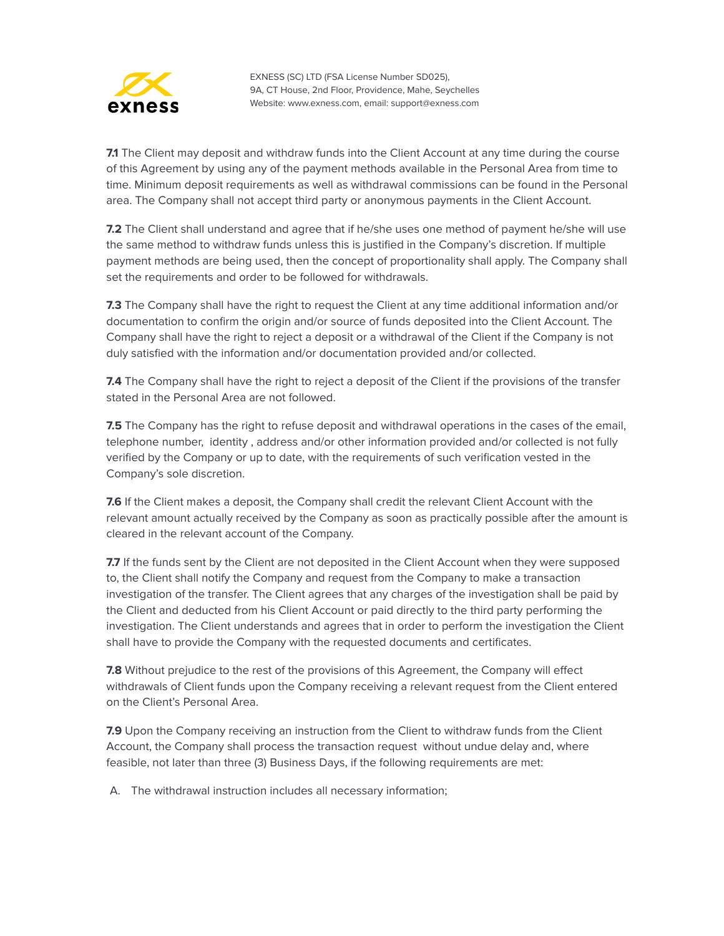

**7.1** The Client may deposit and withdraw funds into the Client Account at any time during the course of this Agreement by using any of the payment methods available in the Personal Area from time to time. Minimum deposit requirements as well as withdrawal commissions can be found in the Personal area. The Company shall not accept third party or anonymous payments in the Client Account.

**7.2** The Client shall understand and agree that if he/she uses one method of payment he/she will use the same method to withdraw funds unless this is justified in the Company's discretion. If multiple payment methods are being used, then the concept of proportionality shall apply. The Company shall set the requirements and order to be followed for withdrawals.

**7.3** The Company shall have the right to request the Client at any time additional information and/or documentation to confirm the origin and/or source of funds deposited into the Client Account. The Company shall have the right to reject a deposit or a withdrawal of the Client if the Company is not duly satisfied with the information and/or documentation provided and/or collected.

**7.4** The Company shall have the right to reject a deposit of the Client if the provisions of the transfer stated in the Personal Area are not followed.

**7.5** The Company has the right to refuse deposit and withdrawal operations in the cases of the email, telephone number, identity , address and/or other information provided and/or collected is not fully verified by the Company or up to date, with the requirements of such verification vested in the Company's sole discretion.

**7.6** If the Client makes a deposit, the Company shall credit the relevant Client Account with the relevant amount actually received by the Company as soon as practically possible after the amount is cleared in the relevant account of the Company.

**7.7** If the funds sent by the Client are not deposited in the Client Account when they were supposed to, the Client shall notify the Company and request from the Company to make a transaction investigation of the transfer. The Client agrees that any charges of the investigation shall be paid by the Client and deducted from his Client Account or paid directly to the third party performing the investigation. The Client understands and agrees that in order to perform the investigation the Client shall have to provide the Company with the requested documents and certificates.

**7.8** Without prejudice to the rest of the provisions of this Agreement, the Company will effect withdrawals of Client funds upon the Company receiving a relevant request from the Client entered on the Client's Personal Area.

**7.9** Upon the Company receiving an instruction from the Client to withdraw funds from the Client Account, the Company shall process the transaction request without undue delay and, where feasible, not later than three (3) Business Days, if the following requirements are met:

A. The withdrawal instruction includes all necessary information;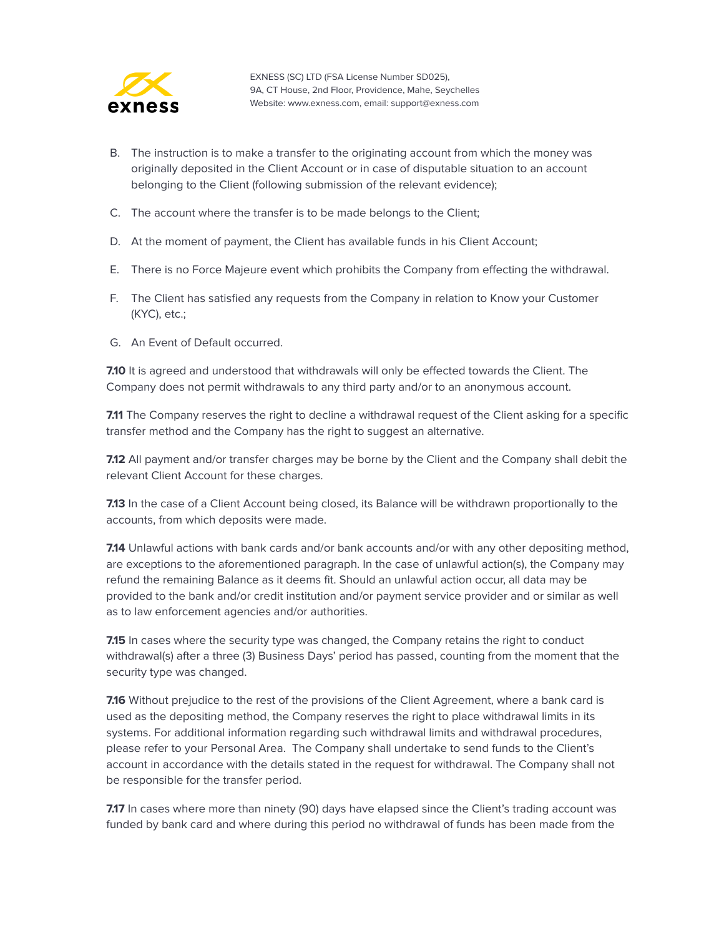

- B. The instruction is to make a transfer to the originating account from which the money was originally deposited in the Client Account or in case of disputable situation to an account belonging to the Client (following submission of the relevant evidence);
- C. The account where the transfer is to be made belongs to the Client;
- D. At the moment of payment, the Client has available funds in his Client Account;
- E. There is no Force Majeure event which prohibits the Company from effecting the withdrawal.
- F. The Client has satisfied any requests from the Company in relation to Know your Customer (KYC), etc.;
- G. An Event of Default occurred.

**7.10** It is agreed and understood that withdrawals will only be effected towards the Client. The Company does not permit withdrawals to any third party and/or to an anonymous account.

**7.11** The Company reserves the right to decline a withdrawal request of the Client asking for a specific transfer method and the Company has the right to suggest an alternative.

**7.12** All payment and/or transfer charges may be borne by the Client and the Company shall debit the relevant Client Account for these charges.

**7.13** In the case of a Client Account being closed, its Balance will be withdrawn proportionally to the accounts, from which deposits were made.

**7.14** Unlawful actions with bank cards and/or bank accounts and/or with any other depositing method, are exceptions to the aforementioned paragraph. In the case of unlawful action(s), the Company may refund the remaining Balance as it deems fit. Should an unlawful action occur, all data may be provided to the bank and/or credit institution and/or payment service provider and or similar as well as to law enforcement agencies and/or authorities.

**7.15** In cases where the security type was changed, the Company retains the right to conduct withdrawal(s) after a three (3) Business Days' period has passed, counting from the moment that the security type was changed.

**7.16** Without prejudice to the rest of the provisions of the Client Agreement, where a bank card is used as the depositing method, the Company reserves the right to place withdrawal limits in its systems. For additional information regarding such withdrawal limits and withdrawal procedures, please refer to your Personal Area. The Company shall undertake to send funds to the Client's account in accordance with the details stated in the request for withdrawal. The Company shall not be responsible for the transfer period.

**7.17** In cases where more than ninety (90) days have elapsed since the Client's trading account was funded by bank card and where during this period no withdrawal of funds has been made from the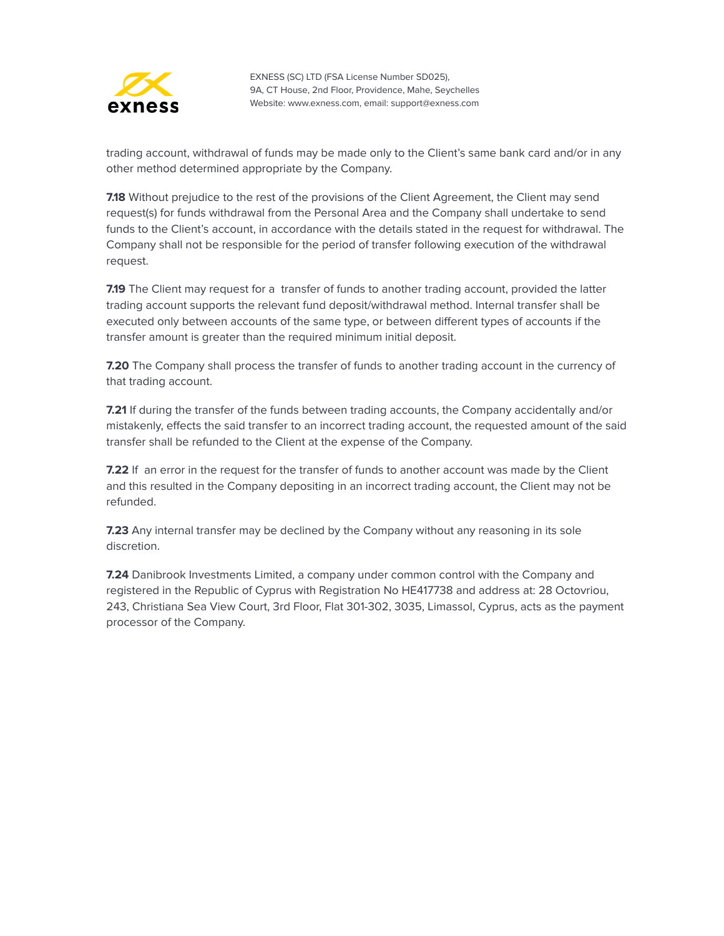

trading account, withdrawal of funds may be made only to the Client's same bank card and/or in any other method determined appropriate by the Company.

**7.18** Without prejudice to the rest of the provisions of the Client Agreement, the Client may send request(s) for funds withdrawal from the Personal Area and the Company shall undertake to send funds to the Client's account, in accordance with the details stated in the request for withdrawal. The Company shall not be responsible for the period of transfer following execution of the withdrawal request.

**7.19** The Client may request for a transfer of funds to another trading account, provided the latter trading account supports the relevant fund deposit/withdrawal method. Internal transfer shall be executed only between accounts of the same type, or between different types of accounts if the transfer amount is greater than the required minimum initial deposit.

**7.20** The Company shall process the transfer of funds to another trading account in the currency of that trading account.

**7.21** If during the transfer of the funds between trading accounts, the Company accidentally and/or mistakenly, effects the said transfer to an incorrect trading account, the requested amount of the said transfer shall be refunded to the Client at the expense of the Company.

**7.22** If an error in the request for the transfer of funds to another account was made by the Client and this resulted in the Company depositing in an incorrect trading account, the Client may not be refunded.

**7.23** Any internal transfer may be declined by the Company without any reasoning in its sole discretion.

**7.24** Danibrook Investments Limited, a company under common control with the Company and registered in the Republic of Cyprus with Registration No HE417738 and address at: 28 [Octovriou,](https://exness.myzygos.com/contacts/edit/204) 243, [Christiana](https://exness.myzygos.com/contacts/edit/204) Sea View Court, 3rd Floor, Flat 301-302, 3035, Limassol, Cyprus, acts as the payment processor of the Company.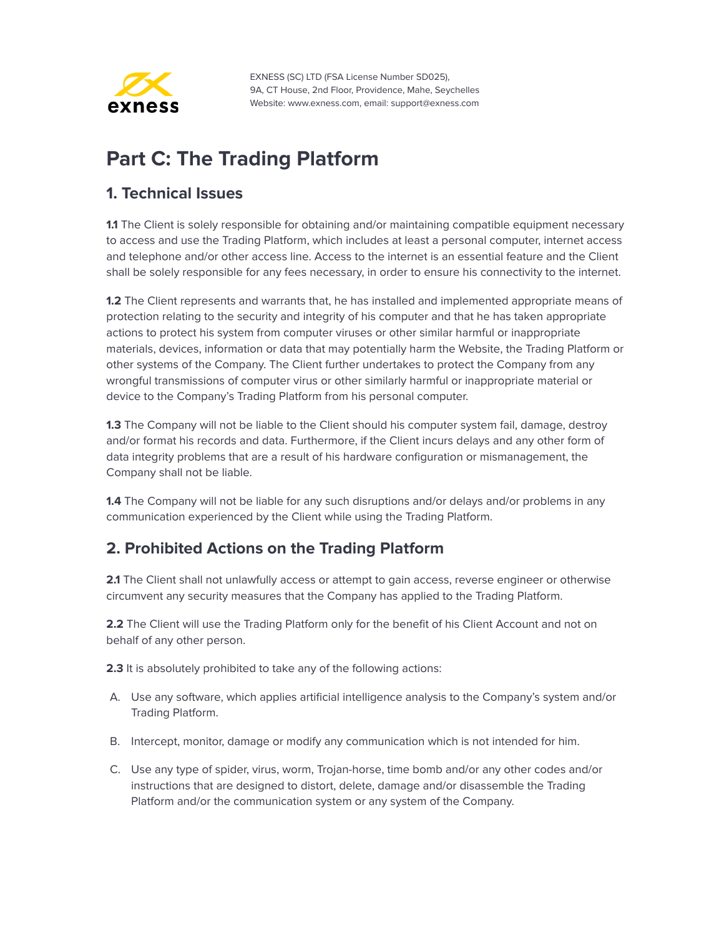

# <span id="page-36-0"></span>**Part C: The Trading Platform**

#### <span id="page-36-1"></span>**1. Technical Issues**

**1.1** The Client is solely responsible for obtaining and/or maintaining compatible equipment necessary to access and use the Trading Platform, which includes at least a personal computer, internet access and telephone and/or other access line. Access to the internet is an essential feature and the Client shall be solely responsible for any fees necessary, in order to ensure his connectivity to the internet.

**1.2** The Client represents and warrants that, he has installed and implemented appropriate means of protection relating to the security and integrity of his computer and that he has taken appropriate actions to protect his system from computer viruses or other similar harmful or inappropriate materials, devices, information or data that may potentially harm the Website, the Trading Platform or other systems of the Company. The Client further undertakes to protect the Company from any wrongful transmissions of computer virus or other similarly harmful or inappropriate material or device to the Company's Trading Platform from his personal computer.

**1.3** The Company will not be liable to the Client should his computer system fail, damage, destroy and/or format his records and data. Furthermore, if the Client incurs delays and any other form of data integrity problems that are a result of his hardware configuration or mismanagement, the Company shall not be liable.

**1.4** The Company will not be liable for any such disruptions and/or delays and/or problems in any communication experienced by the Client while using the Trading Platform.

#### <span id="page-36-2"></span>**2. Prohibited Actions on the Trading Platform**

**2.1** The Client shall not unlawfully access or attempt to gain access, reverse engineer or otherwise circumvent any security measures that the Company has applied to the Trading Platform.

**2.2** The Client will use the Trading Platform only for the benefit of his Client Account and not on behalf of any other person.

**2.3** It is absolutely prohibited to take any of the following actions:

- A. Use any software, which applies artificial intelligence analysis to the Company's system and/or Trading Platform.
- B. Intercept, monitor, damage or modify any communication which is not intended for him.
- C. Use any type of spider, virus, worm, Trojan-horse, time bomb and/or any other codes and/or instructions that are designed to distort, delete, damage and/or disassemble the Trading Platform and/or the communication system or any system of the Company.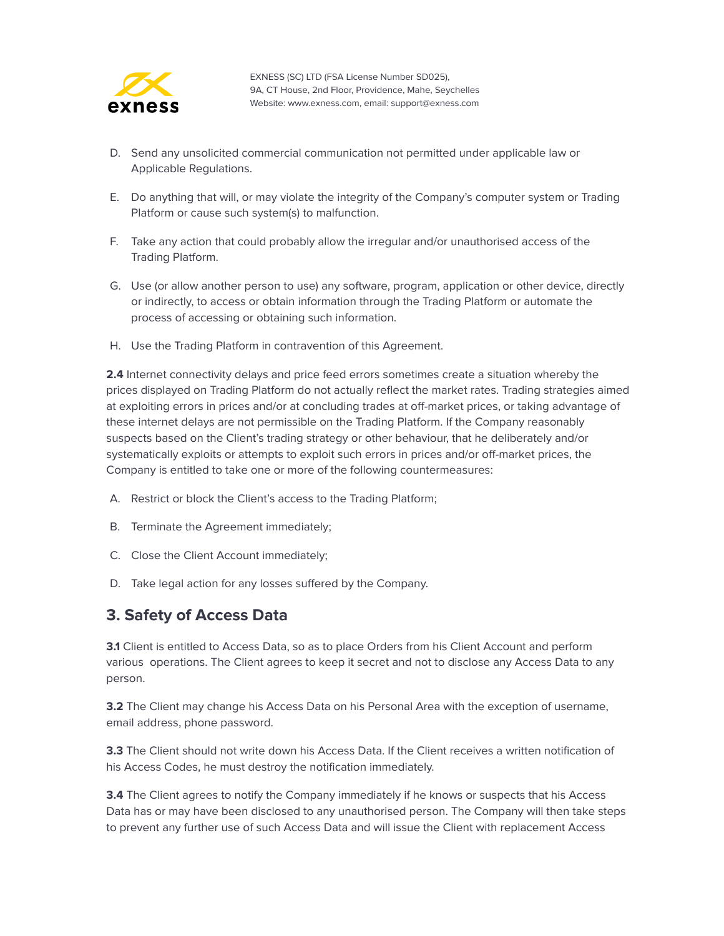

- D. Send any unsolicited commercial communication not permitted under applicable law or Applicable Regulations.
- E. Do anything that will, or may violate the integrity of the Company's computer system or Trading Platform or cause such system(s) to malfunction.
- F. Take any action that could probably allow the irregular and/or unauthorised access of the Trading Platform.
- G. Use (or allow another person to use) any software, program, application or other device, directly or indirectly, to access or obtain information through the Trading Platform or automate the process of accessing or obtaining such information.
- H. Use the Trading Platform in contravention of this Agreement.

**2.4** Internet connectivity delays and price feed errors sometimes create a situation whereby the prices displayed on Trading Platform do not actually reflect the market rates. Trading strategies aimed at exploiting errors in prices and/or at concluding trades at off-market prices, or taking advantage of these internet delays are not permissible on the Trading Platform. If the Company reasonably suspects based on the Client's trading strategy or other behaviour, that he deliberately and/or systematically exploits or attempts to exploit such errors in prices and/or off-market prices, the Company is entitled to take one or more of the following countermeasures:

- A. Restrict or block the Client's access to the Trading Platform;
- B. Terminate the Agreement immediately;
- C. Close the Client Account immediately;
- D. Take legal action for any losses suffered by the Company.

#### <span id="page-37-0"></span>**3. Safety of Access Data**

**3.1** Client is entitled to Access Data, so as to place Orders from his Client Account and perform various operations. The Client agrees to keep it secret and not to disclose any Access Data to any person.

**3.2** The Client may change his Access Data on his Personal Area with the exception of username, email address, phone password.

**3.3** The Client should not write down his Access Data. If the Client receives a written notification of his Access Codes, he must destroy the notification immediately.

**3.4** The Client agrees to notify the Company immediately if he knows or suspects that his Access Data has or may have been disclosed to any unauthorised person. The Company will then take steps to prevent any further use of such Access Data and will issue the Client with replacement Access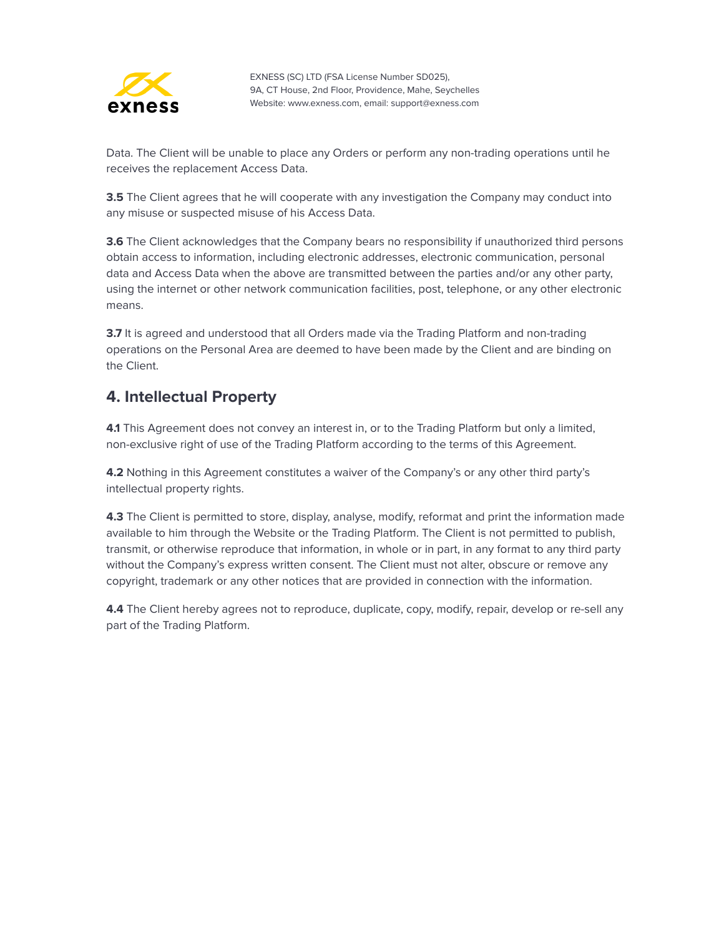

Data. The Client will be unable to place any Orders or perform any non-trading operations until he receives the replacement Access Data.

**3.5** The Client agrees that he will cooperate with any investigation the Company may conduct into any misuse or suspected misuse of his Access Data.

**3.6** The Client acknowledges that the Company bears no responsibility if unauthorized third persons obtain access to information, including electronic addresses, electronic communication, personal data and Access Data when the above are transmitted between the parties and/or any other party, using the internet or other network communication facilities, post, telephone, or any other electronic means.

**3.7** It is agreed and understood that all Orders made via the Trading Platform and non-trading operations on the Personal Area are deemed to have been made by the Client and are binding on the Client.

#### <span id="page-38-0"></span>**4. Intellectual Property**

**4.1** This Agreement does not convey an interest in, or to the Trading Platform but only a limited, non-exclusive right of use of the Trading Platform according to the terms of this Agreement.

**4.2** Nothing in this Agreement constitutes a waiver of the Company's or any other third party's intellectual property rights.

**4.3** The Client is permitted to store, display, analyse, modify, reformat and print the information made available to him through the Website or the Trading Platform. The Client is not permitted to publish, transmit, or otherwise reproduce that information, in whole or in part, in any format to any third party without the Company's express written consent. The Client must not alter, obscure or remove any copyright, trademark or any other notices that are provided in connection with the information.

**4.4** The Client hereby agrees not to reproduce, duplicate, copy, modify, repair, develop or re-sell any part of the Trading Platform.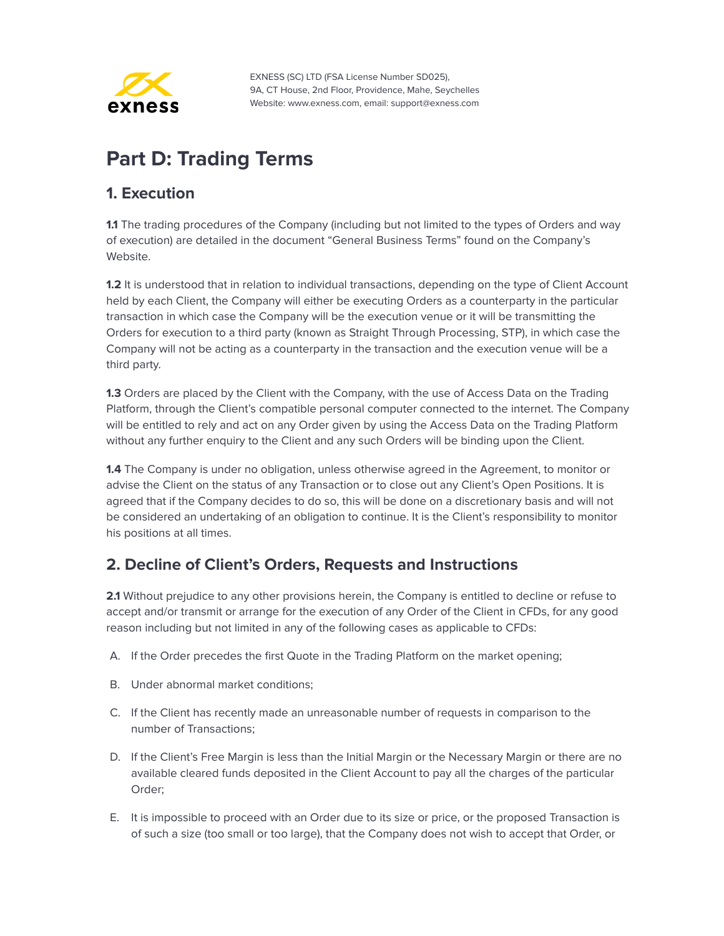

# <span id="page-39-0"></span>**Part D: Trading Terms**

#### <span id="page-39-1"></span>**1. Execution**

**1.1** The trading procedures of the Company (including but not limited to the types of Orders and way of execution) are detailed in the document "General Business Terms" found on the Company's Website.

**1.2** It is understood that in relation to individual transactions, depending on the type of Client Account held by each Client, the Company will either be executing Orders as a counterparty in the particular transaction in which case the Company will be the execution venue or it will be transmitting the Orders for execution to a third party (known as Straight Through Processing, STP), in which case the Company will not be acting as a counterparty in the transaction and the execution venue will be a third party.

**1.3** Orders are placed by the Client with the Company, with the use of Access Data on the Trading Platform, through the Client's compatible personal computer connected to the internet. The Company will be entitled to rely and act on any Order given by using the Access Data on the Trading Platform without any further enquiry to the Client and any such Orders will be binding upon the Client.

**1.4** The Company is under no obligation, unless otherwise agreed in the Agreement, to monitor or advise the Client on the status of any Transaction or to close out any Client's Open Positions. It is agreed that if the Company decides to do so, this will be done on a discretionary basis and will not be considered an undertaking of an obligation to continue. It is the Client's responsibility to monitor his positions at all times.

## <span id="page-39-2"></span>**2. Decline of Client's Orders, Requests and Instructions**

**2.1** Without prejudice to any other provisions herein, the Company is entitled to decline or refuse to accept and/or transmit or arrange for the execution of any Order of the Client in CFDs, for any good reason including but not limited in any of the following cases as applicable to CFDs:

- A. If the Order precedes the first Quote in the Trading Platform on the market opening;
- B. Under abnormal market conditions;
- C. If the Client has recently made an unreasonable number of requests in comparison to the number of Transactions;
- D. If the Client's Free Margin is less than the Initial Margin or the Necessary Margin or there are no available cleared funds deposited in the Client Account to pay all the charges of the particular Order;
- E. It is impossible to proceed with an Order due to its size or price, or the proposed Transaction is of such a size (too small or too large), that the Company does not wish to accept that Order, or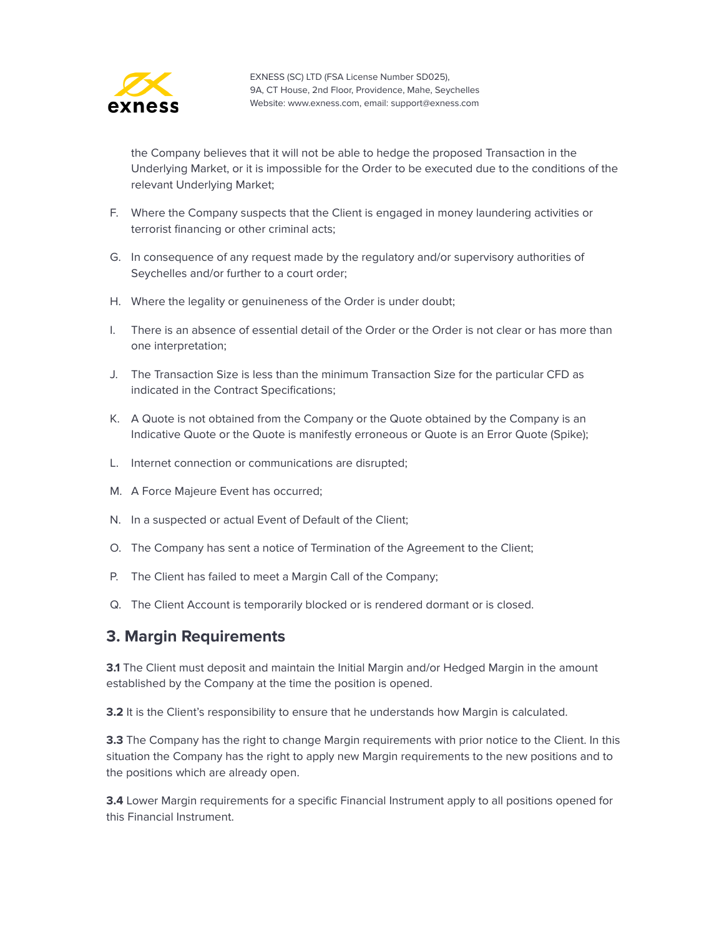

the Company believes that it will not be able to hedge the proposed Transaction in the Underlying Market, or it is impossible for the Order to be executed due to the conditions of the relevant Underlying Market;

- F. Where the Company suspects that the Client is engaged in money laundering activities or terrorist financing or other criminal acts;
- G. In consequence of any request made by the regulatory and/or supervisory authorities of Seychelles and/or further to a court order;
- H. Where the legality or genuineness of the Order is under doubt;
- I. There is an absence of essential detail of the Order or the Order is not clear or has more than one interpretation;
- J. The Transaction Size is less than the minimum Transaction Size for the particular CFD as indicated in the Contract Specifications;
- K. A Quote is not obtained from the Company or the Quote obtained by the Company is an Indicative Quote or the Quote is manifestly erroneous or Quote is an Error Quote (Spike);
- L. Internet connection or communications are disrupted;
- M. A Force Majeure Event has occurred;
- N. In a suspected or actual Event of Default of the Client;
- O. The Company has sent a notice of Termination of the Agreement to the Client;
- P. The Client has failed to meet a Margin Call of the Company;
- Q. The Client Account is temporarily blocked or is rendered dormant or is closed.

#### <span id="page-40-0"></span>**3. Margin Requirements**

**3.1** The Client must deposit and maintain the Initial Margin and/or Hedged Margin in the amount established by the Company at the time the position is opened.

**3.2** It is the Client's responsibility to ensure that he understands how Margin is calculated.

**3.3** The Company has the right to change Margin requirements with prior notice to the Client. In this situation the Company has the right to apply new Margin requirements to the new positions and to the positions which are already open.

**3.4** Lower Margin requirements for a specific Financial Instrument apply to all positions opened for this Financial Instrument.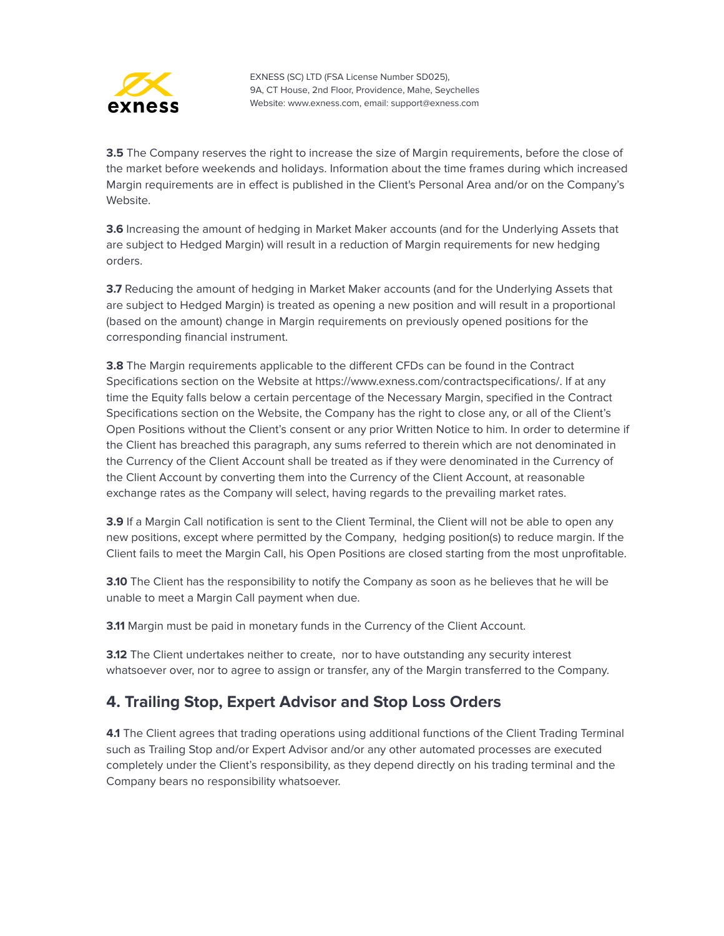

**3.5** The Company reserves the right to increase the size of Margin requirements, before the close of the market before weekends and holidays. Information about the time frames during which increased Margin requirements are in effect is published in the Client's Personal Area and/or on the Company's Website.

**3.6** Increasing the amount of hedging in Market Maker accounts (and for the Underlying Assets that are subject to Hedged Margin) will result in a reduction of Margin requirements for new hedging orders.

**3.7** Reducing the amount of hedging in Market Maker accounts (and for the Underlying Assets that are subject to Hedged Margin) is treated as opening a new position and will result in a proportional (based on the amount) change in Margin requirements on previously opened positions for the corresponding financial instrument.

**3.8** The Margin requirements applicable to the different CFDs can be found in the Contract Specifications section on the Website at https://www.exness.com/contractspecifications/. If at any time the Equity falls below a certain percentage of the Necessary Margin, specified in the Contract Specifications section on the Website, the Company has the right to close any, or all of the Client's Open Positions without the Client's consent or any prior Written Notice to him. In order to determine if the Client has breached this paragraph, any sums referred to therein which are not denominated in the Currency of the Client Account shall be treated as if they were denominated in the Currency of the Client Account by converting them into the Currency of the Client Account, at reasonable exchange rates as the Company will select, having regards to the prevailing market rates.

**3.9** If a Margin Call notification is sent to the Client Terminal, the Client will not be able to open any new positions, except where permitted by the Company, hedging position(s) to reduce margin. If the Client fails to meet the Margin Call, his Open Positions are closed starting from the most unprofitable.

**3.10** The Client has the responsibility to notify the Company as soon as he believes that he will be unable to meet a Margin Call payment when due.

**3.11** Margin must be paid in monetary funds in the Currency of the Client Account.

**3.12** The Client undertakes neither to create, nor to have outstanding any security interest whatsoever over, nor to agree to assign or transfer, any of the Margin transferred to the Company.

## <span id="page-41-0"></span>**4. Trailing Stop, Expert Advisor and Stop Loss Orders**

**4.1** The Client agrees that trading operations using additional functions of the Client Trading Terminal such as Trailing Stop and/or Expert Advisor and/or any other automated processes are executed completely under the Client's responsibility, as they depend directly on his trading terminal and the Company bears no responsibility whatsoever.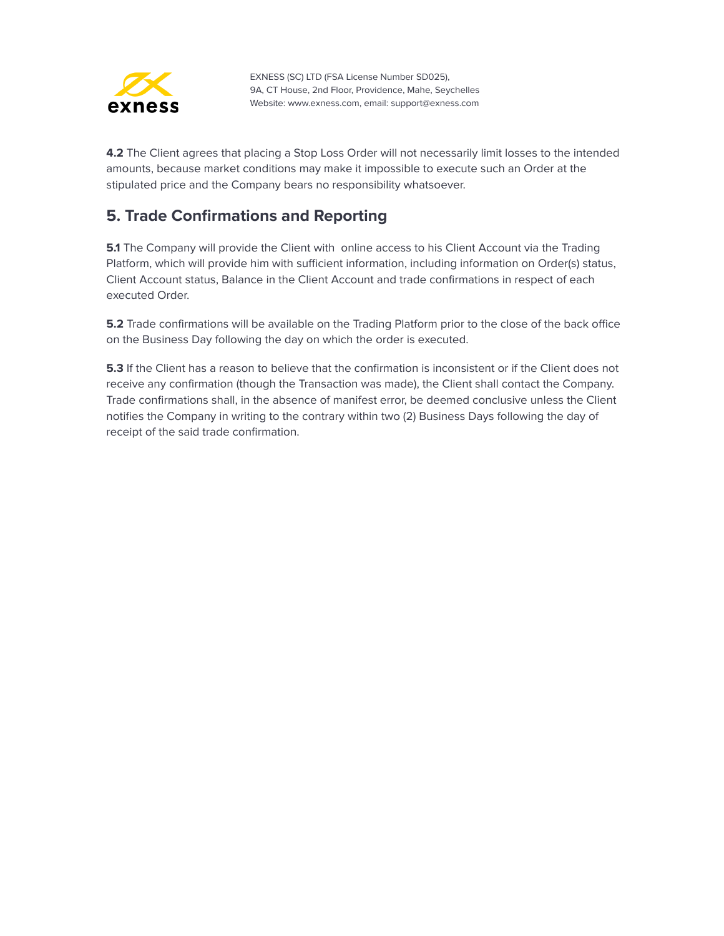

**4.2** The Client agrees that placing a Stop Loss Order will not necessarily limit losses to the intended amounts, because market conditions may make it impossible to execute such an Order at the stipulated price and the Company bears no responsibility whatsoever.

#### <span id="page-42-0"></span>**5. Trade Confirmations and Reporting**

**5.1** The Company will provide the Client with online access to his Client Account via the Trading Platform, which will provide him with sufficient information, including information on Order(s) status, Client Account status, Balance in the Client Account and trade confirmations in respect of each executed Order.

**5.2** Trade confirmations will be available on the Trading Platform prior to the close of the back office on the Business Day following the day on which the order is executed.

**5.3** If the Client has a reason to believe that the confirmation is inconsistent or if the Client does not receive any confirmation (though the Transaction was made), the Client shall contact the Company. Trade confirmations shall, in the absence of manifest error, be deemed conclusive unless the Client notifies the Company in writing to the contrary within two (2) Business Days following the day of receipt of the said trade confirmation.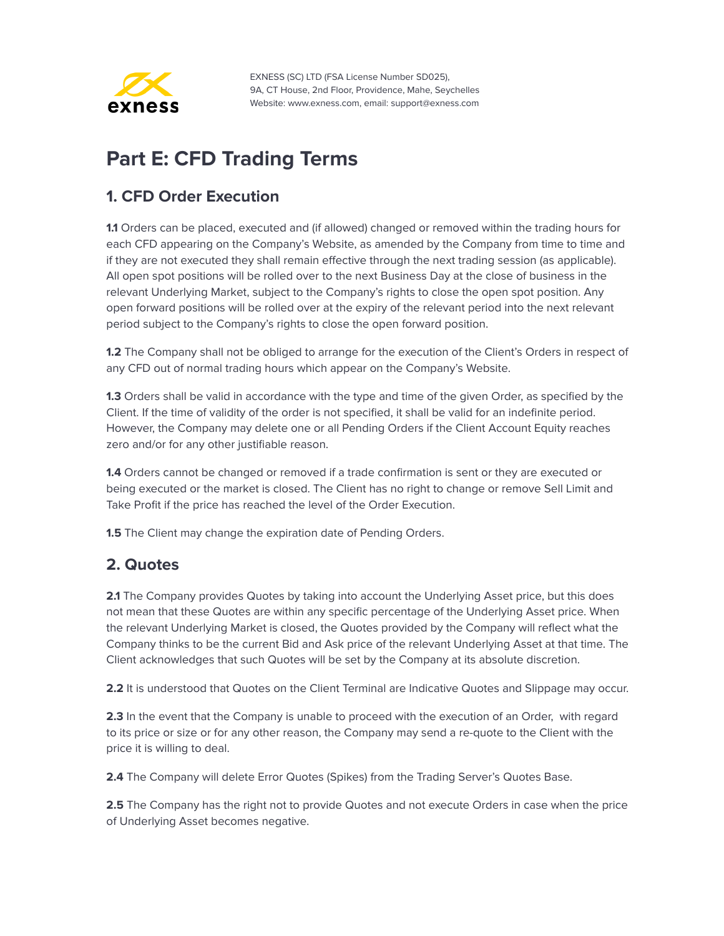

# <span id="page-43-0"></span>**Part E: CFD Trading Terms**

## <span id="page-43-1"></span>**1. CFD Order Execution**

**1.1** Orders can be placed, executed and (if allowed) changed or removed within the trading hours for each CFD appearing on the Company's Website, as amended by the Company from time to time and if they are not executed they shall remain effective through the next trading session (as applicable). All open spot positions will be rolled over to the next Business Day at the close of business in the relevant Underlying Market, subject to the Company's rights to close the open spot position. Any open forward positions will be rolled over at the expiry of the relevant period into the next relevant period subject to the Company's rights to close the open forward position.

**1.2** The Company shall not be obliged to arrange for the execution of the Client's Orders in respect of any CFD out of normal trading hours which appear on the Company's Website.

**1.3** Orders shall be valid in accordance with the type and time of the given Order, as specified by the Client. If the time of validity of the order is not specified, it shall be valid for an indefinite period. However, the Company may delete one or all Pending Orders if the Client Account Equity reaches zero and/or for any other justifiable reason.

**1.4** Orders cannot be changed or removed if a trade confirmation is sent or they are executed or being executed or the market is closed. The Client has no right to change or remove Sell Limit and Take Profit if the price has reached the level of the Order Execution.

**1.5** The Client may change the expiration date of Pending Orders.

#### <span id="page-43-2"></span>**2. Quotes**

**2.1** The Company provides Quotes by taking into account the Underlying Asset price, but this does not mean that these Quotes are within any specific percentage of the Underlying Asset price. When the relevant Underlying Market is closed, the Quotes provided by the Company will reflect what the Company thinks to be the current Bid and Ask price of the relevant Underlying Asset at that time. The Client acknowledges that such Quotes will be set by the Company at its absolute discretion.

**2.2** It is understood that Quotes on the Client Terminal are Indicative Quotes and Slippage may occur.

**2.3** In the event that the Company is unable to proceed with the execution of an Order, with regard to its price or size or for any other reason, the Company may send a re-quote to the Client with the price it is willing to deal.

**2.4** The Company will delete Error Quotes (Spikes) from the Trading Server's Quotes Base.

**2.5** The Company has the right not to provide Quotes and not execute Orders in case when the price of Underlying Asset becomes negative.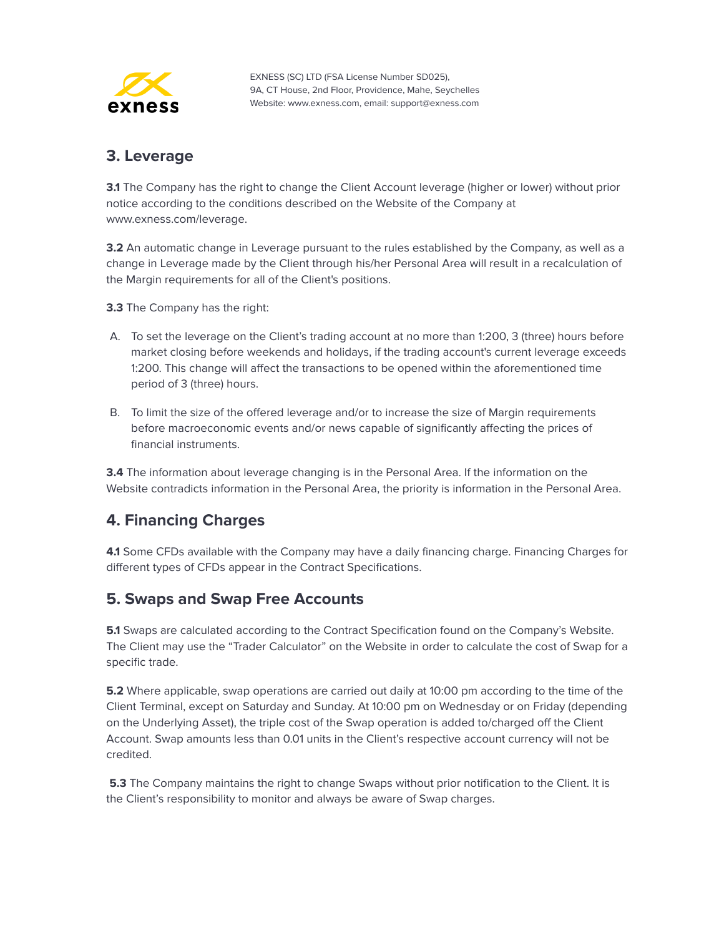

#### <span id="page-44-0"></span>**3. Leverage**

**3.1** The Company has the right to change the Client Account leverage (higher or lower) without prior notice according to the conditions described on the Website of the Company at www.exness.com/leverage.

**3.2** An automatic change in Leverage pursuant to the rules established by the Company, as well as a change in Leverage made by the Client through his/her Personal Area will result in a recalculation of the Margin requirements for all of the Client's positions.

**3.3** The Company has the right:

- A. To set the leverage on the Client's trading account at no more than 1:200, 3 (three) hours before market closing before weekends and holidays, if the trading account's current leverage exceeds 1:200. This change will affect the transactions to be opened within the aforementioned time period of 3 (three) hours.
- B. To limit the size of the offered leverage and/or to increase the size of Margin requirements before macroeconomic events and/or news capable of significantly affecting the prices of financial instruments.

**3.4** The information about leverage changing is in the Personal Area. If the information on the Website contradicts information in the Personal Area, the priority is information in the Personal Area.

## <span id="page-44-1"></span>**4. Financing Charges**

**4.1** Some CFDs available with the Company may have a daily financing charge. Financing Charges for different types of CFDs appear in the Contract Specifications.

#### <span id="page-44-2"></span>**5. Swaps and Swap Free Accounts**

**5.1** Swaps are calculated according to the Contract Specification found on the Company's Website. The Client may use the "Trader Calculator" on the Website in order to calculate the cost of Swap for a specific trade.

**5.2** Where applicable, swap operations are carried out daily at 10:00 pm according to the time of the Client Terminal, except on Saturday and Sunday. At 10:00 pm on Wednesday or on Friday (depending on the Underlying Asset), the triple cost of the Swap operation is added to/charged off the Client Account. Swap amounts less than 0.01 units in the Client's respective account currency will not be credited.

**5.3** The Company maintains the right to change Swaps without prior notification to the Client. It is the Client's responsibility to monitor and always be aware of Swap charges.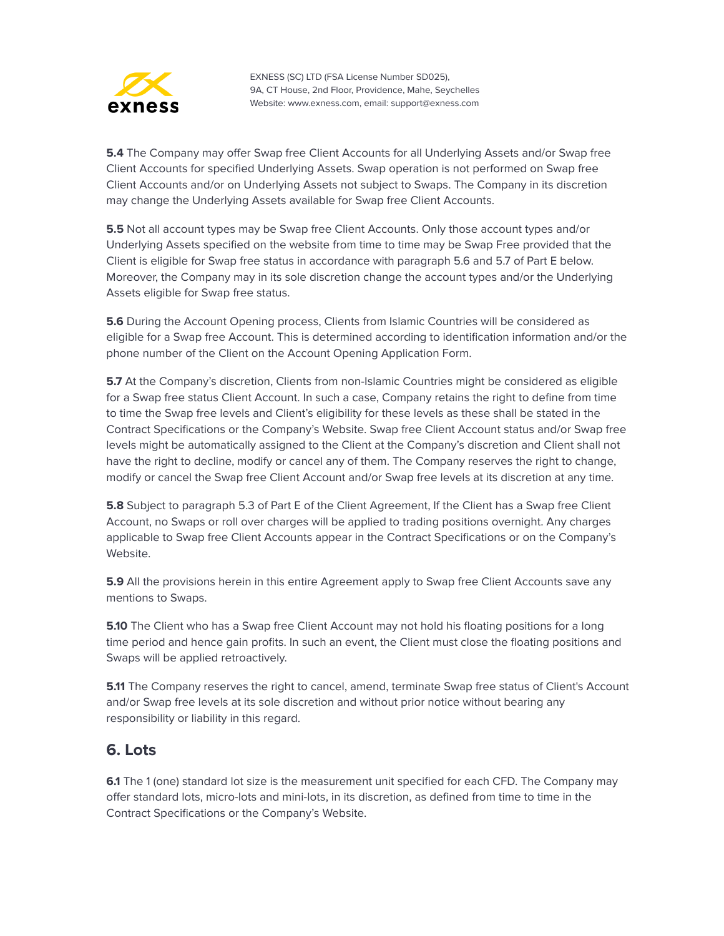

**5.4** The Company may offer Swap free Client Accounts for all Underlying Assets and/or Swap free Client Accounts for specified Underlying Assets. Swap operation is not performed on Swap free Client Accounts and/or on Underlying Assets not subject to Swaps. The Company in its discretion may change the Underlying Assets available for Swap free Client Accounts.

**5.5** Not all account types may be Swap free Client Accounts. Only those account types and/or Underlying Assets specified on the website from time to time may be Swap Free provided that the Client is eligible for Swap free status in accordance with paragraph 5.6 and 5.7 of Part E below. Moreover, the Company may in its sole discretion change the account types and/or the Underlying Assets eligible for Swap free status.

**5.6** During the Account Opening process, Clients from Islamic Countries will be considered as eligible for a Swap free Account. This is determined according to identification information and/or the phone number of the Client on the Account Opening Application Form.

**5.7** At the Company's discretion, Clients from non-Islamic Countries might be considered as eligible for a Swap free status Client Account. In such a case, Company retains the right to define from time to time the Swap free levels and Client's eligibility for these levels as these shall be stated in the Contract Specifications or the Company's Website. Swap free Client Account status and/or Swap free levels might be automatically assigned to the Client at the Company's discretion and Client shall not have the right to decline, modify or cancel any of them. The Company reserves the right to change, modify or cancel the Swap free Client Account and/or Swap free levels at its discretion at any time.

**5.8** Subject to paragraph 5.3 of Part E of the Client Agreement, If the Client has a Swap free Client Account, no Swaps or roll over charges will be applied to trading positions overnight. Any charges applicable to Swap free Client Accounts appear in the Contract Specifications or on the Company's Website.

**5.9** All the provisions herein in this entire Agreement apply to Swap free Client Accounts save any mentions to Swaps.

**5.10** The Client who has a Swap free Client Account may not hold his floating positions for a long time period and hence gain profits. In such an event, the Client must close the floating positions and Swaps will be applied retroactively.

**5.11** The Company reserves the right to cancel, amend, terminate Swap free status of Client's Account and/or Swap free levels at its sole discretion and without prior notice without bearing any responsibility or liability in this regard.

#### <span id="page-45-0"></span>**6. Lots**

**6.1** The 1 (one) standard lot size is the measurement unit specified for each CFD. The Company may offer standard lots, micro-lots and mini-lots, in its discretion, as defined from time to time in the Contract Specifications or the Company's Website.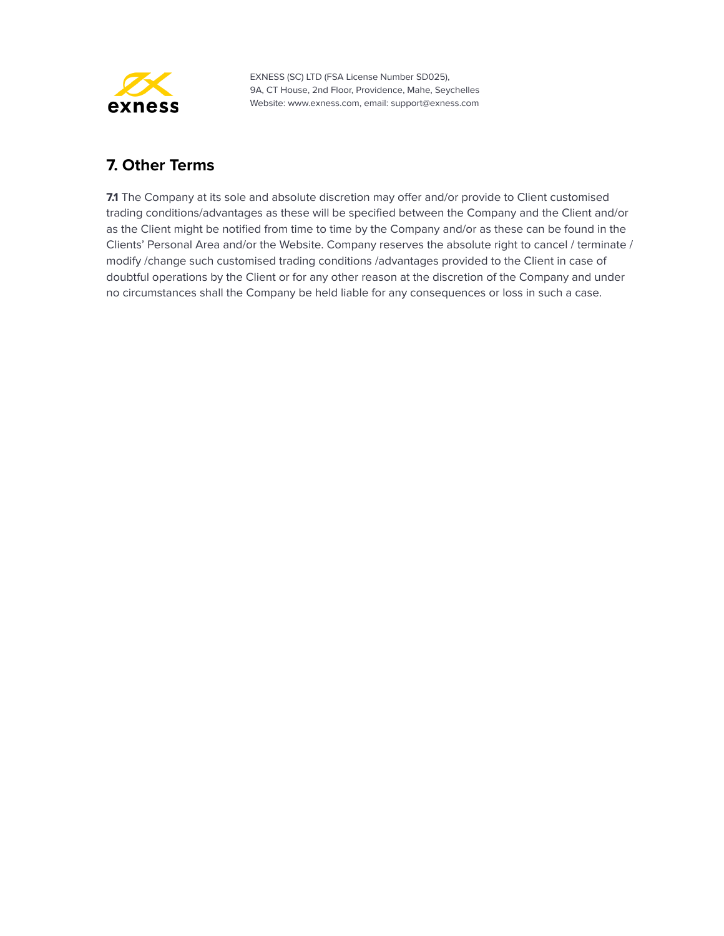

## <span id="page-46-0"></span>**7. Other Terms**

**7.1** The Company at its sole and absolute discretion may offer and/or provide to Client customised trading conditions/advantages as these will be specified between the Company and the Client and/or as the Client might be notified from time to time by the Company and/or as these can be found in the Clients' Personal Area and/or the Website. Company reserves the absolute right to cancel / terminate / modify /change such customised trading conditions /advantages provided to the Client in case of doubtful operations by the Client or for any other reason at the discretion of the Company and under no circumstances shall the Company be held liable for any consequences or loss in such a case.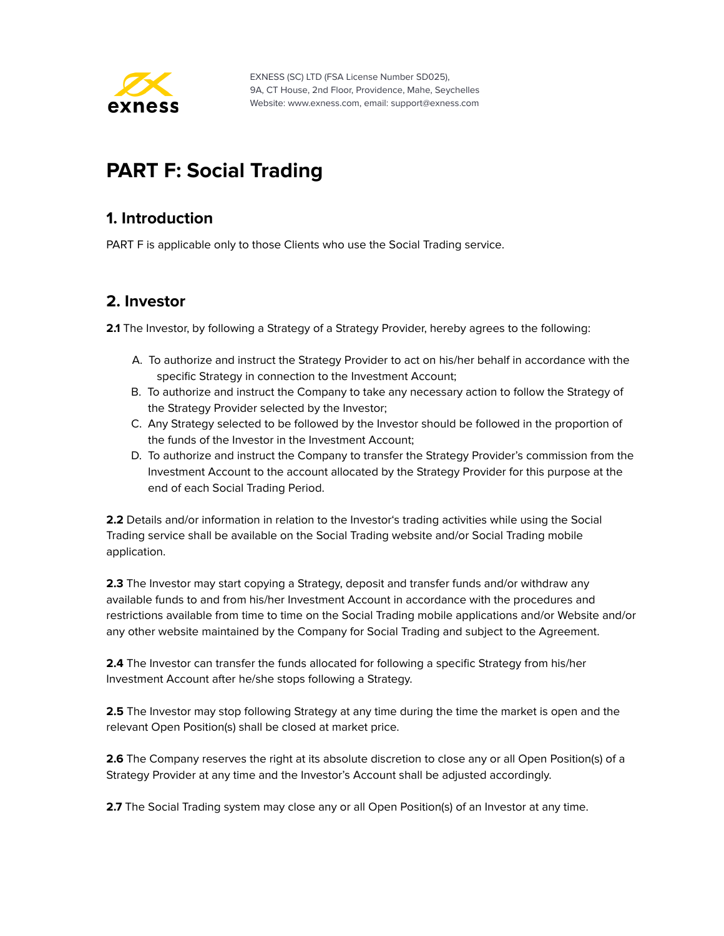

# <span id="page-47-0"></span>**PART F: Social Trading**

#### <span id="page-47-1"></span>**1. Introduction**

PART F is applicable only to those Clients who use the Social Trading service.

#### <span id="page-47-2"></span>**2. Investor**

**2.1** The Investor, by following a Strategy of a Strategy Provider, hereby agrees to the following:

- A. To authorize and instruct the Strategy Provider to act on his/her behalf in accordance with the specific Strategy in connection to the Investment Account;
- B. To authorize and instruct the Company to take any necessary action to follow the Strategy of the Strategy Provider selected by the Investor;
- C. Any Strategy selected to be followed by the Investor should be followed in the proportion of the funds of the Investor in the Investment Account;
- D. To authorize and instruct the Company to transfer the Strategy Provider's commission from the Investment Account to the account allocated by the Strategy Provider for this purpose at the end of each Social Trading Period.

**2.2** Details and/or information in relation to the Investor's trading activities while using the Social Trading service shall be available on the Social Trading website and/or Social Trading mobile application.

**2.3** The Investor may start copying a Strategy, deposit and transfer funds and/or withdraw any available funds to and from his/her Investment Account in accordance with the procedures and restrictions available from time to time on the Social Trading mobile applications and/or Website and/or any other website maintained by the Company for Social Trading and subject to the Agreement.

**2.4** The Investor can transfer the funds allocated for following a specific Strategy from his/her Investment Account after he/she stops following a Strategy.

**2.5** The Investor may stop following Strategy at any time during the time the market is open and the relevant Open Position(s) shall be closed at market price.

**2.6** The Company reserves the right at its absolute discretion to close any or all Open Position(s) of a Strategy Provider at any time and the Investor's Account shall be adjusted accordingly.

**2.7** The Social Trading system may close any or all Open Position(s) of an Investor at any time.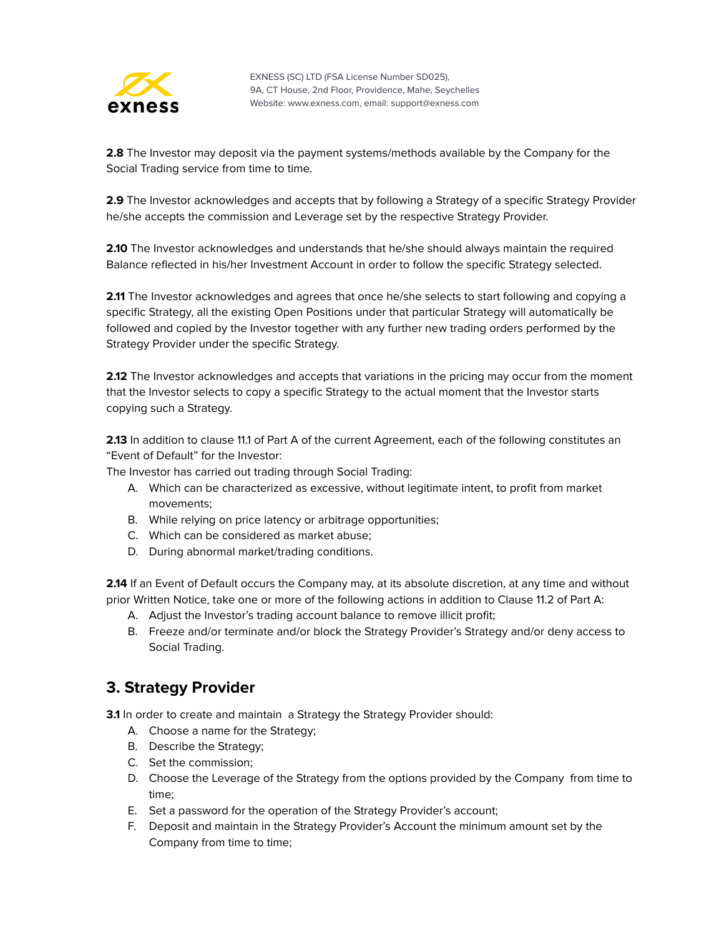

**2.8** The Investor may deposit via the payment systems/methods available by the Company for the Social Trading service from time to time.

2.9 The Investor acknowledges and accepts that by following a Strategy of a specific Strategy Provider he/she accepts the commission and Leverage set by the respective Strategy Provider.

**2.10** The Investor acknowledges and understands that he/she should always maintain the required Balance reflected in his/her Investment Account in order to follow the specific Strategy selected.

**2.11** The Investor acknowledges and agrees that once he/she selects to start following and copying a specific Strategy, all the existing Open Positions under that particular Strategy will automatically be followed and copied by the Investor together with any further new trading orders performed by the Strategy Provider under the specific Strategy.

**2.12** The Investor acknowledges and accepts that variations in the pricing may occur from the moment that the Investor selects to copy a specific Strategy to the actual moment that the Investor starts copying such a Strategy.

**2.13** In addition to clause 11.1 of Part A of the current Agreement, each of the following constitutes an "Event of Default" for the Investor:

The Investor has carried out trading through Social Trading:

- A. Which can be characterized as excessive, without legitimate intent, to profit from market movements;
- B. While relying on price latency or arbitrage opportunities;
- C. Which can be considered as market abuse;
- D. During abnormal market/trading conditions.

2.14 If an Event of Default occurs the Company may, at its absolute discretion, at any time and without prior Written Notice, take one or more of the following actions in addition to Clause 11.2 of Part A:

- A. Adjust the Investor's trading account balance to remove illicit profit;
- B. Freeze and/or terminate and/or block the Strategy Provider's Strategy and/or deny access to Social Trading.

#### <span id="page-48-0"></span>**3. Strategy Provider**

**3.1** In order to create and maintain a Strategy the Strategy Provider should:

- A. Choose a name for the Strategy;
- B. Describe the Strategy;
- C. Set the commission;
- D. Choose the Leverage of the Strategy from the options provided by the Company from time to time;
- E. Set a password for the operation of the Strategy Provider's account;
- F. Deposit and maintain in the Strategy Provider's Account the minimum amount set by the Company from time to time;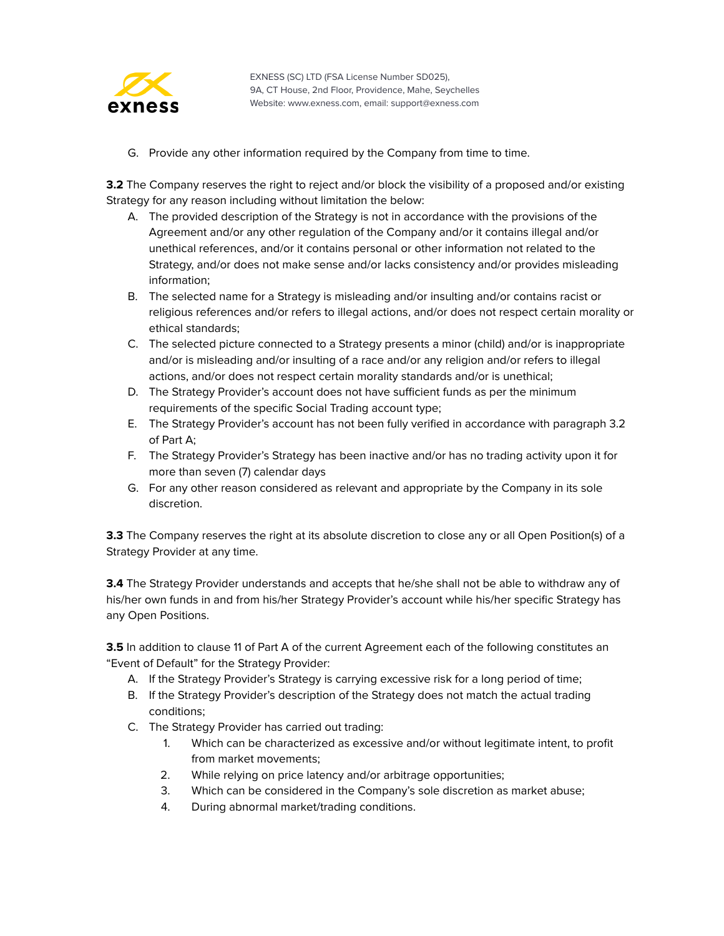

G. Provide any other information required by the Company from time to time.

**3.2** The Company reserves the right to reject and/or block the visibility of a proposed and/or existing Strategy for any reason including without limitation the below:

- A. The provided description of the Strategy is not in accordance with the provisions of the Agreement and/or any other regulation of the Company and/or it contains illegal and/or unethical references, and/or it contains personal or other information not related to the Strategy, and/or does not make sense and/or lacks consistency and/or provides misleading information;
- B. The selected name for a Strategy is misleading and/or insulting and/or contains racist or religious references and/or refers to illegal actions, and/or does not respect certain morality or ethical standards;
- C. The selected picture connected to a Strategy presents a minor (child) and/or is inappropriate and/or is misleading and/or insulting of a race and/or any religion and/or refers to illegal actions, and/or does not respect certain morality standards and/or is unethical;
- D. The Strategy Provider's account does not have sufficient funds as per the minimum requirements of the specific Social Trading account type;
- E. The Strategy Provider's account has not been fully verified in accordance with paragraph 3.2 of Part A;
- F. The Strategy Provider's Strategy has been inactive and/or has no trading activity upon it for more than seven (7) calendar days
- G. For any other reason considered as relevant and appropriate by the Company in its sole discretion.

**3.3** The Company reserves the right at its absolute discretion to close any or all Open Position(s) of a Strategy Provider at any time.

**3.4** The Strategy Provider understands and accepts that he/she shall not be able to withdraw any of his/her own funds in and from his/her Strategy Provider's account while his/her specific Strategy has any Open Positions.

**3.5** In addition to clause 11 of Part A of the current Agreement each of the following constitutes an "Event of Default" for the Strategy Provider:

- A. If the Strategy Provider's Strategy is carrying excessive risk for a long period of time;
- B. If the Strategy Provider's description of the Strategy does not match the actual trading conditions;
- C. The Strategy Provider has carried out trading:
	- 1. Which can be characterized as excessive and/or without legitimate intent, to profit from market movements;
	- 2. While relying on price latency and/or arbitrage opportunities;
	- 3. Which can be considered in the Company's sole discretion as market abuse;
	- 4. During abnormal market/trading conditions.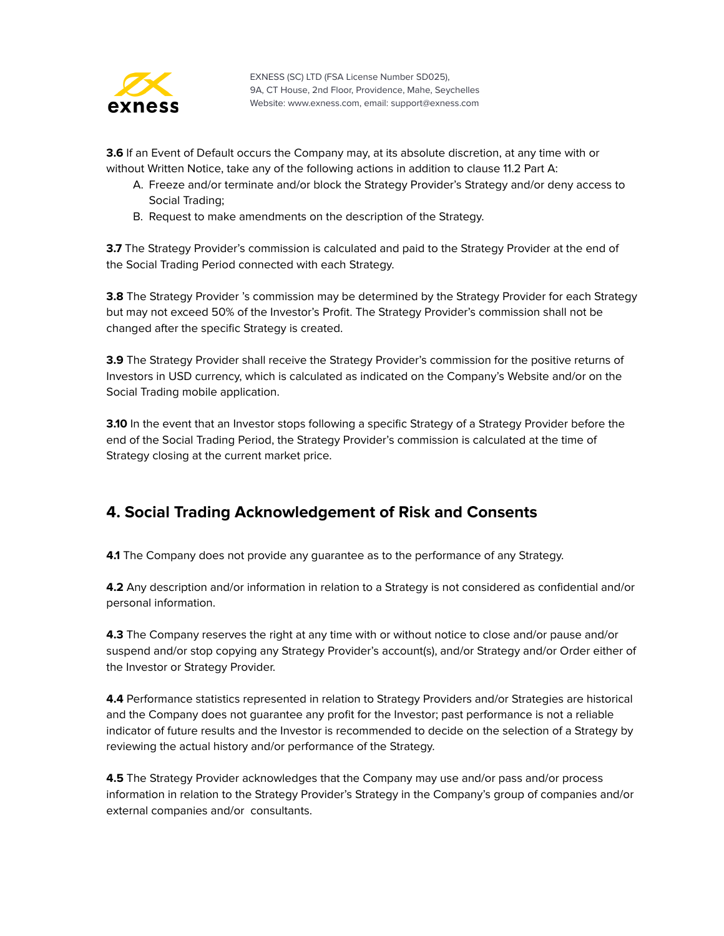

**3.6** If an Event of Default occurs the Company may, at its absolute discretion, at any time with or without Written Notice, take any of the following actions in addition to clause 11.2 Part A:

- A. Freeze and/or terminate and/or block the Strategy Provider's Strategy and/or deny access to Social Trading;
- B. Request to make amendments on the description of the Strategy.

**3.7** The Strategy Provider's commission is calculated and paid to the Strategy Provider at the end of the Social Trading Period connected with each Strategy.

**3.8** The Strategy Provider 's commission may be determined by the Strategy Provider for each Strategy but may not exceed 50% of the Investor's Profit. The Strategy Provider's commission shall not be changed after the specific Strategy is created.

**3.9** The Strategy Provider shall receive the Strategy Provider's commission for the positive returns of Investors in USD currency, which is calculated as indicated on the Company's Website and/or on the Social Trading mobile application.

**3.10** In the event that an Investor stops following a specific Strategy of a Strategy Provider before the end of the Social Trading Period, the Strategy Provider's commission is calculated at the time of Strategy closing at the current market price.

## <span id="page-50-0"></span>**4. Social Trading Acknowledgement of Risk and Consents**

**4.1** The Company does not provide any guarantee as to the performance of any Strategy.

**4.2** Any description and/or information in relation to a Strategy is not considered as confidential and/or personal information.

**4.3** The Company reserves the right at any time with or without notice to close and/or pause and/or suspend and/or stop copying any Strategy Provider's account(s), and/or Strategy and/or Order either of the Investor or Strategy Provider.

**4.4** Performance statistics represented in relation to Strategy Providers and/or Strategies are historical and the Company does not guarantee any profit for the Investor; past performance is not a reliable indicator of future results and the Investor is recommended to decide on the selection of a Strategy by reviewing the actual history and/or performance of the Strategy.

**4.5** The Strategy Provider acknowledges that the Company may use and/or pass and/or process information in relation to the Strategy Provider's Strategy in the Company's group of companies and/or external companies and/or consultants.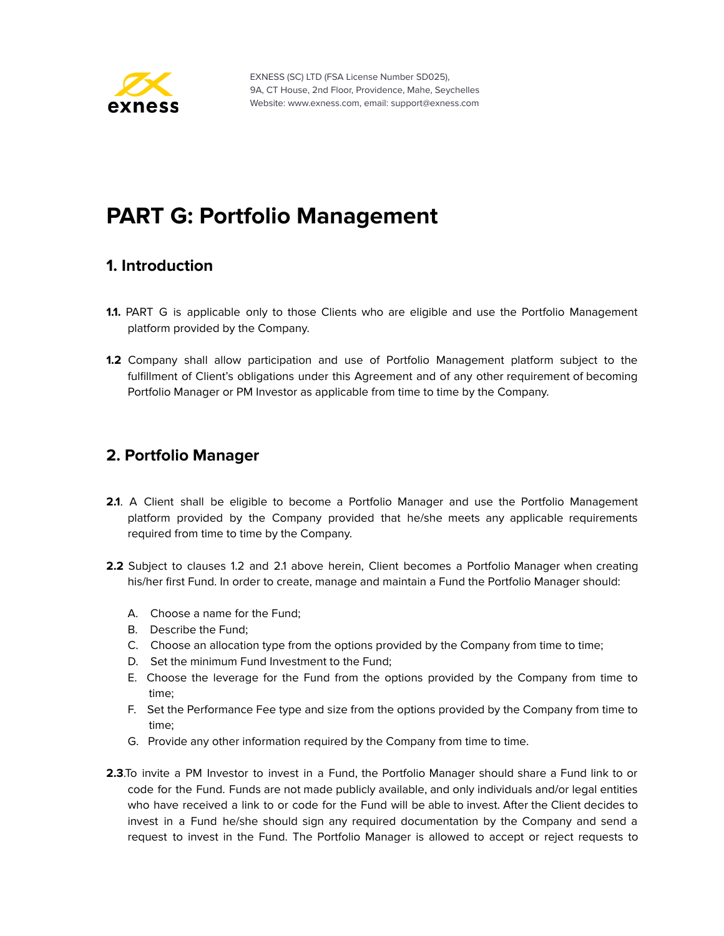

# <span id="page-51-0"></span>**PART G: Portfolio Management**

#### <span id="page-51-1"></span>**1. Introduction**

- **1.1.** PART G is applicable only to those Clients who are eligible and use the Portfolio Management platform provided by the Company.
- **1.2** Company shall allow participation and use of Portfolio Management platform subject to the fulfillment of Client's obligations under this Agreement and of any other requirement of becoming Portfolio Manager or PM Investor as applicable from time to time by the Company.

#### <span id="page-51-2"></span>**2. Portfolio Manager**

- **2.1**. A Client shall be eligible to become a Portfolio Manager and use the Portfolio Management platform provided by the Company provided that he/she meets any applicable requirements required from time to time by the Company.
- **2.2** Subject to clauses 1.2 and 2.1 above herein, Client becomes a Portfolio Manager when creating his/her first Fund. In order to create, manage and maintain a Fund the Portfolio Manager should:
	- A. Choose a name for the Fund;
	- B. Describe the Fund;
	- C. Choose an allocation type from the options provided by the Company from time to time;
	- D. Set the minimum Fund Investment to the Fund;
	- E. Choose the leverage for the Fund from the options provided by the Company from time to time;
	- F. Set the Performance Fee type and size from the options provided by the Company from time to time;
	- G. Provide any other information required by the Company from time to time.
- **2.3**.To invite a PM Investor to invest in a Fund, the Portfolio Manager should share a Fund link to or code for the Fund. Funds are not made publicly available, and only individuals and/or legal entities who have received a link to or code for the Fund will be able to invest. After the Client decides to invest in a Fund he/she should sign any required documentation by the Company and send a request to invest in the Fund. The Portfolio Manager is allowed to accept or reject requests to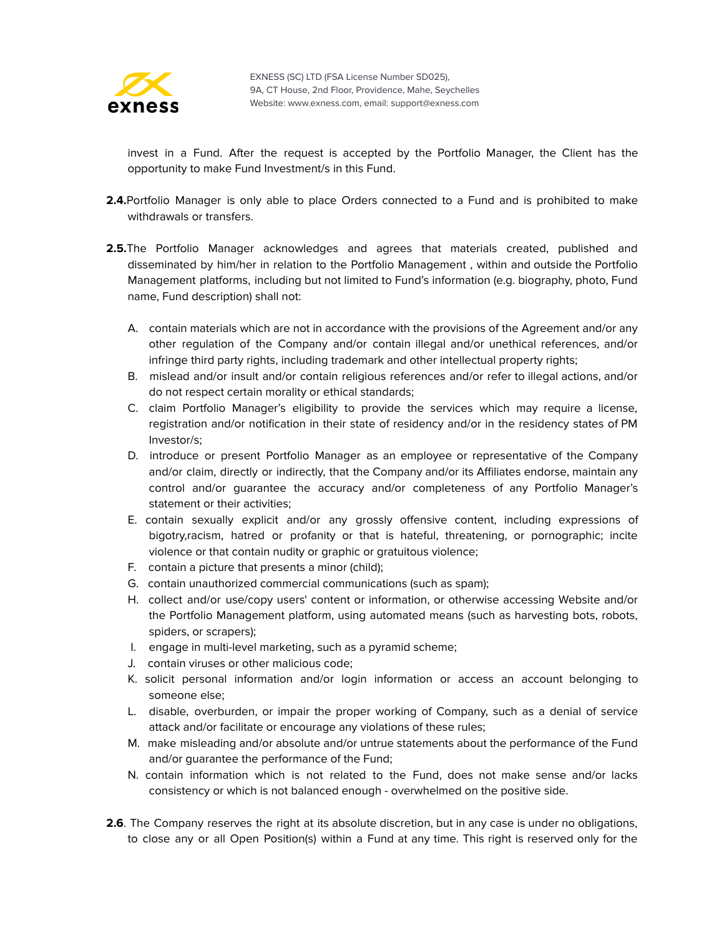

invest in a Fund. After the request is accepted by the Portfolio Manager, the Client has the opportunity to make Fund Investment/s in this Fund.

- **2.4.**Portfolio Manager is only able to place Orders connected to a Fund and is prohibited to make withdrawals or transfers.
- **2.5.**The Portfolio Manager acknowledges and agrees that materials created, published and disseminated by him/her in relation to the Portfolio Management , within and outside the Portfolio Management platforms, including but not limited to Fund's information (e.g. biography, photo, Fund name, Fund description) shall not:
	- A. contain materials which are not in accordance with the provisions of the Agreement and/or any other regulation of the Company and/or contain illegal and/or unethical references, and/or infringe third party rights, including trademark and other intellectual property rights;
	- B. mislead and/or insult and/or contain religious references and/or refer to illegal actions, and/or do not respect certain morality or ethical standards;
	- C. claim Portfolio Manager's eligibility to provide the services which may require a license, registration and/or notification in their state of residency and/or in the residency states of PM Investor/s;
	- D. introduce or present Portfolio Manager as an employee or representative of the Company and/or claim, directly or indirectly, that the Company and/or its Affiliates endorse, maintain any control and/or guarantee the accuracy and/or completeness of any Portfolio Manager's statement or their activities;
	- E. contain sexually explicit and/or any grossly offensive content, including expressions of bigotry,racism, hatred or profanity or that is hateful, threatening, or pornographic; incite violence or that contain nudity or graphic or gratuitous violence;
	- F. contain a picture that presents a minor (child);
	- G. contain unauthorized commercial communications (such as spam);
	- H. collect and/or use/copy users' content or information, or otherwise accessing Website and/or the Portfolio Management platform, using automated means (such as harvesting bots, robots, spiders, or scrapers);
	- I. engage in multi-level marketing, such as a pyramid scheme;
	- J. contain viruses or other malicious code;
	- K. solicit personal information and/or login information or access an account belonging to someone else;
	- L. disable, overburden, or impair the proper working of Company, such as a denial of service attack and/or facilitate or encourage any violations of these rules;
	- M. make misleading and/or absolute and/or untrue statements about the performance of the Fund and/or guarantee the performance of the Fund;
	- N. contain information which is not related to the Fund, does not make sense and/or lacks consistency or which is not balanced enough - overwhelmed on the positive side.
- **2.6**. The Company reserves the right at its absolute discretion, but in any case is under no obligations, to close any or all Open Position(s) within a Fund at any time. This right is reserved only for the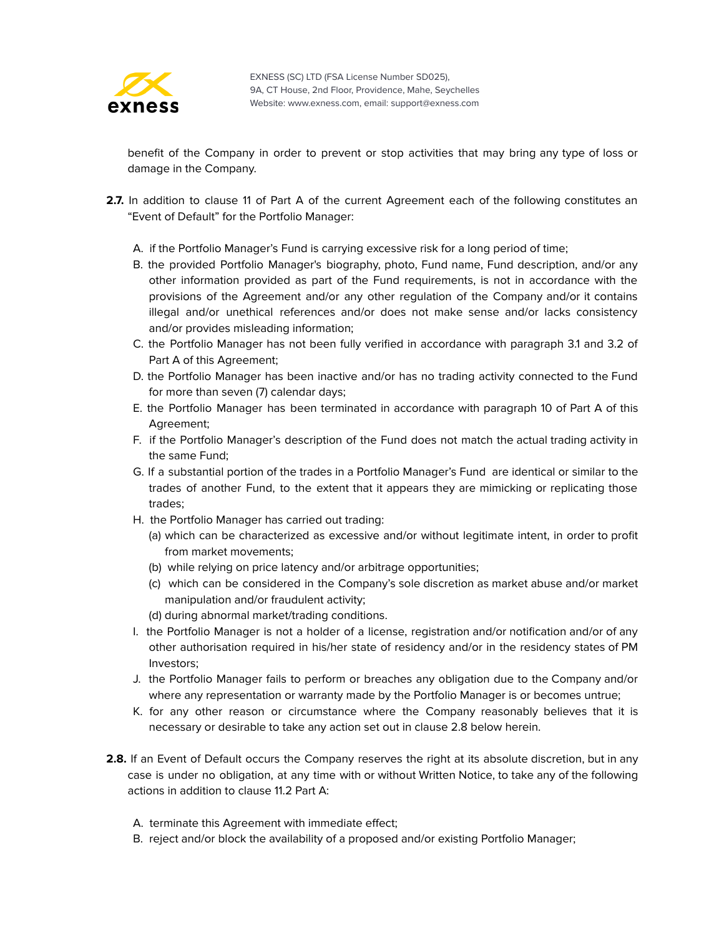

benefit of the Company in order to prevent or stop activities that may bring any type of loss or damage in the Company.

- 2.7. In addition to clause 11 of Part A of the current Agreement each of the following constitutes an "Event of Default" for the Portfolio Manager:
	- A. if the Portfolio Manager's Fund is carrying excessive risk for a long period of time;
	- B. the provided Portfolio Manager's biography, photo, Fund name, Fund description, and/or any other information provided as part of the Fund requirements, is not in accordance with the provisions of the Agreement and/or any other regulation of the Company and/or it contains illegal and/or unethical references and/or does not make sense and/or lacks consistency and/or provides misleading information;
	- C. the Portfolio Manager has not been fully verified in accordance with paragraph 3.1 and 3.2 of Part A of this Agreement;
	- D. the Portfolio Manager has been inactive and/or has no trading activity connected to the Fund for more than seven (7) calendar days;
	- E. the Portfolio Manager has been terminated in accordance with paragraph 10 of Part A of this Agreement;
	- F. if the Portfolio Manager's description of the Fund does not match the actual trading activity in the same Fund;
	- G. If a substantial portion of the trades in a Portfolio Manager's Fund are identical or similar to the trades of another Fund, to the extent that it appears they are mimicking or replicating those trades;
	- H. the Portfolio Manager has carried out trading:
		- (a) which can be characterized as excessive and/or without legitimate intent, in order to profit from market movements;
		- (b) while relying on price latency and/or arbitrage opportunities;
		- (c) which can be considered in the Company's sole discretion as market abuse and/or market manipulation and/or fraudulent activity;
		- (d) during abnormal market/trading conditions.
	- I. the Portfolio Manager is not a holder of a license, registration and/or notification and/or of any other authorisation required in his/her state of residency and/or in the residency states of PM Investors;
	- J. the Portfolio Manager fails to perform or breaches any obligation due to the Company and/or where any representation or warranty made by the Portfolio Manager is or becomes untrue;
	- K. for any other reason or circumstance where the Company reasonably believes that it is necessary or desirable to take any action set out in clause 2.8 below herein.
- **2.8.** If an Event of Default occurs the Company reserves the right at its absolute discretion, but in any case is under no obligation, at any time with or without Written Notice, to take any of the following actions in addition to clause 11.2 Part A:
	- A. terminate this Agreement with immediate effect;
	- B. reject and/or block the availability of a proposed and/or existing Portfolio Manager;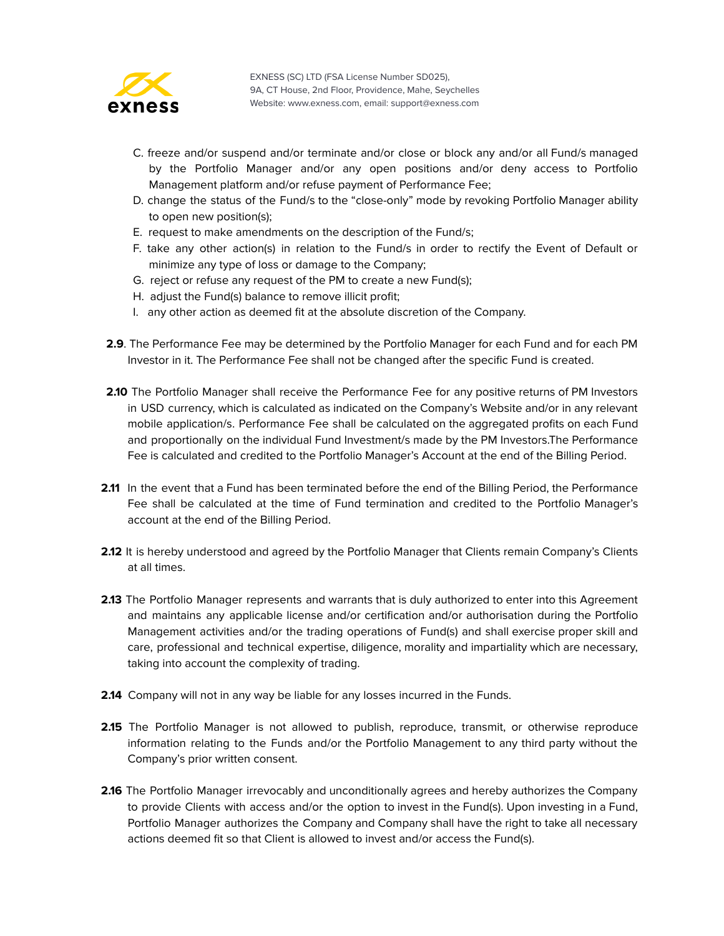

- C. freeze and/or suspend and/or terminate and/or close or block any and/or all Fund/s managed by the Portfolio Manager and/or any open positions and/or deny access to Portfolio Management platform and/or refuse payment of Performance Fee;
- D. change the status of the Fund/s to the "close-only" mode by revoking Portfolio Manager ability to open new position(s);
- E. request to make amendments on the description of the Fund/s;
- F. take any other action(s) in relation to the Fund/s in order to rectify the Event of Default or minimize any type of loss or damage to the Company;
- G. reject or refuse any request of the PM to create a new Fund(s);
- H. adjust the Fund(s) balance to remove illicit profit;
- I. any other action as deemed fit at the absolute discretion of the Company.
- **2.9**. The Performance Fee may be determined by the Portfolio Manager for each Fund and for each PM Investor in it. The Performance Fee shall not be changed after the specific Fund is created.
- **2.10** The Portfolio Manager shall receive the Performance Fee for any positive returns of PM Investors in USD currency, which is calculated as indicated on the Company's Website and/or in any relevant mobile application/s. Performance Fee shall be calculated on the aggregated profits on each Fund and proportionally on the individual Fund Investment/s made by the PM Investors.The Performance Fee is calculated and credited to the Portfolio Manager's Account at the end of the Billing Period.
- 2.11 In the event that a Fund has been terminated before the end of the Billing Period, the Performance Fee shall be calculated at the time of Fund termination and credited to the Portfolio Manager's account at the end of the Billing Period.
- **2.12** It is hereby understood and agreed by the Portfolio Manager that Clients remain Company's Clients at all times.
- **2.13** The Portfolio Manager represents and warrants that is duly authorized to enter into this Agreement and maintains any applicable license and/or certification and/or authorisation during the Portfolio Management activities and/or the trading operations of Fund(s) and shall exercise proper skill and care, professional and technical expertise, diligence, morality and impartiality which are necessary, taking into account the complexity of trading.
- **2.14** Company will not in any way be liable for any losses incurred in the Funds.
- 2.15 The Portfolio Manager is not allowed to publish, reproduce, transmit, or otherwise reproduce information relating to the Funds and/or the Portfolio Management to any third party without the Company's prior written consent.
- **2.16** The Portfolio Manager irrevocably and unconditionally agrees and hereby authorizes the Company to provide Clients with access and/or the option to invest in the Fund(s). Upon investing in a Fund, Portfolio Manager authorizes the Company and Company shall have the right to take all necessary actions deemed fit so that Client is allowed to invest and/or access the Fund(s).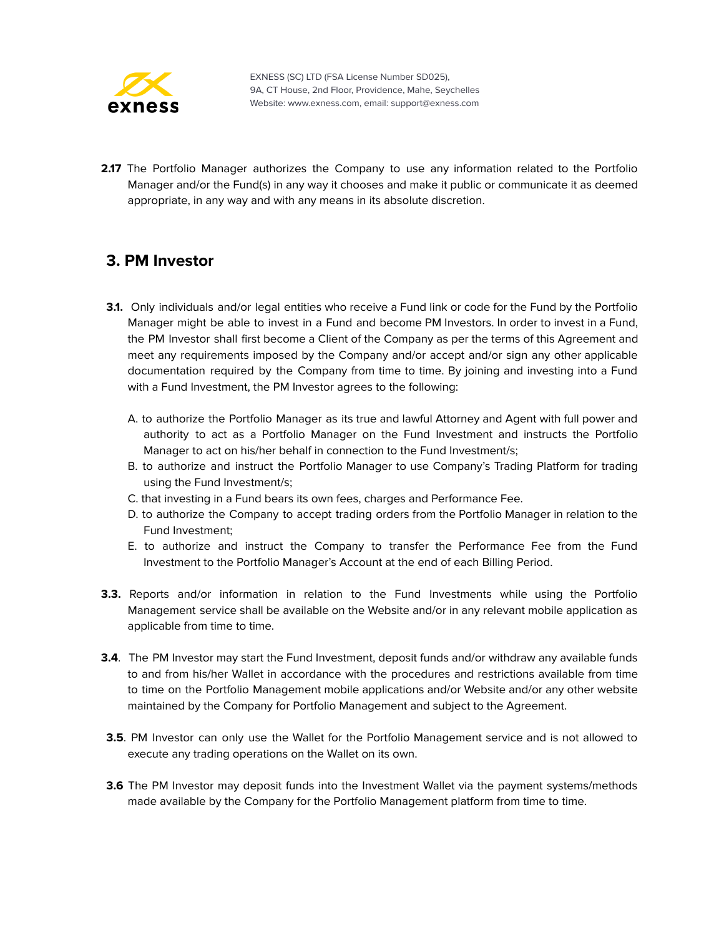

**2.17** The Portfolio Manager authorizes the Company to use any information related to the Portfolio Manager and/or the Fund(s) in any way it chooses and make it public or communicate it as deemed appropriate, in any way and with any means in its absolute discretion.

#### <span id="page-55-0"></span>**3. PM Investor**

- **3.1.** Only individuals and/or legal entities who receive a Fund link or code for the Fund by the Portfolio Manager might be able to invest in a Fund and become PM Investors. In order to invest in a Fund, the PM Investor shall first become a Client of the Company as per the terms of this Agreement and meet any requirements imposed by the Company and/or accept and/or sign any other applicable documentation required by the Company from time to time. By joining and investing into a Fund with a Fund Investment, the PM Investor agrees to the following:
	- A. to authorize the Portfolio Manager as its true and lawful Attorney and Agent with full power and authority to act as a Portfolio Manager on the Fund Investment and instructs the Portfolio Manager to act on his/her behalf in connection to the Fund Investment/s;
	- B. to authorize and instruct the Portfolio Manager to use Company's Trading Platform for trading using the Fund Investment/s;
	- C. that investing in a Fund bears its own fees, charges and Performance Fee.
	- D. to authorize the Company to accept trading orders from the Portfolio Manager in relation to the Fund Investment;
	- E. to authorize and instruct the Company to transfer the Performance Fee from the Fund Investment to the Portfolio Manager's Account at the end of each Billing Period.
- **3.3.** Reports and/or information in relation to the Fund Investments while using the Portfolio Management service shall be available on the Website and/or in any relevant mobile application as applicable from time to time.
- **3.4**. The PM Investor may start the Fund Investment, deposit funds and/or withdraw any available funds to and from his/her Wallet in accordance with the procedures and restrictions available from time to time on the Portfolio Management mobile applications and/or Website and/or any other website maintained by the Company for Portfolio Management and subject to the Agreement.
- **3.5**. PM Investor can only use the Wallet for the Portfolio Management service and is not allowed to execute any trading operations on the Wallet on its own.
- **3.6** The PM Investor may deposit funds into the Investment Wallet via the payment systems/methods made available by the Company for the Portfolio Management platform from time to time.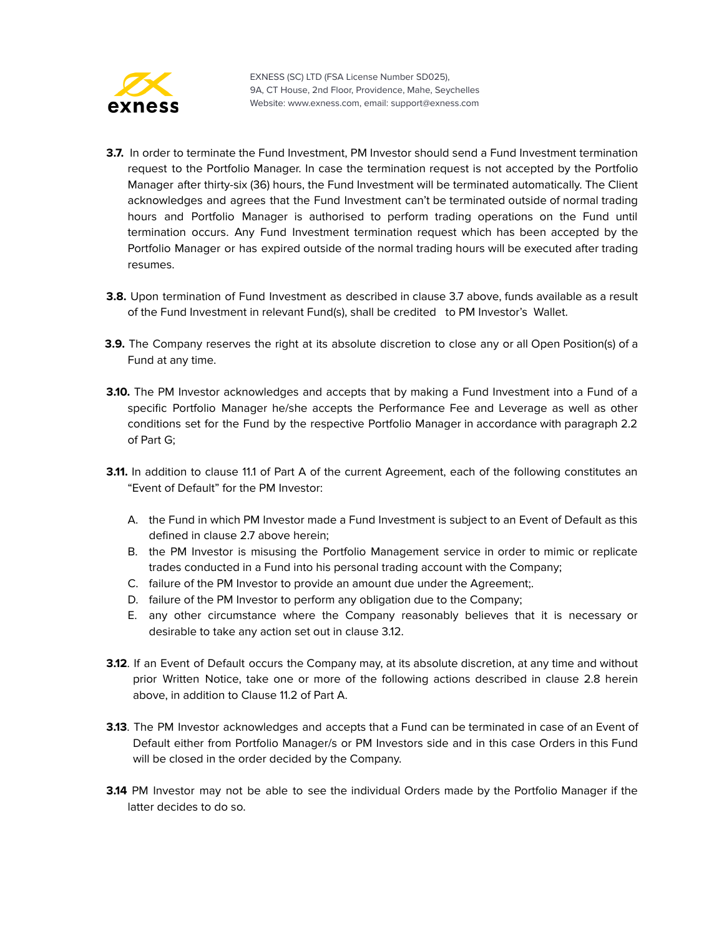

- **3.7.** In order to terminate the Fund Investment, PM Investor should send a Fund Investment termination request to the Portfolio Manager. In case the termination request is not accepted by the Portfolio Manager after thirty-six (36) hours, the Fund Investment will be terminated automatically. The Client acknowledges and agrees that the Fund Investment can't be terminated outside of normal trading hours and Portfolio Manager is authorised to perform trading operations on the Fund until termination occurs. Any Fund Investment termination request which has been accepted by the Portfolio Manager or has expired outside of the normal trading hours will be executed after trading resumes.
- **3.8.** Upon termination of Fund Investment as described in clause 3.7 above, funds available as a result of the Fund Investment in relevant Fund(s), shall be credited to PM Investor's Wallet.
- **3.9.** The Company reserves the right at its absolute discretion to close any or all Open Position(s) of a Fund at any time.
- **3.10.** The PM Investor acknowledges and accepts that by making a Fund Investment into a Fund of a specific Portfolio Manager he/she accepts the Performance Fee and Leverage as well as other conditions set for the Fund by the respective Portfolio Manager in accordance with paragraph 2.2 of Part G;
- **3.11.** In addition to clause 11.1 of Part A of the current Agreement, each of the following constitutes an "Event of Default" for the PM Investor:
	- A. the Fund in which PM Investor made a Fund Investment is subject to an Event of Default as this defined in clause 2.7 above herein;
	- B. the PM Investor is misusing the Portfolio Management service in order to mimic or replicate trades conducted in a Fund into his personal trading account with the Company;
	- C. failure of the PM Investor to provide an amount due under the Agreement;.
	- D. failure of the PM Investor to perform any obligation due to the Company;
	- E. any other circumstance where the Company reasonably believes that it is necessary or desirable to take any action set out in clause 3.12.
- **3.12**. If an Event of Default occurs the Company may, at its absolute discretion, at any time and without prior Written Notice, take one or more of the following actions described in clause 2.8 herein above, in addition to Clause 11.2 of Part A.
- **3.13**. The PM Investor acknowledges and accepts that a Fund can be terminated in case of an Event of Default either from Portfolio Manager/s or PM Investors side and in this case Orders in this Fund will be closed in the order decided by the Company.
- **3.14** PM Investor may not be able to see the individual Orders made by the Portfolio Manager if the latter decides to do so.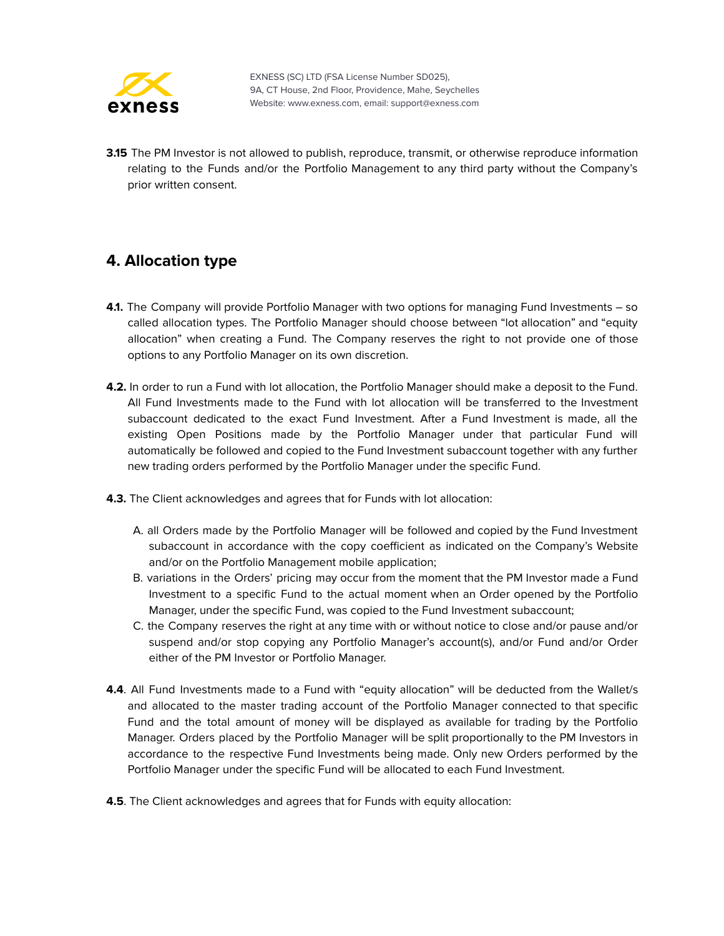

**3.15** The PM Investor is not allowed to publish, reproduce, transmit, or otherwise reproduce information relating to the Funds and/or the Portfolio Management to any third party without the Company's prior written consent.

## <span id="page-57-0"></span>**4. Allocation type**

- **4.1.** The Company will provide Portfolio Manager with two options for managing Fund Investments so called allocation types. The Portfolio Manager should choose between "lot allocation" and "equity allocation" when creating a Fund. The Company reserves the right to not provide one of those options to any Portfolio Manager on its own discretion.
- **4.2.** In order to run a Fund with lot allocation, the Portfolio Manager should make a deposit to the Fund. All Fund Investments made to the Fund with lot allocation will be transferred to the Investment subaccount dedicated to the exact Fund Investment. After a Fund Investment is made, all the existing Open Positions made by the Portfolio Manager under that particular Fund will automatically be followed and copied to the Fund Investment subaccount together with any further new trading orders performed by the Portfolio Manager under the specific Fund.
- **4.3.** The Client acknowledges and agrees that for Funds with lot allocation:
	- A. all Orders made by the Portfolio Manager will be followed and copied by the Fund Investment subaccount in accordance with the copy coefficient as indicated on the Company's Website and/or on the Portfolio Management mobile application;
	- B. variations in the Orders' pricing may occur from the moment that the PM Investor made a Fund Investment to a specific Fund to the actual moment when an Order opened by the Portfolio Manager, under the specific Fund, was copied to the Fund Investment subaccount;
	- C. the Company reserves the right at any time with or without notice to close and/or pause and/or suspend and/or stop copying any Portfolio Manager's account(s), and/or Fund and/or Order either of the PM Investor or Portfolio Manager.
- **4.4**. All Fund Investments made to a Fund with "equity allocation" will be deducted from the Wallet/s and allocated to the master trading account of the Portfolio Manager connected to that specific Fund and the total amount of money will be displayed as available for trading by the Portfolio Manager. Orders placed by the Portfolio Manager will be split proportionally to the PM Investors in accordance to the respective Fund Investments being made. Only new Orders performed by the Portfolio Manager under the specific Fund will be allocated to each Fund Investment.
- **4.5**. The Client acknowledges and agrees that for Funds with equity allocation: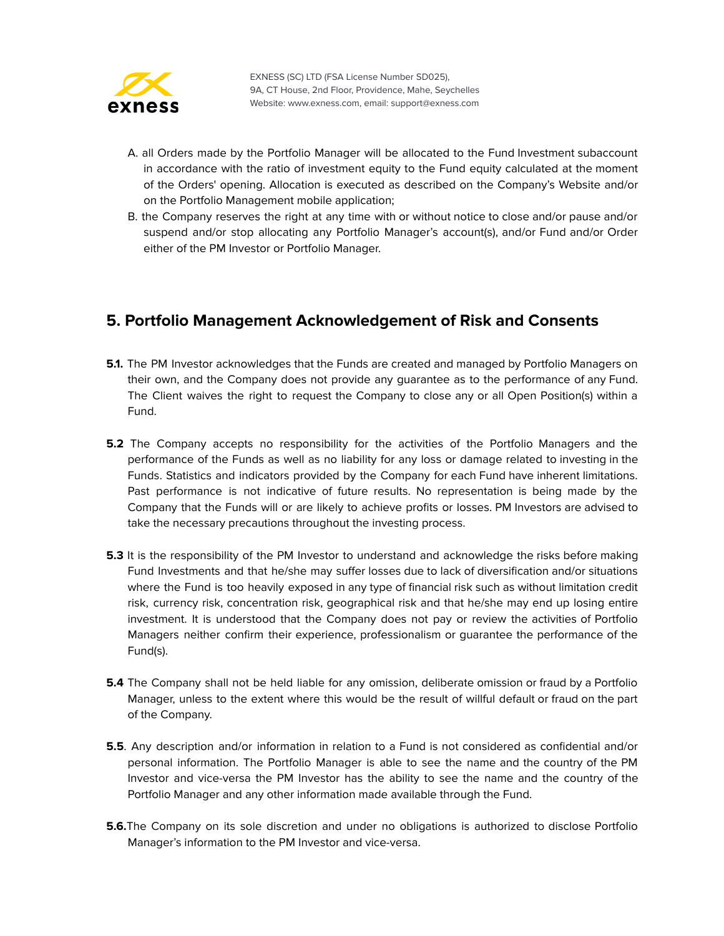

- A. all Orders made by the Portfolio Manager will be allocated to the Fund Investment subaccount in accordance with the ratio of investment equity to the Fund equity calculated at the moment of the Orders' opening. Allocation is executed as described on the Company's Website and/or on the Portfolio Management mobile application;
- B. the Company reserves the right at any time with or without notice to close and/or pause and/or suspend and/or stop allocating any Portfolio Manager's account(s), and/or Fund and/or Order either of the PM Investor or Portfolio Manager.

#### <span id="page-58-0"></span>**5. Portfolio Management Acknowledgement of Risk and Consents**

- **5.1.** The PM Investor acknowledges that the Funds are created and managed by Portfolio Managers on their own, and the Company does not provide any guarantee as to the performance of any Fund. The Client waives the right to request the Company to close any or all Open Position(s) within a Fund.
- **5.2** The Company accepts no responsibility for the activities of the Portfolio Managers and the performance of the Funds as well as no liability for any loss or damage related to investing in the Funds. Statistics and indicators provided by the Company for each Fund have inherent limitations. Past performance is not indicative of future results. No representation is being made by the Company that the Funds will or are likely to achieve profits or losses. PM Investors are advised to take the necessary precautions throughout the investing process.
- **5.3** It is the responsibility of the PM Investor to understand and acknowledge the risks before making Fund Investments and that he/she may suffer losses due to lack of diversification and/or situations where the Fund is too heavily exposed in any type of financial risk such as without limitation credit risk, currency risk, concentration risk, geographical risk and that he/she may end up losing entire investment. It is understood that the Company does not pay or review the activities of Portfolio Managers neither confirm their experience, professionalism or guarantee the performance of the Fund(s).
- **5.4** The Company shall not be held liable for any omission, deliberate omission or fraud by a Portfolio Manager, unless to the extent where this would be the result of willful default or fraud on the part of the Company.
- **5.5**. Any description and/or information in relation to a Fund is not considered as confidential and/or personal information. The Portfolio Manager is able to see the name and the country of the PM Investor and vice-versa the PM Investor has the ability to see the name and the country of the Portfolio Manager and any other information made available through the Fund.
- **5.6.**The Company on its sole discretion and under no obligations is authorized to disclose Portfolio Manager's information to the PM Investor and vice-versa.